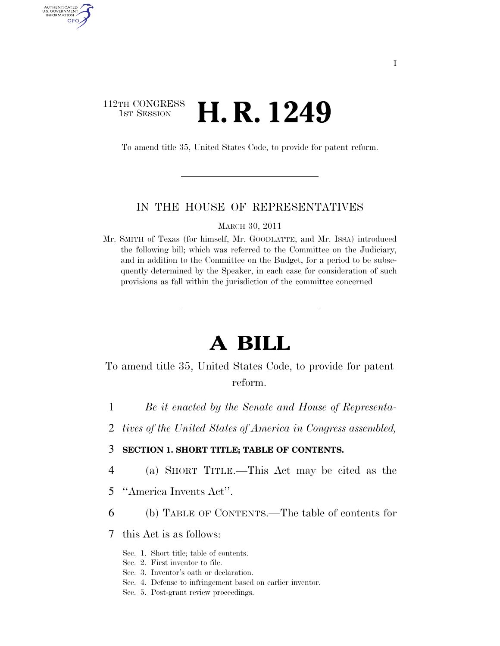# 112TH CONGRESS **1st Session H. R. 1249**

AUTHENTICATED U.S. GOVERNMENT GPO

To amend title 35, United States Code, to provide for patent reform.

#### IN THE HOUSE OF REPRESENTATIVES

MARCH 30, 2011

Mr. SMITH of Texas (for himself, Mr. GOODLATTE, and Mr. ISSA) introduced the following bill; which was referred to the Committee on the Judiciary, and in addition to the Committee on the Budget, for a period to be subsequently determined by the Speaker, in each case for consideration of such provisions as fall within the jurisdiction of the committee concerned

# **A BILL**

# To amend title 35, United States Code, to provide for patent reform.

- 1 *Be it enacted by the Senate and House of Representa-*
- 2 *tives of the United States of America in Congress assembled,*

#### 3 **SECTION 1. SHORT TITLE; TABLE OF CONTENTS.**

- 4 (a) SHORT TITLE.—This Act may be cited as the
- 5 ''America Invents Act''.
- 6 (b) TABLE OF CONTENTS.—The table of contents for
- 7 this Act is as follows:
	- Sec. 1. Short title; table of contents.
	- Sec. 2. First inventor to file.
	- Sec. 3. Inventor's oath or declaration.
	- Sec. 4. Defense to infringement based on earlier inventor.
	- Sec. 5. Post-grant review proceedings.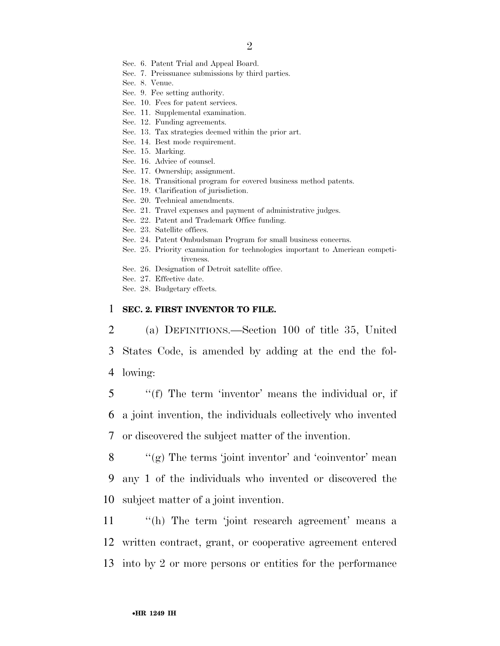- Sec. 6. Patent Trial and Appeal Board.
- Sec. 7. Preissuance submissions by third parties.
- Sec. 8. Venue.
- Sec. 9. Fee setting authority.
- Sec. 10. Fees for patent services.
- Sec. 11. Supplemental examination.
- Sec. 12. Funding agreements.
- Sec. 13. Tax strategies deemed within the prior art.
- Sec. 14. Best mode requirement.
- Sec. 15. Marking.
- Sec. 16. Advice of counsel.
- Sec. 17. Ownership; assignment.
- Sec. 18. Transitional program for covered business method patents.
- Sec. 19. Clarification of jurisdiction.
- Sec. 20. Technical amendments.
- Sec. 21. Travel expenses and payment of administrative judges.
- Sec. 22. Patent and Trademark Office funding.
- Sec. 23. Satellite offices.
- Sec. 24. Patent Ombudsman Program for small business concerns.
- Sec. 25. Priority examination for technologies important to American competitiveness.
- Sec. 26. Designation of Detroit satellite office.
- Sec. 27. Effective date.
- Sec. 28. Budgetary effects.

#### 1 **SEC. 2. FIRST INVENTOR TO FILE.**

2 (a) DEFINITIONS.—Section 100 of title 35, United 3 States Code, is amended by adding at the end the fol-4 lowing:

5 ''(f) The term 'inventor' means the individual or, if 6 a joint invention, the individuals collectively who invented 7 or discovered the subject matter of the invention.

8  $\langle \langle \rangle$  (g) The terms 'joint inventor' and 'coinventor' mean 9 any 1 of the individuals who invented or discovered the 10 subject matter of a joint invention.

11 ''(h) The term 'joint research agreement' means a 12 written contract, grant, or cooperative agreement entered 13 into by 2 or more persons or entities for the performance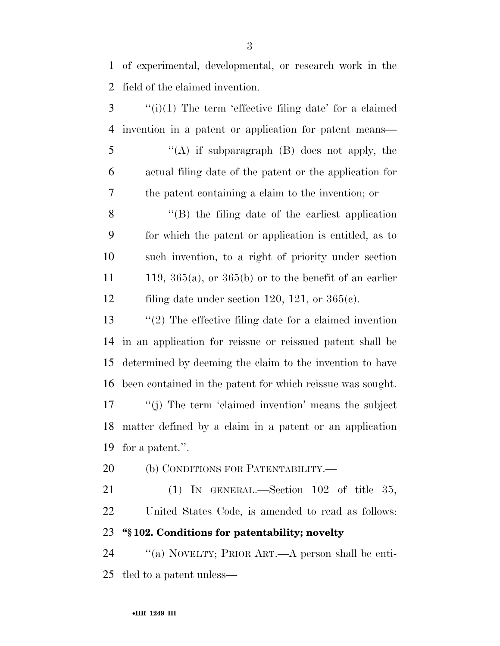of experimental, developmental, or research work in the field of the claimed invention.

 ''(i)(1) The term 'effective filing date' for a claimed invention in a patent or application for patent means— ''(A) if subparagraph (B) does not apply, the actual filing date of the patent or the application for the patent containing a claim to the invention; or ''(B) the filing date of the earliest application for which the patent or application is entitled, as to such invention, to a right of priority under section 11 119,  $365(a)$ , or  $365(b)$  or to the benefit of an earlier filing date under section 120, 121, or 365(c). ''(2) The effective filing date for a claimed invention in an application for reissue or reissued patent shall be determined by deeming the claim to the invention to have been contained in the patent for which reissue was sought. 17 ''(j) The term 'claimed invention' means the subject matter defined by a claim in a patent or an application for a patent.''.

(b) CONDITIONS FOR PATENTABILITY.—

 (1) IN GENERAL.—Section 102 of title 35, United States Code, is amended to read as follows: **''§ 102. Conditions for patentability; novelty** 

 ''(a) NOVELTY; PRIOR ART.—A person shall be enti-tled to a patent unless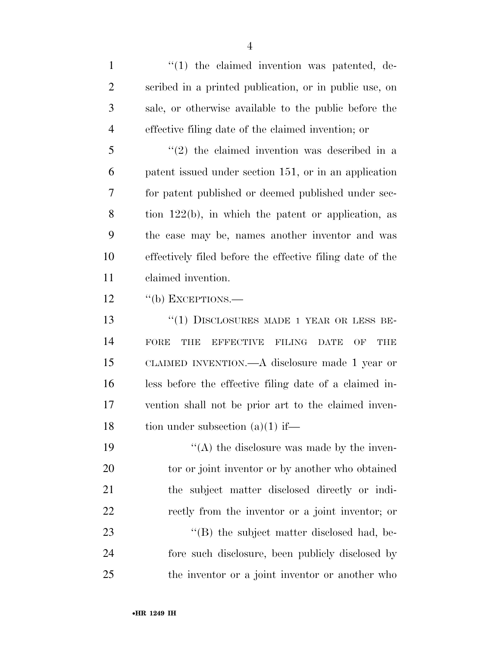$\frac{1}{1}$  the claimed invention was patented, de- scribed in a printed publication, or in public use, on sale, or otherwise available to the public before the effective filing date of the claimed invention; or

 ''(2) the claimed invention was described in a patent issued under section 151, or in an application for patent published or deemed published under sec- tion 122(b), in which the patent or application, as the case may be, names another inventor and was effectively filed before the effective filing date of the claimed invention.

12 "(b) EXCEPTIONS.—

 ''(1) DISCLOSURES MADE 1 YEAR OR LESS BE- FORE THE EFFECTIVE FILING DATE OF THE CLAIMED INVENTION.—A disclosure made 1 year or less before the effective filing date of a claimed in- vention shall not be prior art to the claimed inven-18 tion under subsection  $(a)(1)$  if—

 $((A)$  the disclosure was made by the inven-20 tor or joint inventor or by another who obtained the subject matter disclosed directly or indi- rectly from the inventor or a joint inventor; or 23 "(B) the subject matter disclosed had, be- fore such disclosure, been publicly disclosed by the inventor or a joint inventor or another who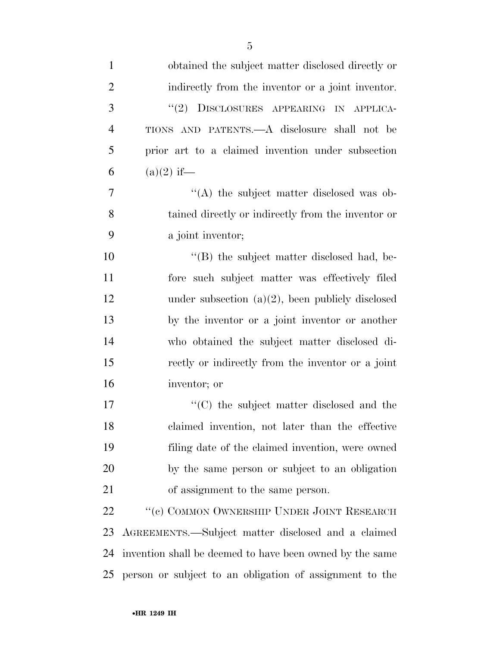| $\mathbf{1}$   | obtained the subject matter disclosed directly or        |
|----------------|----------------------------------------------------------|
| $\overline{2}$ | indirectly from the inventor or a joint inventor.        |
| 3              | DISCLOSURES APPEARING IN APPLICA-<br>(2)                 |
| $\overline{4}$ | TIONS AND PATENTS.—A disclosure shall not be             |
| 5              | prior art to a claimed invention under subsection        |
| 6              | $(a)(2)$ if—                                             |
| 7              | "(A) the subject matter disclosed was ob-                |
| 8              | tained directly or indirectly from the inventor or       |
| 9              | a joint inventor;                                        |
| 10             | "(B) the subject matter disclosed had, be-               |
| 11             | fore such subject matter was effectively filed           |
| 12             | under subsection $(a)(2)$ , been publicly disclosed      |
| 13             | by the inventor or a joint inventor or another           |
| 14             | who obtained the subject matter disclosed di-            |
| 15             | rectly or indirectly from the inventor or a joint        |
| 16             | inventor; or                                             |
| 17             | "(C) the subject matter disclosed and the                |
| 18             | claimed invention, not later than the effective          |
| 19             | filing date of the claimed invention, were owned         |
| 20             | by the same person or subject to an obligation           |
| 21             | of assignment to the same person.                        |
| 22             | $``(c)$ COMMON OWNERSHIP UNDER JOINT RESEARCH            |
| 23             | AGREEMENTS.—Subject matter disclosed and a claimed       |
| 24             | invention shall be deemed to have been owned by the same |
| 25             | person or subject to an obligation of assignment to the  |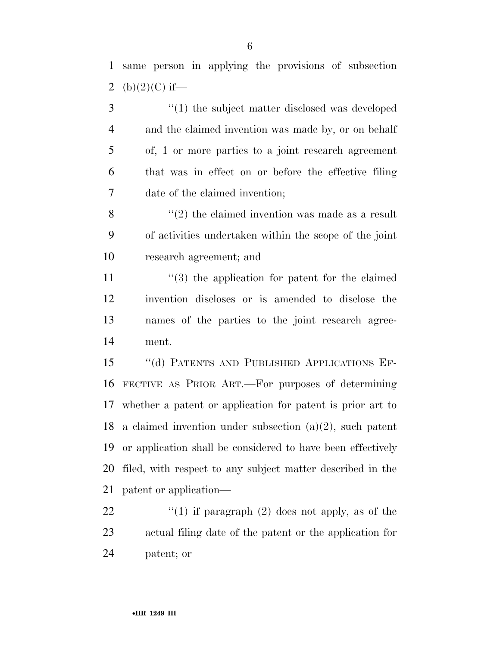same person in applying the provisions of subsection 2 (b) $(2)(C)$  if—

3 (1) the subject matter disclosed was developed and the claimed invention was made by, or on behalf of, 1 or more parties to a joint research agreement that was in effect on or before the effective filing date of the claimed invention;

 $\aleph$  "(2) the claimed invention was made as a result of activities undertaken within the scope of the joint research agreement; and

11 ''(3) the application for patent for the claimed invention discloses or is amended to disclose the names of the parties to the joint research agree-ment.

 ''(d) PATENTS AND PUBLISHED APPLICATIONS EF- FECTIVE AS PRIOR ART.—For purposes of determining whether a patent or application for patent is prior art to a claimed invention under subsection (a)(2), such patent or application shall be considered to have been effectively filed, with respect to any subject matter described in the patent or application—

22  $\frac{1}{2}$  (1) if paragraph (2) does not apply, as of the actual filing date of the patent or the application for patent; or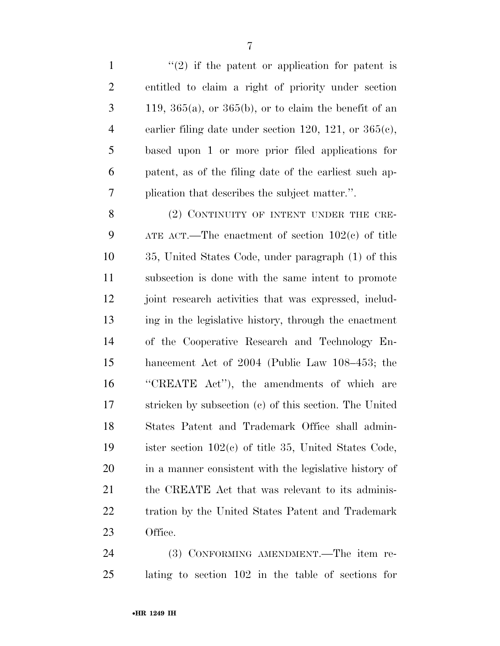$\frac{1}{2}$  if the patent or application for patent is entitled to claim a right of priority under section  $3 \t 119, 365(a),$  or  $365(b)$ , or to claim the benefit of an earlier filing date under section 120, 121, or 365(c), based upon 1 or more prior filed applications for patent, as of the filing date of the earliest such ap-plication that describes the subject matter.''.

8 (2) CONTINUITY OF INTENT UNDER THE CRE- ATE ACT.—The enactment of section 102(c) of title 35, United States Code, under paragraph (1) of this subsection is done with the same intent to promote joint research activities that was expressed, includ- ing in the legislative history, through the enactment of the Cooperative Research and Technology En- hancement Act of 2004 (Public Law 108–453; the ''CREATE Act''), the amendments of which are stricken by subsection (c) of this section. The United States Patent and Trademark Office shall admin- ister section 102(c) of title 35, United States Code, in a manner consistent with the legislative history of 21 the CREATE Act that was relevant to its adminis- tration by the United States Patent and Trademark Office.

 (3) CONFORMING AMENDMENT.—The item re-lating to section 102 in the table of sections for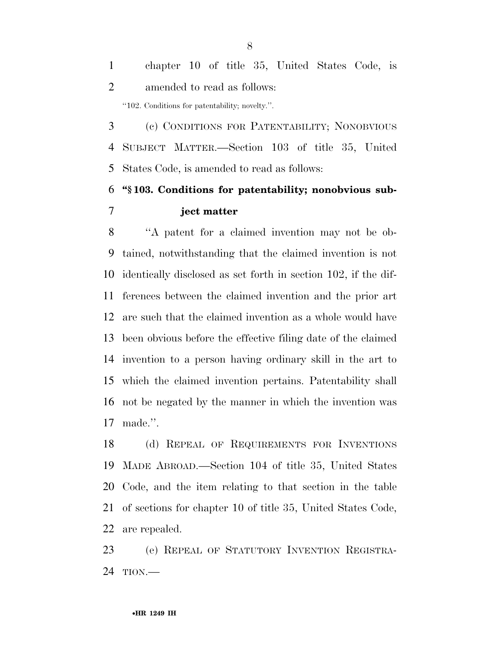chapter 10 of title 35, United States Code, is amended to read as follows: ''102. Conditions for patentability; novelty.''.

 (c) CONDITIONS FOR PATENTABILITY; NONOBVIOUS SUBJECT MATTER.—Section 103 of title 35, United States Code, is amended to read as follows:

# **''§ 103. Conditions for patentability; nonobvious sub-ject matter**

 ''A patent for a claimed invention may not be ob- tained, notwithstanding that the claimed invention is not identically disclosed as set forth in section 102, if the dif- ferences between the claimed invention and the prior art are such that the claimed invention as a whole would have been obvious before the effective filing date of the claimed invention to a person having ordinary skill in the art to which the claimed invention pertains. Patentability shall not be negated by the manner in which the invention was made.''.

 (d) REPEAL OF REQUIREMENTS FOR INVENTIONS MADE ABROAD.—Section 104 of title 35, United States Code, and the item relating to that section in the table of sections for chapter 10 of title 35, United States Code, are repealed.

 (e) REPEAL OF STATUTORY INVENTION REGISTRA-TION.—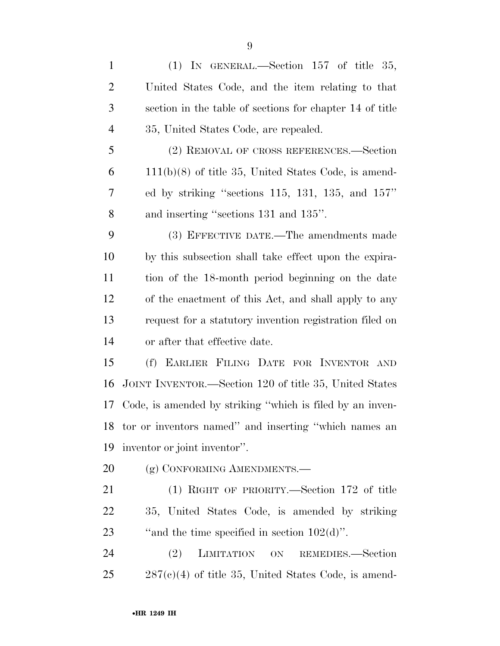(1) IN GENERAL.—Section 157 of title 35, United States Code, and the item relating to that section in the table of sections for chapter 14 of title 35, United States Code, are repealed. (2) REMOVAL OF CROSS REFERENCES.—Section 111(b)(8) of title 35, United States Code, is amend- ed by striking ''sections 115, 131, 135, and 157'' and inserting ''sections 131 and 135''. (3) EFFECTIVE DATE.—The amendments made by this subsection shall take effect upon the expira- tion of the 18-month period beginning on the date of the enactment of this Act, and shall apply to any request for a statutory invention registration filed on or after that effective date. (f) EARLIER FILING DATE FOR INVENTOR AND JOINT INVENTOR.—Section 120 of title 35, United States

 Code, is amended by striking ''which is filed by an inven- tor or inventors named'' and inserting ''which names an inventor or joint inventor''.

20 (g) CONFORMING AMENDMENTS.—

 (1) RIGHT OF PRIORITY.—Section 172 of title 35, United States Code, is amended by striking 23  $\ldots$  "and the time specified in section 102(d)".

 (2) LIMITATION ON REMEDIES.—Section  $25 \qquad 287(c)(4)$  of title 35, United States Code, is amend-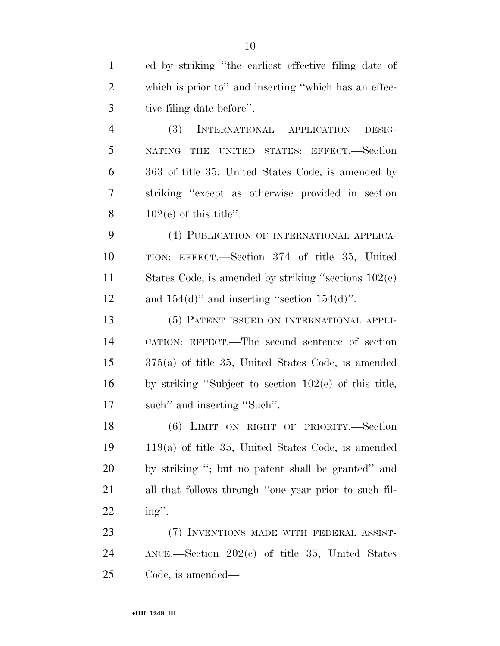ed by striking ''the earliest effective filing date of which is prior to'' and inserting ''which has an effec- tive filing date before''. (3) INTERNATIONAL APPLICATION DESIG- NATING THE UNITED STATES: EFFECT.—Section 363 of title 35, United States Code, is amended by striking ''except as otherwise provided in section  $102(e)$  of this title". (4) PUBLICATION OF INTERNATIONAL APPLICA- TION: EFFECT.—Section 374 of title 35, United States Code, is amended by striking ''sections 102(e)

12 and  $154(d)$ " and inserting "section  $154(d)$ ".

 (5) PATENT ISSUED ON INTERNATIONAL APPLI- CATION: EFFECT.—The second sentence of section 375(a) of title 35, United States Code, is amended by striking ''Subject to section 102(e) of this title, such'' and inserting ''Such''.

 (6) LIMIT ON RIGHT OF PRIORITY.—Section 119(a) of title 35, United States Code, is amended by striking ''; but no patent shall be granted'' and all that follows through ''one year prior to such fil-ing''.

23 (7) INVENTIONS MADE WITH FEDERAL ASSIST- ANCE.—Section 202(c) of title 35, United States Code, is amended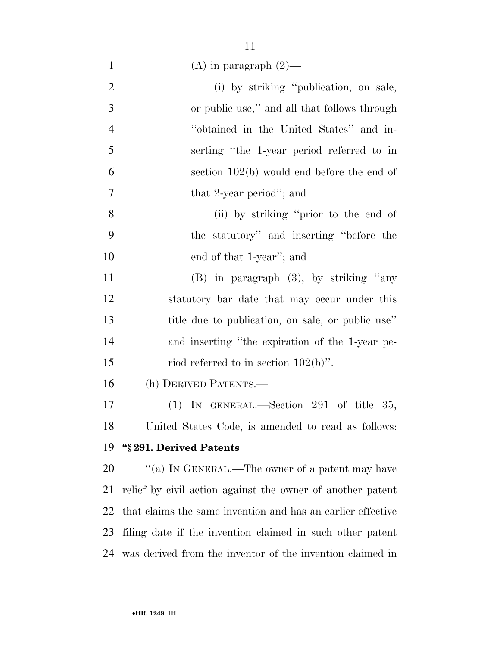|  |  | (A) in paragraph $(2)$ — |  |  |
|--|--|--------------------------|--|--|
|--|--|--------------------------|--|--|

| $\overline{2}$ | (i) by striking "publication, on sale,                      |
|----------------|-------------------------------------------------------------|
| 3              | or public use," and all that follows through                |
| $\overline{4}$ | "obtained in the United States" and in-                     |
| 5              | serting "the 1-year period referred to in                   |
| 6              | section $102(b)$ would end before the end of                |
| 7              | that 2-year period"; and                                    |
| 8              | (ii) by striking "prior to the end of                       |
| 9              | the statutory" and inserting "before the                    |
| 10             | end of that 1-year"; and                                    |
| 11             | $(B)$ in paragraph $(3)$ , by striking "any                 |
| 12             | statutory bar date that may occur under this                |
| 13             | title due to publication, on sale, or public use"           |
| 14             | and inserting "the expiration of the 1-year pe-             |
| 15             | riod referred to in section $102(b)$ ".                     |
| 16             | (h) DERIVED PATENTS.—                                       |
| 17             | (1) IN GENERAL.—Section 291 of title 35,                    |
| 18             | United States Code, is amended to read as follows:          |
| 19             | "§291. Derived Patents                                      |
| 20             | "(a) IN GENERAL.—The owner of a patent may have             |
| 21             | relief by civil action against the owner of another patent  |
| 22             | that claims the same invention and has an earlier effective |
| 23             | filing date if the invention claimed in such other patent   |
| 24             | was derived from the inventor of the invention claimed in   |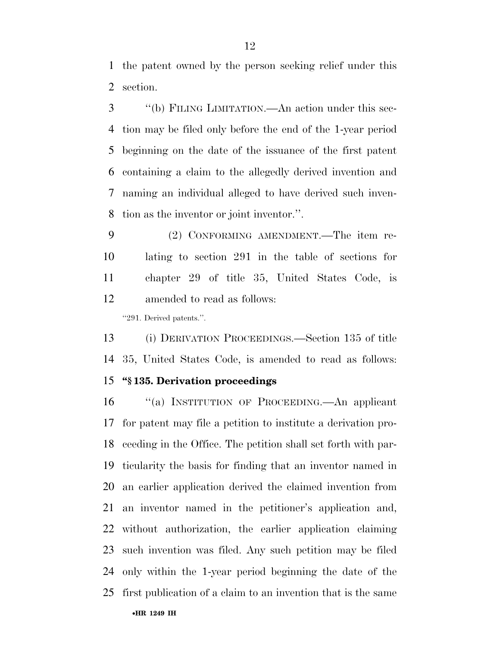the patent owned by the person seeking relief under this section.

 ''(b) FILING LIMITATION.—An action under this sec- tion may be filed only before the end of the 1-year period beginning on the date of the issuance of the first patent containing a claim to the allegedly derived invention and naming an individual alleged to have derived such inven-tion as the inventor or joint inventor.''.

 (2) CONFORMING AMENDMENT.—The item re- lating to section 291 in the table of sections for chapter 29 of title 35, United States Code, is amended to read as follows:

''291. Derived patents.''.

 (i) DERIVATION PROCEEDINGS.—Section 135 of title 35, United States Code, is amended to read as follows:

#### **''§ 135. Derivation proceedings**

 ''(a) INSTITUTION OF PROCEEDING.—An applicant for patent may file a petition to institute a derivation pro- ceeding in the Office. The petition shall set forth with par- ticularity the basis for finding that an inventor named in an earlier application derived the claimed invention from an inventor named in the petitioner's application and, without authorization, the earlier application claiming such invention was filed. Any such petition may be filed only within the 1-year period beginning the date of the first publication of a claim to an invention that is the same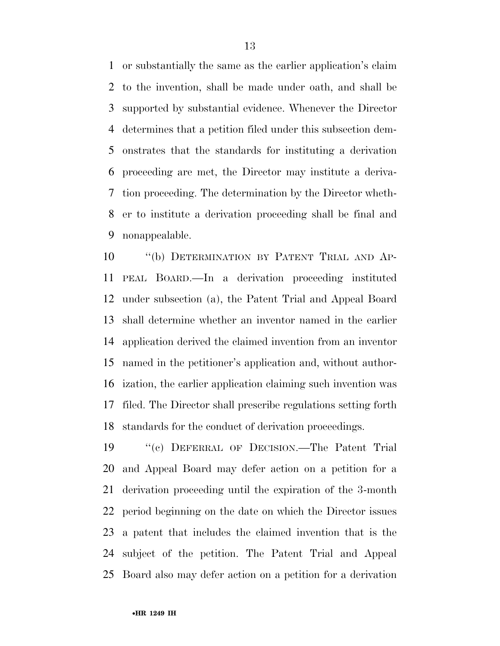or substantially the same as the earlier application's claim to the invention, shall be made under oath, and shall be supported by substantial evidence. Whenever the Director determines that a petition filed under this subsection dem- onstrates that the standards for instituting a derivation proceeding are met, the Director may institute a deriva- tion proceeding. The determination by the Director wheth- er to institute a derivation proceeding shall be final and nonappealable.

 ''(b) DETERMINATION BY PATENT TRIAL AND AP- PEAL BOARD.—In a derivation proceeding instituted under subsection (a), the Patent Trial and Appeal Board shall determine whether an inventor named in the earlier application derived the claimed invention from an inventor named in the petitioner's application and, without author- ization, the earlier application claiming such invention was filed. The Director shall prescribe regulations setting forth standards for the conduct of derivation proceedings.

 ''(c) DEFERRAL OF DECISION.—The Patent Trial and Appeal Board may defer action on a petition for a derivation proceeding until the expiration of the 3-month period beginning on the date on which the Director issues a patent that includes the claimed invention that is the subject of the petition. The Patent Trial and Appeal Board also may defer action on a petition for a derivation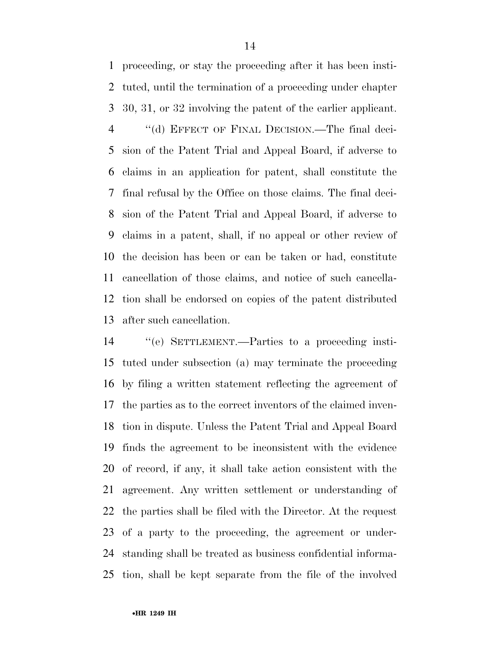proceeding, or stay the proceeding after it has been insti- tuted, until the termination of a proceeding under chapter 30, 31, or 32 involving the patent of the earlier applicant. ''(d) EFFECT OF FINAL DECISION.—The final deci- sion of the Patent Trial and Appeal Board, if adverse to claims in an application for patent, shall constitute the final refusal by the Office on those claims. The final deci- sion of the Patent Trial and Appeal Board, if adverse to claims in a patent, shall, if no appeal or other review of the decision has been or can be taken or had, constitute cancellation of those claims, and notice of such cancella-

tion shall be endorsed on copies of the patent distributed

after such cancellation.

 ''(e) SETTLEMENT.—Parties to a proceeding insti- tuted under subsection (a) may terminate the proceeding by filing a written statement reflecting the agreement of the parties as to the correct inventors of the claimed inven- tion in dispute. Unless the Patent Trial and Appeal Board finds the agreement to be inconsistent with the evidence of record, if any, it shall take action consistent with the agreement. Any written settlement or understanding of the parties shall be filed with the Director. At the request of a party to the proceeding, the agreement or under- standing shall be treated as business confidential informa-tion, shall be kept separate from the file of the involved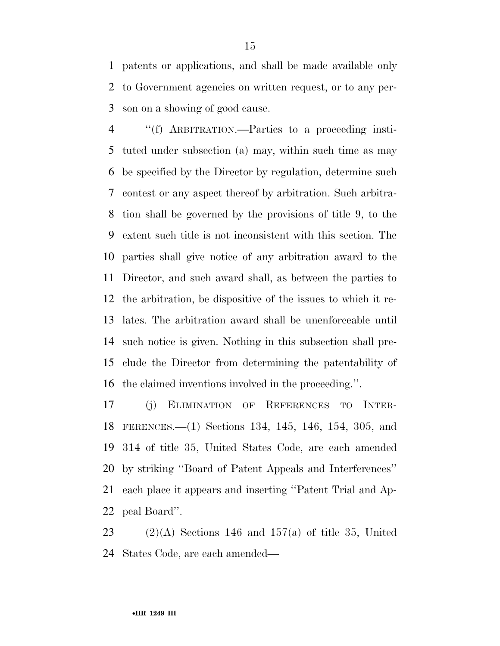patents or applications, and shall be made available only to Government agencies on written request, or to any per-son on a showing of good cause.

 ''(f) ARBITRATION.—Parties to a proceeding insti- tuted under subsection (a) may, within such time as may be specified by the Director by regulation, determine such contest or any aspect thereof by arbitration. Such arbitra- tion shall be governed by the provisions of title 9, to the extent such title is not inconsistent with this section. The parties shall give notice of any arbitration award to the Director, and such award shall, as between the parties to the arbitration, be dispositive of the issues to which it re- lates. The arbitration award shall be unenforceable until such notice is given. Nothing in this subsection shall pre- clude the Director from determining the patentability of the claimed inventions involved in the proceeding.''.

 (j) ELIMINATION OF REFERENCES TO INTER- FERENCES.—(1) Sections 134, 145, 146, 154, 305, and 314 of title 35, United States Code, are each amended by striking ''Board of Patent Appeals and Interferences'' each place it appears and inserting ''Patent Trial and Ap-peal Board''.

23 (2)(A) Sections 146 and 157(a) of title 35, United States Code, are each amended—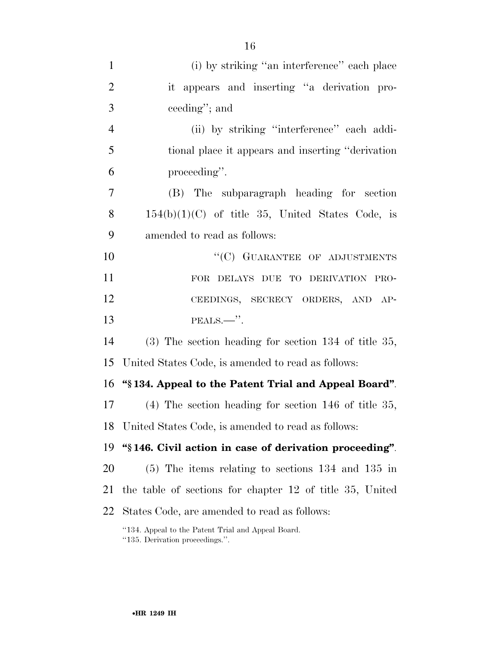| $\mathbf{1}$   | (i) by striking "an interference" each place                                          |
|----------------|---------------------------------------------------------------------------------------|
| $\overline{2}$ | it appears and inserting "a derivation pro-                                           |
| 3              | ceeding"; and                                                                         |
| $\overline{4}$ | (ii) by striking "interference" each addi-                                            |
| 5              | tional place it appears and inserting "derivation"                                    |
| 6              | proceeding".                                                                          |
| 7              | (B) The subparagraph heading for section                                              |
| 8              | $154(b)(1)(C)$ of title 35, United States Code, is                                    |
| 9              | amended to read as follows:                                                           |
| 10             | "(C) GUARANTEE OF ADJUSTMENTS                                                         |
| 11             | FOR DELAYS DUE TO DERIVATION PRO-                                                     |
| 12             | CEEDINGS, SECRECY ORDERS, AND AP-                                                     |
| 13             |                                                                                       |
| 14             | $(3)$ The section heading for section 134 of title 35,                                |
| 15             | United States Code, is amended to read as follows:                                    |
| 16             | "\\$134. Appeal to the Patent Trial and Appeal Board".                                |
| 17             | $(4)$ The section heading for section 146 of title 35,                                |
| 18             | United States Code, is amended to read as follows:                                    |
| 19             | "\\$146. Civil action in case of derivation proceeding".                              |
| 20             | $(5)$ The items relating to sections 134 and 135 in                                   |
| 21             | the table of sections for chapter 12 of title 35, United                              |
| 22             | States Code, are amended to read as follows:                                          |
|                | "134. Appeal to the Patent Trial and Appeal Board.<br>"135. Derivation proceedings.". |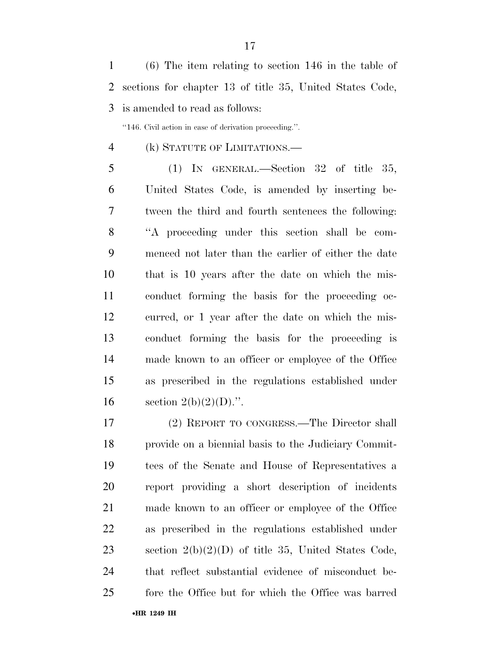(6) The item relating to section 146 in the table of sections for chapter 13 of title 35, United States Code, is amended to read as follows:

''146. Civil action in case of derivation proceeding.''.

- (k) STATUTE OF LIMITATIONS.—
- 

(1) IN GENERAL.—Section 32 of title 35,

 United States Code, is amended by inserting be- tween the third and fourth sentences the following: ''A proceeding under this section shall be com- menced not later than the earlier of either the date that is 10 years after the date on which the mis- conduct forming the basis for the proceeding oc- curred, or 1 year after the date on which the mis- conduct forming the basis for the proceeding is made known to an officer or employee of the Office as prescribed in the regulations established under 16 section  $2(b)(2)(D)$ .".

 (2) REPORT TO CONGRESS.—The Director shall provide on a biennial basis to the Judiciary Commit- tees of the Senate and House of Representatives a report providing a short description of incidents made known to an officer or employee of the Office as prescribed in the regulations established under section 2(b)(2)(D) of title 35, United States Code, that reflect substantial evidence of misconduct be-fore the Office but for which the Office was barred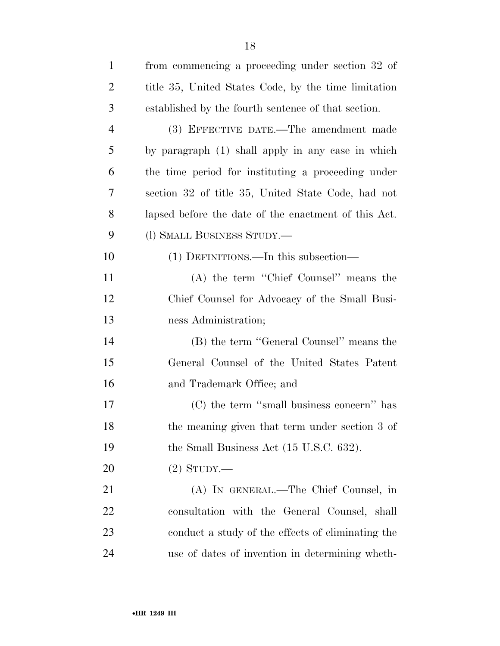| $\mathbf{1}$   | from commencing a proceeding under section 32 of     |
|----------------|------------------------------------------------------|
| $\overline{2}$ | title 35, United States Code, by the time limitation |
| 3              | established by the fourth sentence of that section.  |
| $\overline{4}$ | (3) EFFECTIVE DATE.—The amendment made               |
| 5              | by paragraph (1) shall apply in any case in which    |
| 6              | the time period for instituting a proceeding under   |
| 7              | section 32 of title 35, United State Code, had not   |
| 8              | lapsed before the date of the enactment of this Act. |
| 9              | (1) SMALL BUSINESS STUDY.—                           |
| 10             | (1) DEFINITIONS.—In this subsection—                 |
| 11             | (A) the term "Chief Counsel" means the               |
| 12             | Chief Counsel for Advocacy of the Small Busi-        |
| 13             | ness Administration;                                 |
| 14             | (B) the term "General Counsel" means the             |
| 15             | General Counsel of the United States Patent          |
| 16             | and Trademark Office; and                            |
| 17             | (C) the term "small business concern" has            |
| 18             | the meaning given that term under section 3 of       |
| 19             | the Small Business Act (15 U.S.C. 632).              |
| 20             | $(2)$ STUDY.—                                        |
| 21             | (A) IN GENERAL.—The Chief Counsel, in                |
| 22             | consultation with the General Counsel, shall         |
| 23             | conduct a study of the effects of eliminating the    |
| 24             | use of dates of invention in determining wheth-      |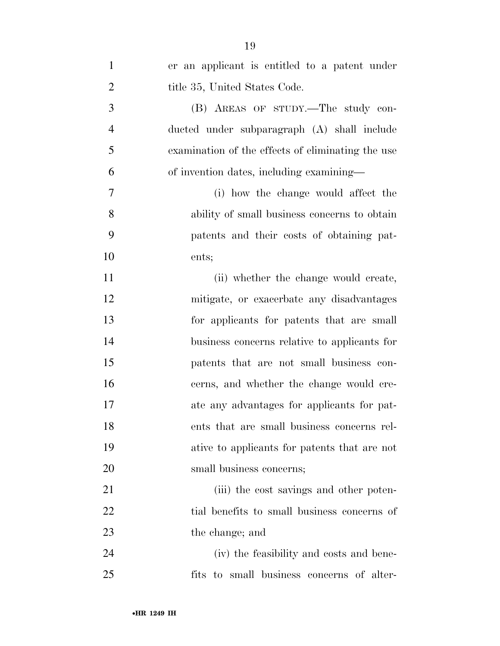| $\mathbf{1}$   | er an applicant is entitled to a patent under     |
|----------------|---------------------------------------------------|
| $\overline{2}$ | title 35, United States Code.                     |
| 3              | (B) AREAS OF STUDY.—The study con-                |
| $\overline{4}$ | ducted under subparagraph (A) shall include       |
| 5              | examination of the effects of eliminating the use |
| 6              | of invention dates, including examining—          |
| 7              | (i) how the change would affect the               |
| 8              | ability of small business concerns to obtain      |
| 9              | patents and their costs of obtaining pat-         |
| 10             | ents;                                             |
| 11             | (ii) whether the change would create,             |
| 12             | mitigate, or exacerbate any disadvantages         |
| 13             | for applicants for patents that are small         |
| 14             | business concerns relative to applicants for      |
| 15             | patents that are not small business con-          |
| 16             | cerns, and whether the change would cre-          |
| 17             | ate any advantages for applicants for pat-        |
| 18             | ents that are small business concerns rel-        |
| 19             | ative to applicants for patents that are not      |
| 20             | small business concerns;                          |
| 21             | (iii) the cost savings and other poten-           |
| 22             | tial benefits to small business concerns of       |
| 23             | the change; and                                   |
| 24             | (iv) the feasibility and costs and bene-          |
| 25             | fits to small business concerns of alter-         |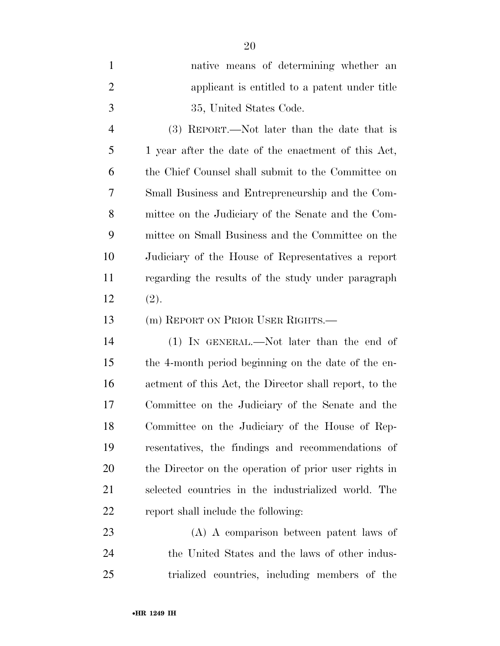| $\mathbf{1}$   | native means of determining whether an              |
|----------------|-----------------------------------------------------|
| 2              | applicant is entitled to a patent under title       |
| 3              | 35, United States Code.                             |
| $\overline{4}$ | (3) REPORT.—Not later than the date that is         |
| 5              | 1 year after the date of the enactment of this Act, |
| 6              | the Chief Counsel shall submit to the Committee on  |
| 7              | Small Business and Entrepreneurship and the Com-    |
| 8              | mittee on the Judiciary of the Senate and the Com-  |
| 9              | mittee on Small Business and the Committee on the   |
| 10             | Judiciary of the House of Representatives a report  |
| 11             | regarding the results of the study under paragraph  |

12  $(2)$ .

(m) REPORT ON PRIOR USER RIGHTS.—

 (1) IN GENERAL.—Not later than the end of the 4-month period beginning on the date of the en- actment of this Act, the Director shall report, to the Committee on the Judiciary of the Senate and the Committee on the Judiciary of the House of Rep- resentatives, the findings and recommendations of the Director on the operation of prior user rights in selected countries in the industrialized world. The report shall include the following:

 (A) A comparison between patent laws of the United States and the laws of other indus-trialized countries, including members of the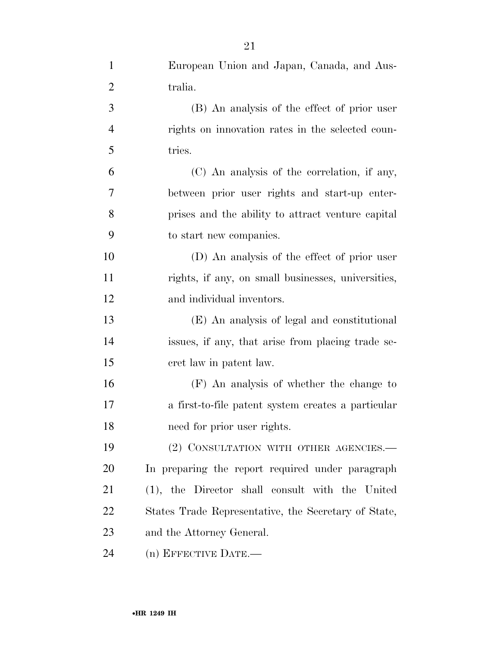| $\mathbf{1}$   | European Union and Japan, Canada, and Aus-           |
|----------------|------------------------------------------------------|
| $\overline{2}$ | tralia.                                              |
| $\mathfrak{Z}$ | (B) An analysis of the effect of prior user          |
| $\overline{4}$ | rights on innovation rates in the selected coun-     |
| 5              | tries.                                               |
| 6              | (C) An analysis of the correlation, if any,          |
| $\overline{7}$ | between prior user rights and start-up enter-        |
| 8              | prises and the ability to attract venture capital    |
| 9              | to start new companies.                              |
| 10             | (D) An analysis of the effect of prior user          |
| 11             | rights, if any, on small businesses, universities,   |
| 12             | and individual inventors.                            |
| 13             | (E) An analysis of legal and constitutional          |
| 14             | issues, if any, that arise from placing trade se-    |
| 15             | cret law in patent law.                              |
| 16             | (F) An analysis of whether the change to             |
| 17             | a first-to-file patent system creates a particular   |
| 18             | need for prior user rights.                          |
| 19             | (2) CONSULTATION WITH OTHER AGENCIES.-               |
| 20             | In preparing the report required under paragraph     |
| 21             | (1), the Director shall consult with the United      |
| 22             | States Trade Representative, the Secretary of State, |
| 23             | and the Attorney General.                            |
| 24             | (n) EFFECTIVE DATE.-                                 |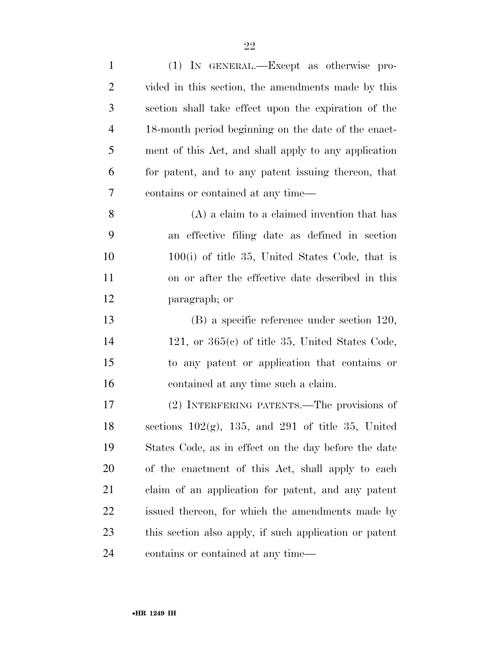| $\mathbf{1}$   | (1) IN GENERAL.—Except as otherwise pro-                  |
|----------------|-----------------------------------------------------------|
| $\overline{2}$ | vided in this section, the amendments made by this        |
| 3              | section shall take effect upon the expiration of the      |
| $\overline{4}$ | 18-month period beginning on the date of the enact-       |
| 5              | ment of this Act, and shall apply to any application      |
| 6              | for patent, and to any patent issuing thereon, that       |
| 7              | contains or contained at any time—                        |
| 8              | $(A)$ a claim to a claimed invention that has             |
| 9              | an effective filing date as defined in section            |
| 10             | $100(i)$ of title 35, United States Code, that is         |
| 11             | on or after the effective date described in this          |
| 12             | paragraph; or                                             |
| 13             | $(B)$ a specific reference under section 120,             |
| 14             | 121, or $365(c)$ of title 35, United States Code,         |
| 15             | to any patent or application that contains or             |
| 16             | contained at any time such a claim.                       |
| 17             | (2) INTERFERING PATENTS.—The provisions of                |
| 18             | sections $102(g)$ , $135$ , and $291$ of title 35, United |
| 19             | States Code, as in effect on the day before the date      |
| 20             | of the enactment of this Act, shall apply to each         |
| 21             | claim of an application for patent, and any patent        |
| 22             | issued thereon, for which the amendments made by          |
| 23             | this section also apply, if such application or patent    |
| 24             | contains or contained at any time—                        |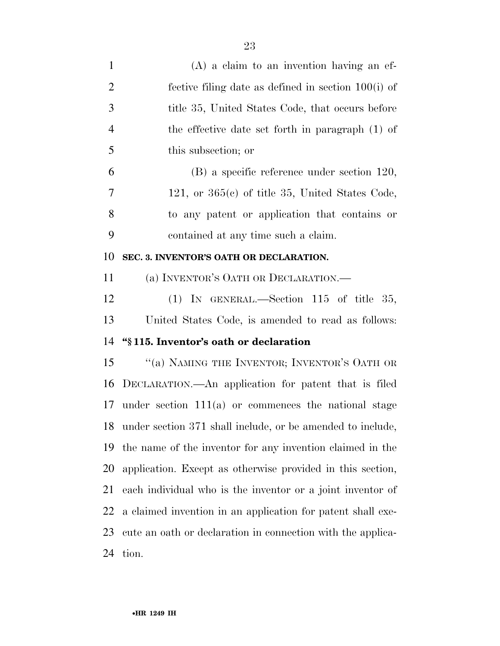| $\mathbf{1}$   | $(A)$ a claim to an invention having an ef-                 |
|----------------|-------------------------------------------------------------|
| $\mathbf{2}$   | fective filing date as defined in section $100(i)$ of       |
| 3              | title 35, United States Code, that occurs before            |
| $\overline{4}$ | the effective date set forth in paragraph (1) of            |
| 5              | this subsection; or                                         |
| 6              | (B) a specific reference under section 120,                 |
| 7              | 121, or $365(e)$ of title 35, United States Code,           |
| 8              | to any patent or application that contains or               |
| 9              | contained at any time such a claim.                         |
| 10             | SEC. 3. INVENTOR'S OATH OR DECLARATION.                     |
| 11             | (a) INVENTOR'S OATH OR DECLARATION.                         |
| 12             | (1) IN GENERAL.—Section 115 of title 35,                    |
| 13             | United States Code, is amended to read as follows:          |
| 14             | "§115. Inventor's oath or declaration                       |
| 15             | "(a) NAMING THE INVENTOR; INVENTOR'S OATH OR                |
| 16             | DECLARATION.—An application for patent that is filed        |
| 17             | under section $111(a)$ or commences the national stage      |
| 18             | under section 371 shall include, or be amended to include,  |
| 19             | the name of the inventor for any invention claimed in the   |
| 20             | application. Except as otherwise provided in this section,  |
| 21             | each individual who is the inventor or a joint inventor of  |
| 22             | a claimed invention in an application for patent shall exe- |
| 23             | cute an oath or declaration in connection with the applica- |
| 24             | tion.                                                       |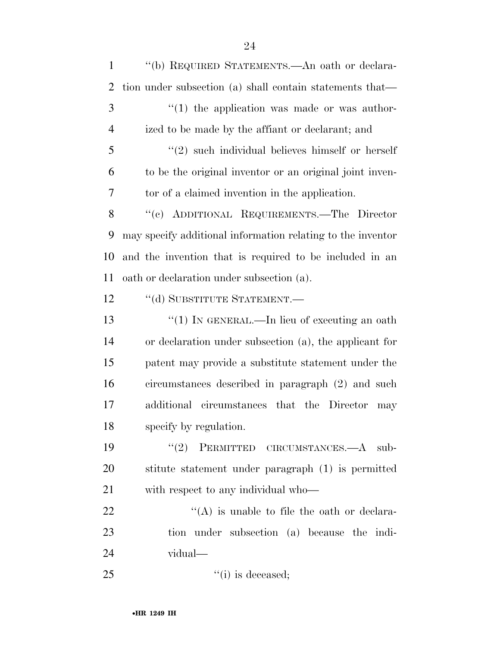''(b) REQUIRED STATEMENTS.—An oath or declara- tion under subsection (a) shall contain statements that— ''(1) the application was made or was author- ized to be made by the affiant or declarant; and ''(2) such individual believes himself or herself to be the original inventor or an original joint inven- tor of a claimed invention in the application. ''(c) ADDITIONAL REQUIREMENTS.—The Director may specify additional information relating to the inventor and the invention that is required to be included in an oath or declaration under subsection (a). 12 "(d) SUBSTITUTE STATEMENT.— 13 "(1) IN GENERAL.—In lieu of executing an oath or declaration under subsection (a), the applicant for patent may provide a substitute statement under the circumstances described in paragraph (2) and such additional circumstances that the Director may specify by regulation. 19 "(2) PERMITTED CIRCUMSTANCES.—A sub- stitute statement under paragraph (1) is permitted with respect to any individual who—  $\mathcal{L}(A)$  is unable to file the oath or declara- tion under subsection (a) because the indi- vidual—  $"(i)$  is deceased;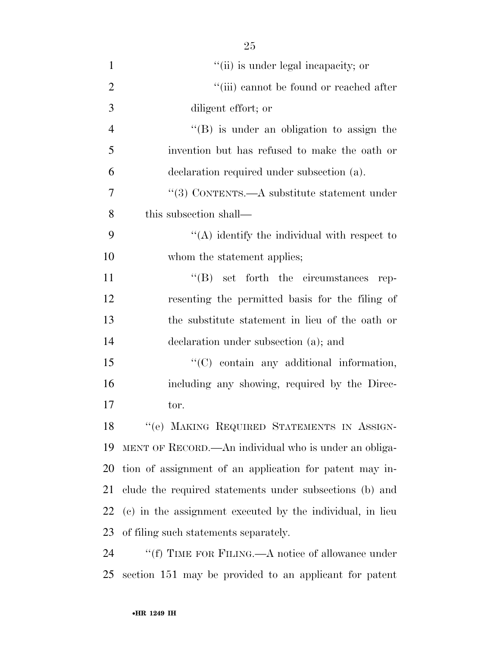| $\mathbf{1}$   | "(ii) is under legal incapacity; or                       |
|----------------|-----------------------------------------------------------|
| $\overline{2}$ | "(iii) cannot be found or reached after                   |
| 3              | diligent effort; or                                       |
| $\overline{4}$ | "(B) is under an obligation to assign the                 |
| 5              | invention but has refused to make the oath or             |
| 6              | declaration required under subsection (a).                |
| 7              | "(3) CONTENTS.—A substitute statement under               |
| 8              | this subsection shall—                                    |
| 9              | $\lq\lq$ identify the individual with respect to          |
| 10             | whom the statement applies;                               |
| 11             | $\lq\lq (B)$ set forth the circumstances rep-             |
| 12             | resenting the permitted basis for the filing of           |
| 13             | the substitute statement in lieu of the oath or           |
| 14             | declaration under subsection (a); and                     |
| 15             | "(C) contain any additional information,                  |
| 16             | including any showing, required by the Direc-             |
| 17             | tor.                                                      |
| 18             | "(e) MAKING REQUIRED STATEMENTS IN ASSIGN-                |
| 19             | MENT OF RECORD.—An individual who is under an obliga-     |
| 20             | tion of assignment of an application for patent may in-   |
| 21             | clude the required statements under subsections (b) and   |
| 22             | (c) in the assignment executed by the individual, in lieu |
| 23             | of filing such statements separately.                     |
| 24             | "(f) TIME FOR FILING.—A notice of allowance under         |
| 25             | section 151 may be provided to an applicant for patent    |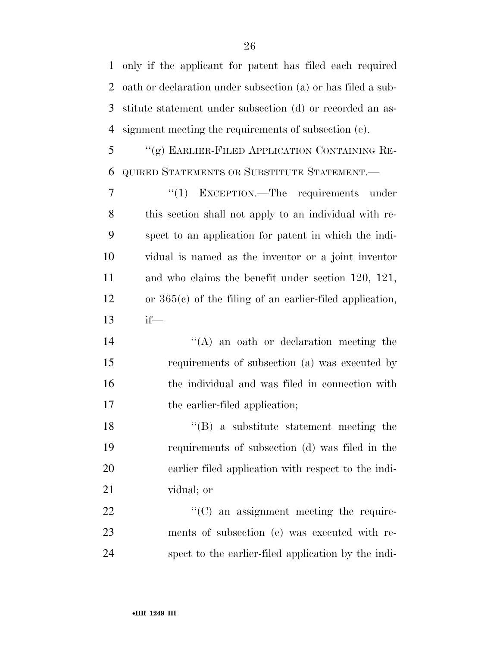only if the applicant for patent has filed each required oath or declaration under subsection (a) or has filed a sub- stitute statement under subsection (d) or recorded an as-signment meeting the requirements of subsection (e).

 ''(g) EARLIER-FILED APPLICATION CONTAINING RE-QUIRED STATEMENTS OR SUBSTITUTE STATEMENT.—

7 "(1) EXCEPTION.—The requirements under this section shall not apply to an individual with re- spect to an application for patent in which the indi- vidual is named as the inventor or a joint inventor and who claims the benefit under section 120, 121, or 365(c) of the filing of an earlier-filed application, if—

14 ''(A) an oath or declaration meeting the requirements of subsection (a) was executed by the individual and was filed in connection with 17 the earlier-filed application;

 ''(B) a substitute statement meeting the requirements of subsection (d) was filed in the earlier filed application with respect to the indi-vidual; or

22  $\cdot$  (C) an assignment meeting the require- ments of subsection (e) was executed with re-spect to the earlier-filed application by the indi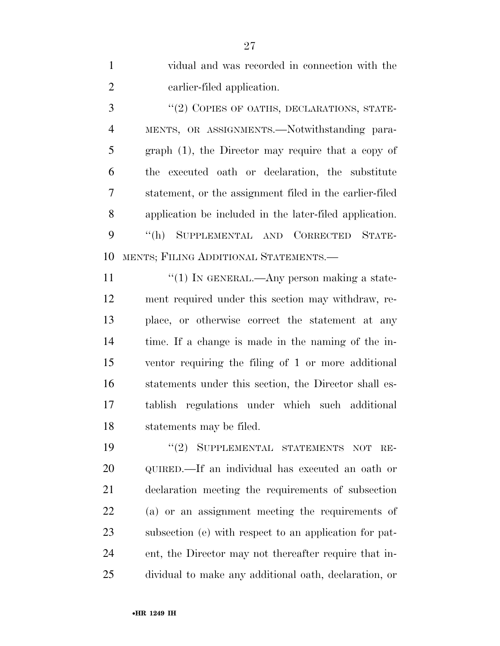vidual and was recorded in connection with the earlier-filed application.

3 "(2) COPIES OF OATHS, DECLARATIONS, STATE- MENTS, OR ASSIGNMENTS.—Notwithstanding para- graph (1), the Director may require that a copy of the executed oath or declaration, the substitute statement, or the assignment filed in the earlier-filed application be included in the later-filed application. ''(h) SUPPLEMENTAL AND CORRECTED STATE-MENTS; FILING ADDITIONAL STATEMENTS.—

 $\frac{1}{1}$  TN GENERAL.—Any person making a state- ment required under this section may withdraw, re- place, or otherwise correct the statement at any time. If a change is made in the naming of the in- ventor requiring the filing of 1 or more additional statements under this section, the Director shall es- tablish regulations under which such additional statements may be filed.

19 "(2) SUPPLEMENTAL STATEMENTS NOT RE- QUIRED.—If an individual has executed an oath or declaration meeting the requirements of subsection (a) or an assignment meeting the requirements of subsection (e) with respect to an application for pat- ent, the Director may not thereafter require that in-dividual to make any additional oath, declaration, or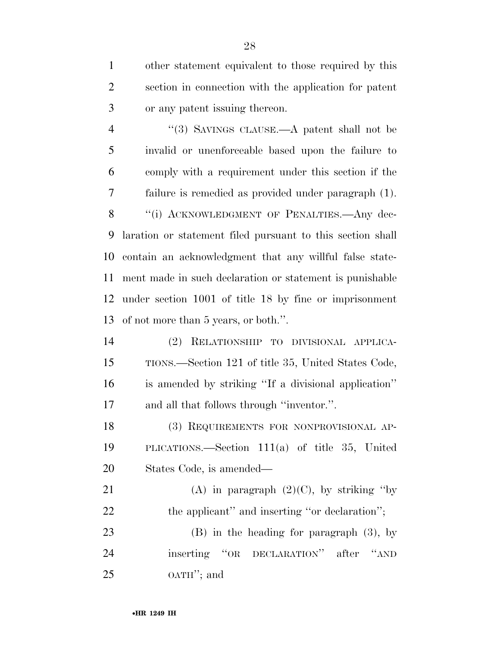other statement equivalent to those required by this section in connection with the application for patent or any patent issuing thereon.

4 "(3) SAVINGS CLAUSE.—A patent shall not be invalid or unenforceable based upon the failure to comply with a requirement under this section if the failure is remedied as provided under paragraph (1). 8 "(i) ACKNOWLEDGMENT OF PENALTIES.—Any dec- laration or statement filed pursuant to this section shall contain an acknowledgment that any willful false state- ment made in such declaration or statement is punishable under section 1001 of title 18 by fine or imprisonment of not more than 5 years, or both.''.

 (2) RELATIONSHIP TO DIVISIONAL APPLICA- TIONS.—Section 121 of title 35, United States Code, is amended by striking ''If a divisional application'' and all that follows through ''inventor.''.

 (3) REQUIREMENTS FOR NONPROVISIONAL AP- PLICATIONS.—Section 111(a) of title 35, United States Code, is amended—

21 (A) in paragraph  $(2)(C)$ , by striking "by 22 the applicant" and inserting "or declaration";

 (B) in the heading for paragraph (3), by inserting ''OR DECLARATION'' after ''AND OATH''; and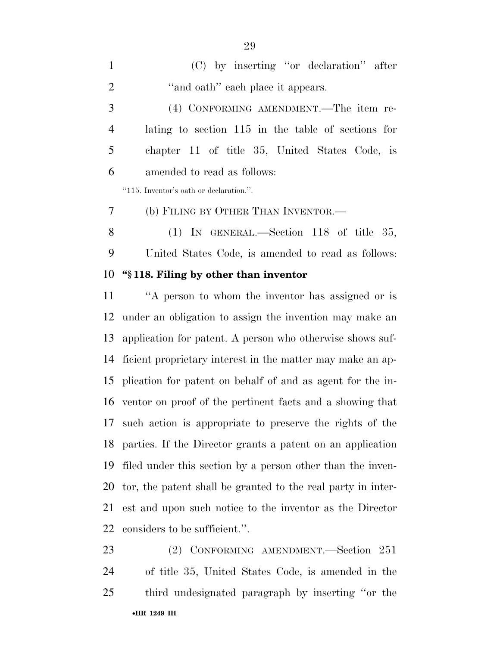(C) by inserting ''or declaration'' after 2 "and oath" each place it appears. (4) CONFORMING AMENDMENT.—The item re- lating to section 115 in the table of sections for chapter 11 of title 35, United States Code, is amended to read as follows: ''115. Inventor's oath or declaration.''. (b) FILING BY OTHER THAN INVENTOR.— (1) IN GENERAL.—Section 118 of title 35,

United States Code, is amended to read as follows:

### **''§ 118. Filing by other than inventor**

 ''A person to whom the inventor has assigned or is under an obligation to assign the invention may make an application for patent. A person who otherwise shows suf- ficient proprietary interest in the matter may make an ap- plication for patent on behalf of and as agent for the in- ventor on proof of the pertinent facts and a showing that such action is appropriate to preserve the rights of the parties. If the Director grants a patent on an application filed under this section by a person other than the inven- tor, the patent shall be granted to the real party in inter- est and upon such notice to the inventor as the Director considers to be sufficient.''.

•**HR 1249 IH** (2) CONFORMING AMENDMENT.—Section 251 of title 35, United States Code, is amended in the third undesignated paragraph by inserting ''or the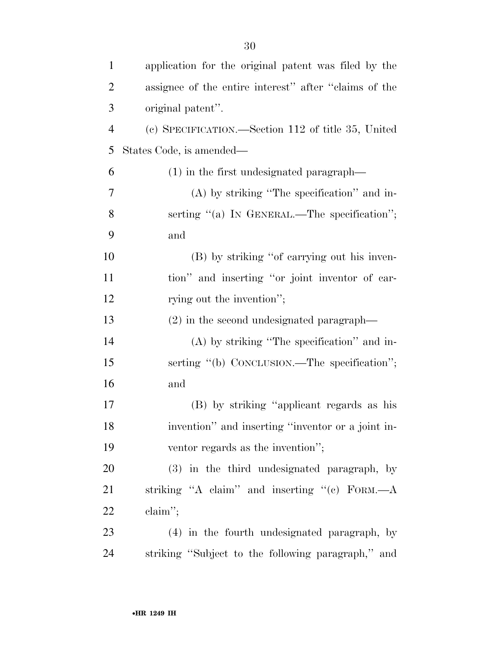| $\mathbf{1}$   | application for the original patent was filed by the  |
|----------------|-------------------------------------------------------|
| $\overline{2}$ | assignee of the entire interest" after "claims of the |
| 3              | original patent".                                     |
| $\overline{4}$ | (c) SPECIFICATION.—Section 112 of title 35, United    |
| 5              | States Code, is amended—                              |
| 6              | $(1)$ in the first undesignated paragraph—            |
| 7              | $(A)$ by striking "The specification" and in-         |
| 8              | serting $"$ (a) In GENERAL.—The specification";       |
| 9              | and                                                   |
| 10             | (B) by striking "of carrying out his inven-           |
| 11             | tion" and inserting "or joint inventor of car-        |
| 12             | rying out the invention";                             |
| 13             | $(2)$ in the second undesignated paragraph—           |
| 14             | $(A)$ by striking "The specification" and in-         |
| 15             | serting "(b) CONCLUSION.—The specification";          |
| 16             | and                                                   |
| 17             | (B) by striking "applicant regards as his             |
| 18             | invention" and inserting "inventor or a joint in-     |
| 19             | ventor regards as the invention";                     |
| 20             | (3) in the third undesignated paragraph, by           |
| 21             | striking "A claim" and inserting "(c) FORM.—A         |
| 22             | $claim''$ ;                                           |
| 23             | (4) in the fourth undesignated paragraph, by          |
| 24             | striking "Subject to the following paragraph," and    |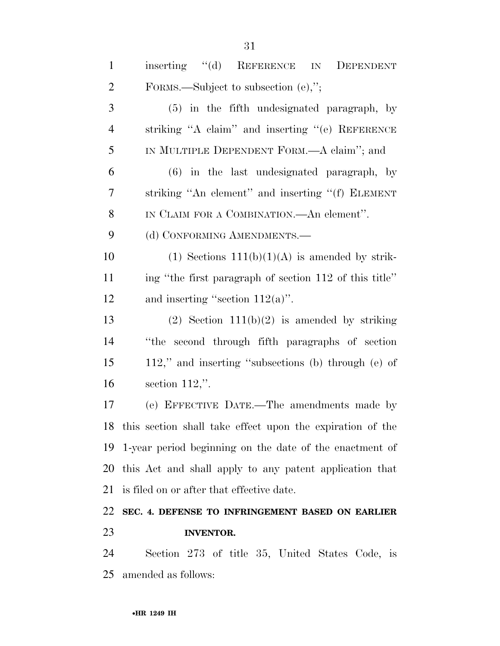| $\mathbf{1}$   | inserting "(d) REFERENCE IN<br>DEPENDENT                     |
|----------------|--------------------------------------------------------------|
| $\overline{2}$ | FORMS.—Subject to subsection $(e)$ ,";                       |
| 3              | (5) in the fifth undesignated paragraph, by                  |
| $\overline{4}$ | striking "A claim" and inserting "(e) REFERENCE              |
| 5              | IN MULTIPLE DEPENDENT FORM.—A claim"; and                    |
| 6              | $(6)$ in the last undesignated paragraph, by                 |
| 7              | striking "An element" and inserting "(f) ELEMENT             |
| 8              | IN CLAIM FOR A COMBINATION.—An element".                     |
| 9              | (d) CONFORMING AMENDMENTS.-                                  |
| 10             | $(1)$ Sections $111(b)(1)(A)$ is amended by strik-           |
| 11             | ing "the first paragraph of section 112 of this title"       |
| 12             | and inserting "section $112(a)$ ".                           |
| 13             | $(2)$ Section 111(b)(2) is amended by striking               |
| 14             | "the second through fifth paragraphs of section              |
| 15             | 112," and inserting "subsections (b) through (e) of          |
| 16             | section $112$ ,".                                            |
| 17             | (e) EFFECTIVE DATE.—The amendments made by                   |
|                | 18 this section shall take effect upon the expiration of the |
|                | 19 1-year period beginning on the date of the enactment of   |
|                | 20 this Act and shall apply to any patent application that   |
| 21             | is filed on or after that effective date.                    |
| 22             | SEC. 4. DEFENSE TO INFRINGEMENT BASED ON EARLIER             |
| 23             | <b>INVENTOR.</b>                                             |
| 24             | Section 273 of title 35, United States Code, is              |
| 25             | amended as follows:                                          |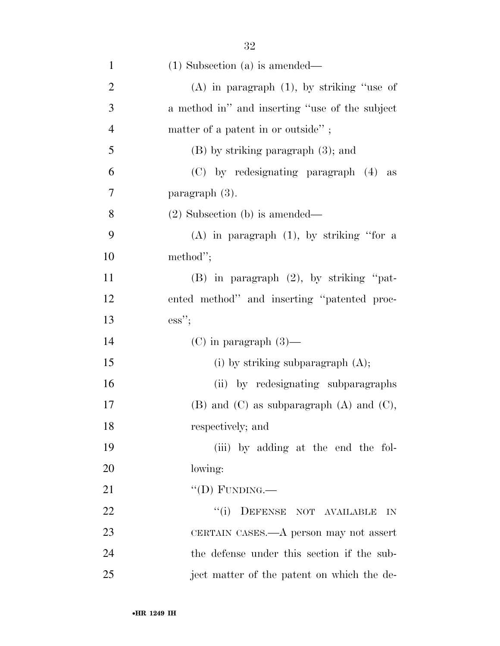| $\mathbf{1}$   | $(1)$ Subsection $(a)$ is amended—                |
|----------------|---------------------------------------------------|
| $\overline{2}$ | $(A)$ in paragraph $(1)$ , by striking "use of    |
| 3              | a method in" and inserting "use of the subject    |
| $\overline{4}$ | matter of a patent in or outside";                |
| 5              | $(B)$ by striking paragraph $(3)$ ; and           |
| 6              | (C) by redesignating paragraph (4) as             |
| 7              | paragraph (3).                                    |
| 8              | $(2)$ Subsection (b) is amended—                  |
| 9              | $(A)$ in paragraph $(1)$ , by striking "for a     |
| 10             | method";                                          |
| 11             | $(B)$ in paragraph $(2)$ , by striking "pat-      |
| 12             | ented method" and inserting "patented proc-       |
|                |                                                   |
| 13             | $\mathrm{ess}"$                                   |
| 14             | $(C)$ in paragraph $(3)$ —                        |
| 15             | (i) by striking subparagraph $(A)$ ;              |
| 16             | (ii) by redesignating subparagraphs               |
| 17             | $(B)$ and $(C)$ as subparagraph $(A)$ and $(C)$ , |
| 18             | respectively; and                                 |
| 19             | (iii) by adding at the end the fol-               |
| 20             | lowing:                                           |
| 21             | "(D) FUNDING.—                                    |
| 22             | ``(i)<br>DEFENSE NOT AVAILABLE<br>IN              |
| 23             | CERTAIN CASES.—A person may not assert            |
| 24             | the defense under this section if the sub-        |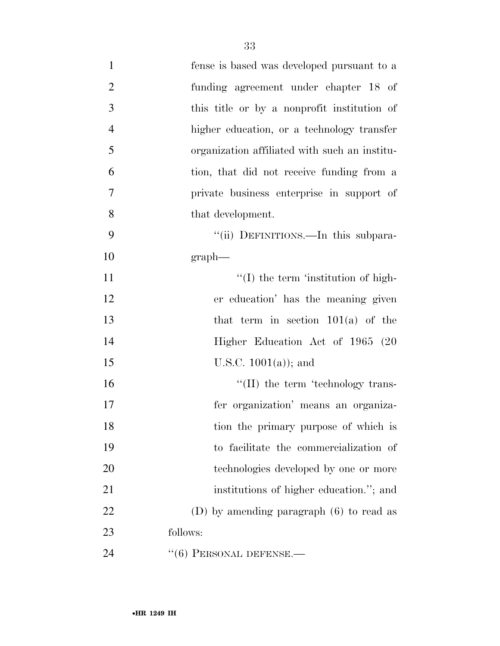| $\mathbf{1}$   | fense is based was developed pursuant to a    |
|----------------|-----------------------------------------------|
| $\overline{2}$ | funding agreement under chapter 18 of         |
| 3              | this title or by a nonprofit institution of   |
| $\overline{4}$ | higher education, or a technology transfer    |
| 5              | organization affiliated with such an institu- |
| 6              | tion, that did not receive funding from a     |
| 7              | private business enterprise in support of     |
| 8              | that development.                             |
| 9              | "(ii) DEFINITIONS.—In this subpara-           |
| 10             | graph                                         |
| 11             | $\lq\lq$ (I) the term 'institution of high-   |
| 12             | er education' has the meaning given           |
| 13             | that term in section $101(a)$ of the          |
| 14             | Higher Education Act of 1965 (20              |
| 15             | U.S.C. $1001(a)$ ; and                        |
| 16             | $\lq\lq$ (II) the term 'technology trans-     |
| 17             | fer organization' means an organiza-          |
| 18             | tion the primary purpose of which is          |
| 19             | to facilitate the commercialization of        |
| 20             | technologies developed by one or more         |
| 21             | institutions of higher education."; and       |
| 22             | (D) by amending paragraph $(6)$ to read as    |
| 23             | follows:                                      |
| 24             | $``(6)$ PERSONAL DEFENSE.—                    |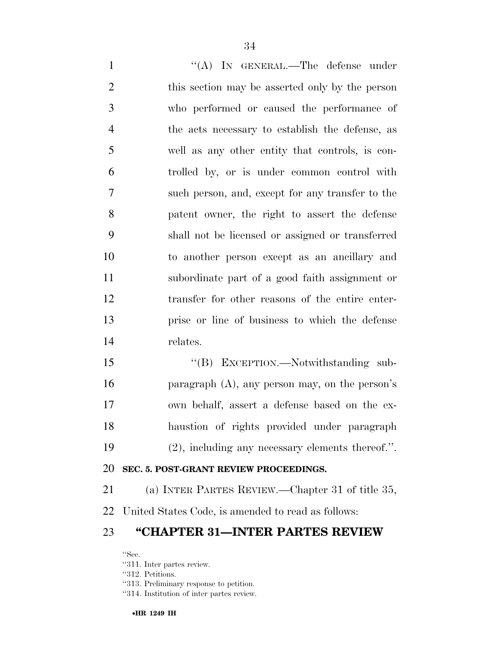1 ''(A) IN GENERAL.—The defense under this section may be asserted only by the person who performed or caused the performance of the acts necessary to establish the defense, as well as any other entity that controls, is con- trolled by, or is under common control with such person, and, except for any transfer to the patent owner, the right to assert the defense shall not be licensed or assigned or transferred to another person except as an ancillary and subordinate part of a good faith assignment or transfer for other reasons of the entire enter- prise or line of business to which the defense relates.

15 "(B) EXCEPTION.—Notwithstanding sub- paragraph (A), any person may, on the person's own behalf, assert a defense based on the ex- haustion of rights provided under paragraph (2), including any necessary elements thereof.''.

#### **SEC. 5. POST-GRANT REVIEW PROCEEDINGS.**

(a) INTER PARTES REVIEW.—Chapter 31 of title 35,

United States Code, is amended to read as follows:

## **''CHAPTER 31—INTER PARTES REVIEW**

''Sec.

''311. Inter partes review.

''312. Petitions.

''313. Preliminary response to petition.

''314. Institution of inter partes review.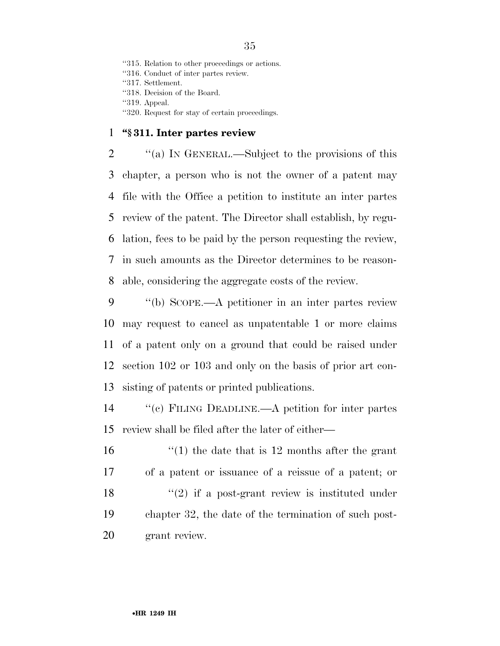''315. Relation to other proceedings or actions. ''316. Conduct of inter partes review. ''317. Settlement. ''318. Decision of the Board. ''319. Appeal. ''320. Request for stay of certain proceedings.

#### **''§ 311. Inter partes review**

 ''(a) IN GENERAL.—Subject to the provisions of this chapter, a person who is not the owner of a patent may file with the Office a petition to institute an inter partes review of the patent. The Director shall establish, by regu- lation, fees to be paid by the person requesting the review, in such amounts as the Director determines to be reason-able, considering the aggregate costs of the review.

 ''(b) SCOPE.—A petitioner in an inter partes review may request to cancel as unpatentable 1 or more claims of a patent only on a ground that could be raised under section 102 or 103 and only on the basis of prior art con-sisting of patents or printed publications.

 ''(c) FILING DEADLINE.—A petition for inter partes review shall be filed after the later of either—

 ''(1) the date that is 12 months after the grant of a patent or issuance of a reissue of a patent; or  $\langle \cdot (2)$  if a post-grant review is instituted under chapter 32, the date of the termination of such post-grant review.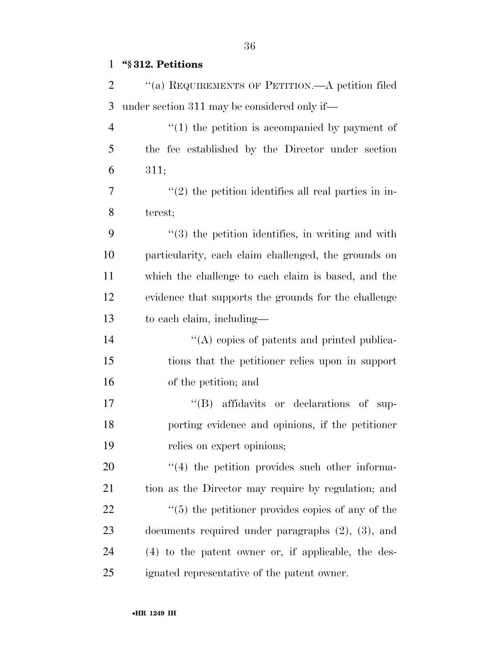# **''§ 312. Petitions**

| 2  | "(a) REQUIREMENTS OF PETITION.—A petition filed          |
|----|----------------------------------------------------------|
| 3  | under section 311 may be considered only if—             |
| 4  | $\lq(1)$ the petition is accompanied by payment of       |
| 5  | the fee established by the Director under section        |
| 6  | 311;                                                     |
| 7  | $\lq(2)$ the petition identifies all real parties in in- |
| 8  | terest;                                                  |
| 9  | $"$ (3) the petition identifies, in writing and with     |
| 10 | particularity, each claim challenged, the grounds on     |
| 11 | which the challenge to each claim is based, and the      |
| 12 | evidence that supports the grounds for the challenge     |
| 13 | to each claim, including—                                |
| 14 | "(A) copies of patents and printed publica-              |
| 15 | tions that the petitioner relies upon in support         |
| 16 | of the petition; and                                     |
| 17 | "(B) affidavits or declarations of sup-                  |
| 18 | porting evidence and opinions, if the petitioner         |
| 19 | relies on expert opinions;                               |
| 20 | $\lq(4)$ the petition provides such other informa-       |
| 21 | tion as the Director may require by regulation; and      |
| 22 | $\cdot$ (5) the petitioner provides copies of any of the |
| 23 | documents required under paragraphs $(2)$ , $(3)$ , and  |
| 24 | $(4)$ to the patent owner or, if applicable, the des-    |
| 25 | ignated representative of the patent owner.              |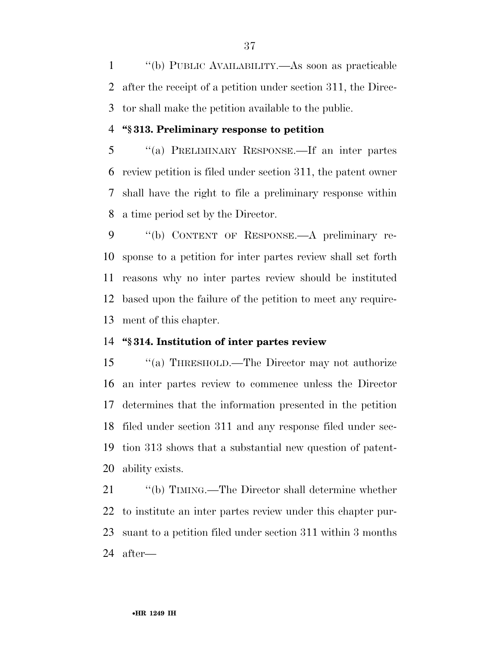''(b) PUBLIC AVAILABILITY.—As soon as practicable after the receipt of a petition under section 311, the Direc-tor shall make the petition available to the public.

#### **''§ 313. Preliminary response to petition**

 ''(a) PRELIMINARY RESPONSE.—If an inter partes review petition is filed under section 311, the patent owner shall have the right to file a preliminary response within a time period set by the Director.

 ''(b) CONTENT OF RESPONSE.—A preliminary re- sponse to a petition for inter partes review shall set forth reasons why no inter partes review should be instituted based upon the failure of the petition to meet any require-ment of this chapter.

# **''§ 314. Institution of inter partes review**

 ''(a) THRESHOLD.—The Director may not authorize an inter partes review to commence unless the Director determines that the information presented in the petition filed under section 311 and any response filed under sec- tion 313 shows that a substantial new question of patent-ability exists.

 ''(b) TIMING.—The Director shall determine whether to institute an inter partes review under this chapter pur- suant to a petition filed under section 311 within 3 months after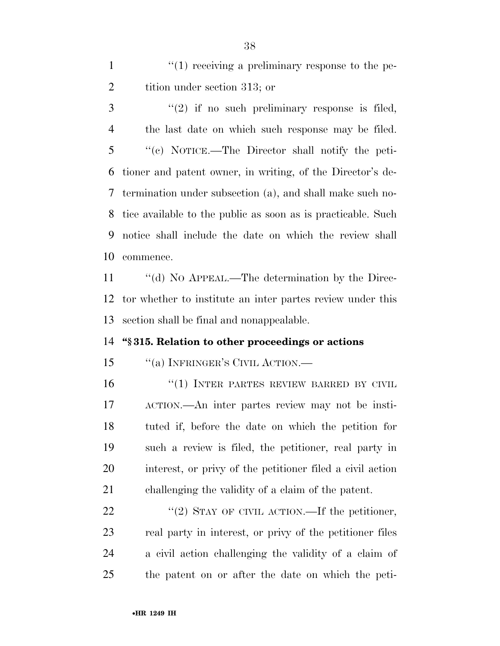1  $\frac{1}{1}$   $\frac{1}{2}$  receiving a preliminary response to the pe-2 tition under section 313; or

 ''(2) if no such preliminary response is filed, the last date on which such response may be filed. ''(c) NOTICE.—The Director shall notify the peti- tioner and patent owner, in writing, of the Director's de- termination under subsection (a), and shall make such no- tice available to the public as soon as is practicable. Such notice shall include the date on which the review shall commence.

11 "(d) No APPEAL.—The determination by the Direc- tor whether to institute an inter partes review under this section shall be final and nonappealable.

#### **''§ 315. Relation to other proceedings or actions**

15 "(a) INFRINGER'S CIVIL ACTION.—

16 "(1) INTER PARTES REVIEW BARRED BY CIVIL ACTION.—An inter partes review may not be insti- tuted if, before the date on which the petition for such a review is filed, the petitioner, real party in interest, or privy of the petitioner filed a civil action challenging the validity of a claim of the patent.

 $\frac{1}{2}$   $\frac{1}{2}$  STAY OF CIVIL ACTION. If the petitioner, real party in interest, or privy of the petitioner files a civil action challenging the validity of a claim of the patent on or after the date on which the peti-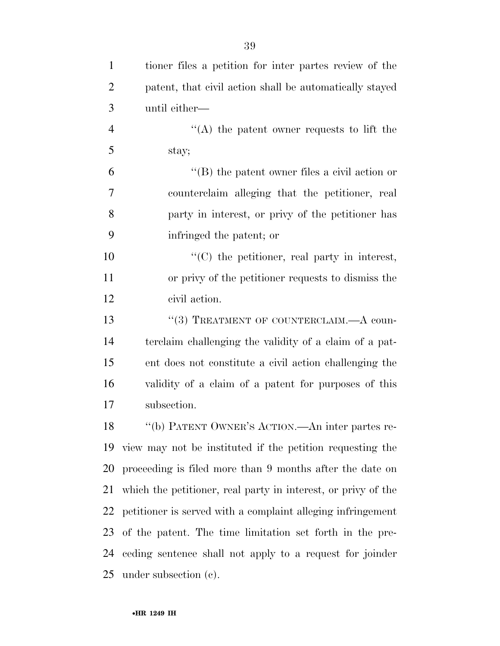| $\mathbf{1}$   | tioner files a petition for inter partes review of the        |
|----------------|---------------------------------------------------------------|
| $\overline{2}$ | patent, that civil action shall be automatically stayed       |
| 3              | until either—                                                 |
| $\overline{4}$ | "(A) the patent owner requests to lift the                    |
| 5              | stay;                                                         |
| 6              | $\lq\lq$ the patent owner files a civil action or             |
| 7              | counterclaim alleging that the petitioner, real               |
| 8              | party in interest, or privy of the petitioner has             |
| 9              | infringed the patent; or                                      |
| 10             | $\lq\lq$ (C) the petitioner, real party in interest,          |
| 11             | or privy of the petitioner requests to dismiss the            |
| 12             | civil action.                                                 |
| 13             | "(3) TREATMENT OF COUNTERCLAIM.—A coun-                       |
| 14             | terclaim challenging the validity of a claim of a pat-        |
| 15             | ent does not constitute a civil action challenging the        |
| 16             | validity of a claim of a patent for purposes of this          |
| 17             | subsection.                                                   |
|                | 18 "(b) PATENT OWNER'S ACTION.—An inter partes re-            |
|                | 19 view may not be instituted if the petition requesting the  |
| 20             | proceeding is filed more than 9 months after the date on      |
| 21             | which the petitioner, real party in interest, or privy of the |
| 22             | petitioner is served with a complaint alleging infringement   |
| 23             | of the patent. The time limitation set forth in the pre-      |
| 24             | eeding sentence shall not apply to a request for joinder      |
| 25             | under subsection $(e)$ .                                      |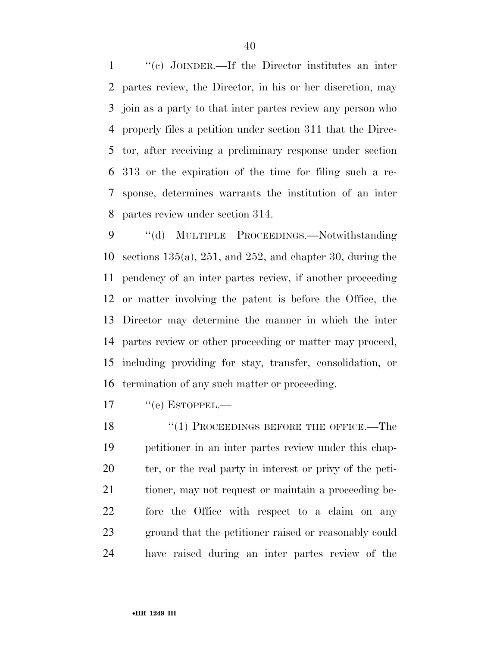''(c) JOINDER.—If the Director institutes an inter partes review, the Director, in his or her discretion, may join as a party to that inter partes review any person who properly files a petition under section 311 that the Direc- tor, after receiving a preliminary response under section 313 or the expiration of the time for filing such a re- sponse, determines warrants the institution of an inter partes review under section 314.

 ''(d) MULTIPLE PROCEEDINGS.—Notwithstanding sections 135(a), 251, and 252, and chapter 30, during the pendency of an inter partes review, if another proceeding or matter involving the patent is before the Office, the Director may determine the manner in which the inter partes review or other proceeding or matter may proceed, including providing for stay, transfer, consolidation, or termination of any such matter or proceeding.

17 "(e) ESTOPPEL.—

18 "(1) PROCEEDINGS BEFORE THE OFFICE.—The petitioner in an inter partes review under this chap- ter, or the real party in interest or privy of the peti- tioner, may not request or maintain a proceeding be- fore the Office with respect to a claim on any ground that the petitioner raised or reasonably could have raised during an inter partes review of the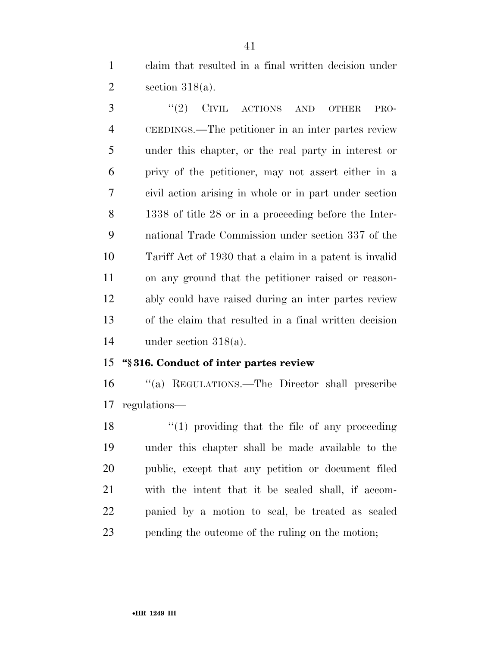claim that resulted in a final written decision under section 318(a).

3 "(2) CIVIL ACTIONS AND OTHER PRO- CEEDINGS.—The petitioner in an inter partes review under this chapter, or the real party in interest or privy of the petitioner, may not assert either in a civil action arising in whole or in part under section 1338 of title 28 or in a proceeding before the Inter- national Trade Commission under section 337 of the Tariff Act of 1930 that a claim in a patent is invalid on any ground that the petitioner raised or reason- ably could have raised during an inter partes review of the claim that resulted in a final written decision under section 318(a).

# **''§ 316. Conduct of inter partes review**

 ''(a) REGULATIONS.—The Director shall prescribe regulations—

18 ''(1) providing that the file of any proceeding under this chapter shall be made available to the public, except that any petition or document filed with the intent that it be sealed shall, if accom- panied by a motion to seal, be treated as sealed pending the outcome of the ruling on the motion;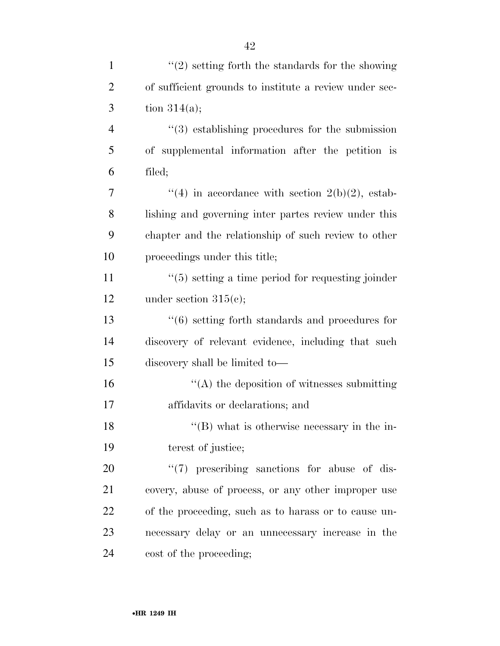| $\mathbf{1}$   | $\lq(2)$ setting forth the standards for the showing            |
|----------------|-----------------------------------------------------------------|
| $\overline{2}$ | of sufficient grounds to institute a review under sec-          |
| 3              | tion $314(a)$ ;                                                 |
| $\overline{4}$ | $\cdot\cdot\cdot(3)$ establishing procedures for the submission |
| 5              | of supplemental information after the petition is               |
| 6              | filed;                                                          |
| 7              | "(4) in accordance with section $2(b)(2)$ , estab-              |
| 8              | lishing and governing inter partes review under this            |
| 9              | chapter and the relationship of such review to other            |
| 10             | proceedings under this title;                                   |
| 11             | $\cdot$ (5) setting a time period for requesting joinder        |
| 12             | under section $315(e)$ ;                                        |
| 13             | $\lq\lq (6)$ setting forth standards and procedures for         |
| 14             | discovery of relevant evidence, including that such             |
| 15             | discovery shall be limited to-                                  |
| 16             | $\cdot$ (A) the deposition of witnesses submitting              |
| 17             | affidavits or declarations; and                                 |
| 18             | $\lq\lq (B)$ what is otherwise necessary in the in-             |
| 19             | terest of justice;                                              |
| 20             | $\lq(7)$ prescribing sanctions for abuse of dis-                |
| 21             | covery, abuse of process, or any other improper use             |
| 22             | of the proceeding, such as to harass or to cause un-            |
| 23             | necessary delay or an unnecessary increase in the               |
| 24             | cost of the proceeding;                                         |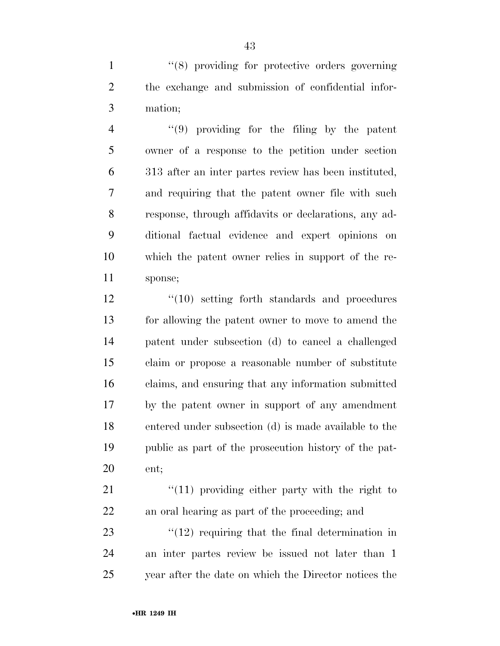1 ''(8) providing for protective orders governing the exchange and submission of confidential infor-mation;

 ''(9) providing for the filing by the patent owner of a response to the petition under section 313 after an inter partes review has been instituted, and requiring that the patent owner file with such response, through affidavits or declarations, any ad- ditional factual evidence and expert opinions on which the patent owner relies in support of the re-sponse;

12 ''(10) setting forth standards and procedures for allowing the patent owner to move to amend the patent under subsection (d) to cancel a challenged claim or propose a reasonable number of substitute claims, and ensuring that any information submitted by the patent owner in support of any amendment entered under subsection (d) is made available to the public as part of the prosecution history of the pat-ent;

21 ''(11) providing either party with the right to an oral hearing as part of the proceeding; and

 $\frac{123}{12}$  requiring that the final determination in an inter partes review be issued not later than 1 year after the date on which the Director notices the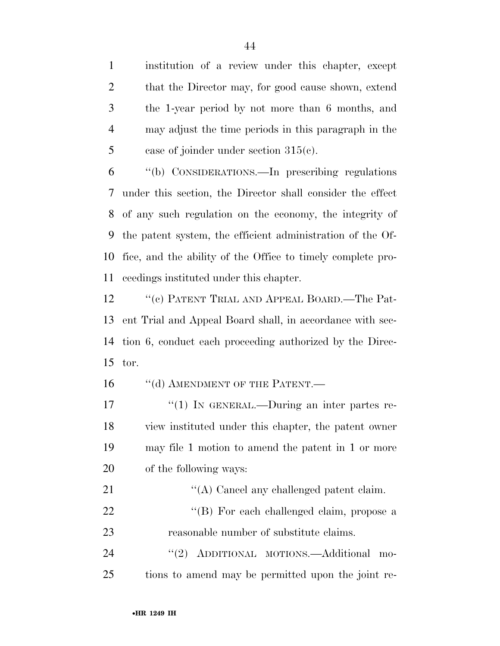institution of a review under this chapter, except 2 that the Director may, for good cause shown, extend the 1-year period by not more than 6 months, and may adjust the time periods in this paragraph in the 5 case of joinder under section  $315(c)$ .

 ''(b) CONSIDERATIONS.—In prescribing regulations under this section, the Director shall consider the effect of any such regulation on the economy, the integrity of the patent system, the efficient administration of the Of- fice, and the ability of the Office to timely complete pro-ceedings instituted under this chapter.

12 ''(c) PATENT TRIAL AND APPEAL BOARD.—The Pat- ent Trial and Appeal Board shall, in accordance with sec- tion 6, conduct each proceeding authorized by the Direc-tor.

16 "(d) AMENDMENT OF THE PATENT.—

17 <sup>"</sup>(1) IN GENERAL.—During an inter partes re- view instituted under this chapter, the patent owner may file 1 motion to amend the patent in 1 or more of the following ways:

21 ''(A) Cancel any challenged patent claim. 22 "'(B) For each challenged claim, propose a reasonable number of substitute claims.

24 "(2) ADDITIONAL MOTIONS.—Additional mo-tions to amend may be permitted upon the joint re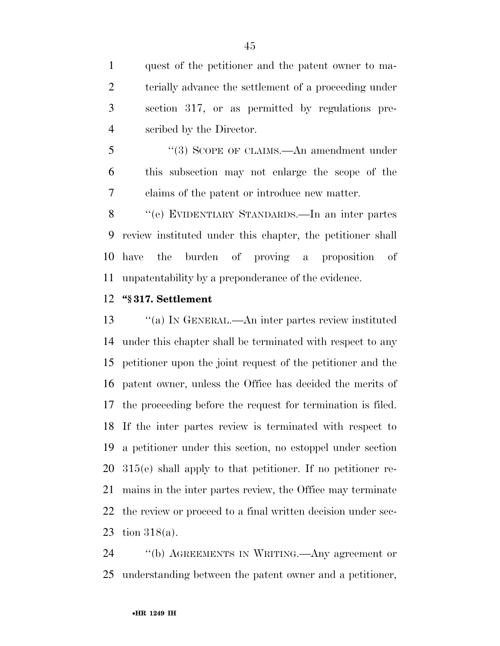quest of the petitioner and the patent owner to ma- terially advance the settlement of a proceeding under section 317, or as permitted by regulations pre-scribed by the Director.

5 "(3) SCOPE OF CLAIMS.—An amendment under this subsection may not enlarge the scope of the claims of the patent or introduce new matter.

 ''(e) EVIDENTIARY STANDARDS.—In an inter partes review instituted under this chapter, the petitioner shall have the burden of proving a proposition of unpatentability by a preponderance of the evidence.

#### **''§ 317. Settlement**

 ''(a) IN GENERAL.—An inter partes review instituted under this chapter shall be terminated with respect to any petitioner upon the joint request of the petitioner and the patent owner, unless the Office has decided the merits of the proceeding before the request for termination is filed. If the inter partes review is terminated with respect to a petitioner under this section, no estoppel under section 315(e) shall apply to that petitioner. If no petitioner re- mains in the inter partes review, the Office may terminate the review or proceed to a final written decision under sec-tion 318(a).

 ''(b) AGREEMENTS IN WRITING.—Any agreement or understanding between the patent owner and a petitioner,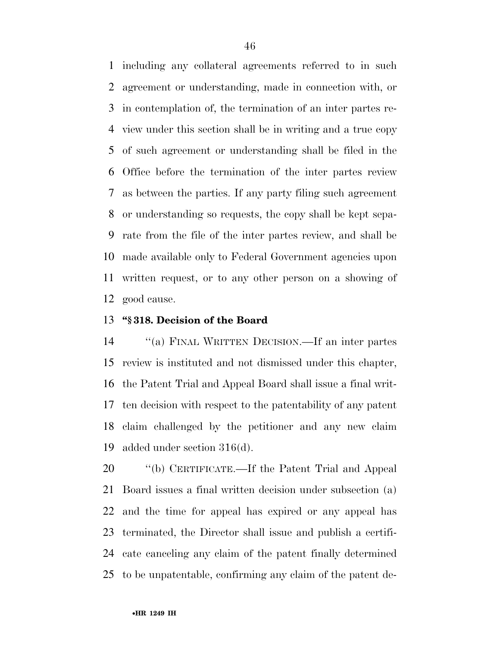including any collateral agreements referred to in such agreement or understanding, made in connection with, or in contemplation of, the termination of an inter partes re- view under this section shall be in writing and a true copy of such agreement or understanding shall be filed in the Office before the termination of the inter partes review as between the parties. If any party filing such agreement or understanding so requests, the copy shall be kept sepa- rate from the file of the inter partes review, and shall be made available only to Federal Government agencies upon written request, or to any other person on a showing of good cause.

# **''§ 318. Decision of the Board**

 ''(a) FINAL WRITTEN DECISION.—If an inter partes review is instituted and not dismissed under this chapter, the Patent Trial and Appeal Board shall issue a final writ- ten decision with respect to the patentability of any patent claim challenged by the petitioner and any new claim added under section 316(d).

 ''(b) CERTIFICATE.—If the Patent Trial and Appeal Board issues a final written decision under subsection (a) and the time for appeal has expired or any appeal has terminated, the Director shall issue and publish a certifi- cate canceling any claim of the patent finally determined to be unpatentable, confirming any claim of the patent de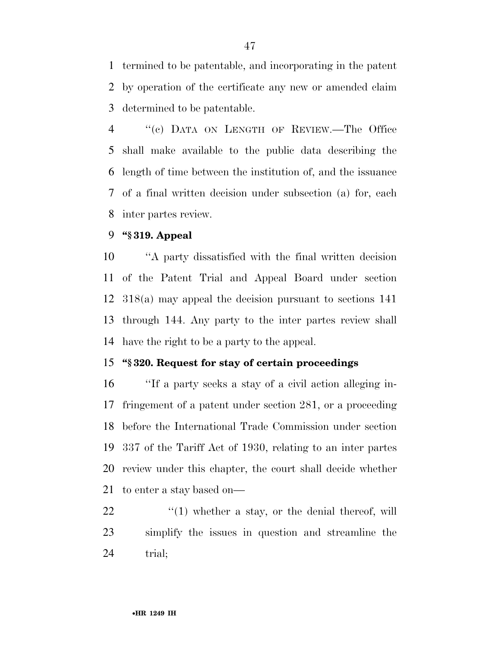termined to be patentable, and incorporating in the patent by operation of the certificate any new or amended claim determined to be patentable.

 ''(c) DATA ON LENGTH OF REVIEW.—The Office shall make available to the public data describing the length of time between the institution of, and the issuance of a final written decision under subsection (a) for, each inter partes review.

#### **''§ 319. Appeal**

 ''A party dissatisfied with the final written decision of the Patent Trial and Appeal Board under section 318(a) may appeal the decision pursuant to sections 141 through 144. Any party to the inter partes review shall have the right to be a party to the appeal.

# **''§ 320. Request for stay of certain proceedings**

 ''If a party seeks a stay of a civil action alleging in- fringement of a patent under section 281, or a proceeding before the International Trade Commission under section 337 of the Tariff Act of 1930, relating to an inter partes review under this chapter, the court shall decide whether to enter a stay based on—

  $\qquad$   $\qquad$   $\qquad$   $\qquad$   $\qquad$   $\qquad$   $\qquad$   $\qquad$   $\qquad$   $\qquad$   $\qquad$   $\qquad$   $\qquad$   $\qquad$   $\qquad$   $\qquad$   $\qquad$   $\qquad$   $\qquad$   $\qquad$   $\qquad$   $\qquad$   $\qquad$   $\qquad$   $\qquad$   $\qquad$   $\qquad$   $\qquad$   $\qquad$   $\qquad$   $\qquad$   $\qquad$   $\qquad$   $\qquad$   $\qquad$   $\qquad$  simplify the issues in question and streamline the 24 trial;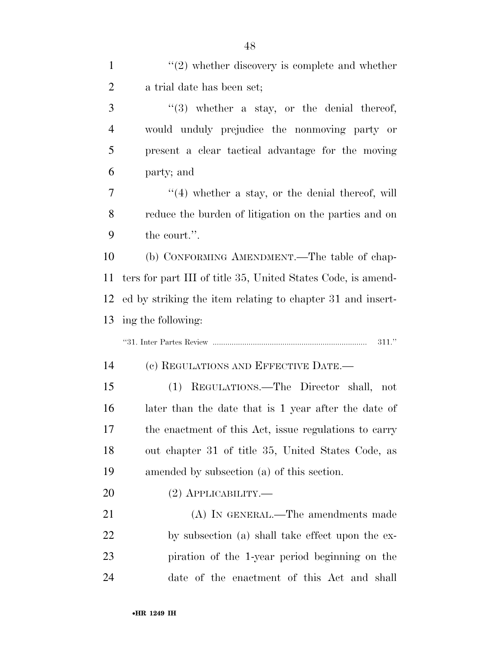| $\mathbf{1}$   | $\lq(2)$ whether discovery is complete and whether           |
|----------------|--------------------------------------------------------------|
| $\overline{2}$ | a trial date has been set;                                   |
| 3              | $\lq(3)$ whether a stay, or the denial thereof,              |
| $\overline{4}$ | would unduly prejudice the nonmoving party or                |
| 5              | present a clear tactical advantage for the moving            |
| 6              | party; and                                                   |
| 7              | $\lq(4)$ whether a stay, or the denial thereof, will         |
| 8              | reduce the burden of litigation on the parties and on        |
| 9              | the court.".                                                 |
| 10             | (b) CONFORMING AMENDMENT.—The table of chap-                 |
| 11             | ters for part III of title 35, United States Code, is amend- |
| 12             | ed by striking the item relating to chapter 31 and insert-   |
| 13             | ing the following:                                           |
|                |                                                              |
|                | 311."                                                        |
| 14             | (c) REGULATIONS AND EFFECTIVE DATE.—                         |
| 15             | (1) REGULATIONS.—The Director shall, not                     |
| 16             | later than the date that is 1 year after the date of         |
| 17             | the enactment of this Act, issue regulations to carry        |
| 18             | out chapter 31 of title 35, United States Code, as           |
| 19             | amended by subsection (a) of this section.                   |
| 20             | $(2)$ APPLICABILITY.—                                        |
| 21             | (A) IN GENERAL.—The amendments made                          |
| <u>22</u>      | by subsection (a) shall take effect upon the ex-             |
| 23             | piration of the 1-year period beginning on the               |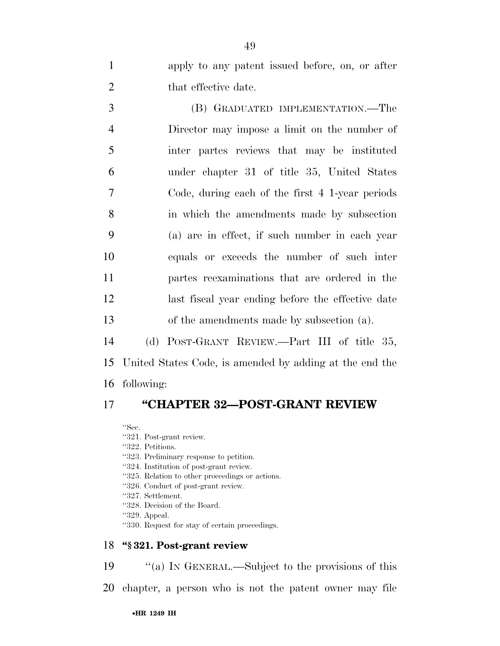apply to any patent issued before, on, or after 2 that effective date.

 (B) GRADUATED IMPLEMENTATION.—The Director may impose a limit on the number of inter partes reviews that may be instituted under chapter 31 of title 35, United States Code, during each of the first 4 1-year periods in which the amendments made by subsection (a) are in effect, if such number in each year equals or exceeds the number of such inter partes reexaminations that are ordered in the last fiscal year ending before the effective date of the amendments made by subsection (a).

 (d) POST-GRANT REVIEW.—Part III of title 35, United States Code, is amended by adding at the end the following:

# **''CHAPTER 32—POST-GRANT REVIEW**

''Sec.

- ''321. Post-grant review.
- ''322. Petitions.
- ''323. Preliminary response to petition.
- ''324. Institution of post-grant review.
- ''325. Relation to other proceedings or actions.
- ''326. Conduct of post-grant review.
- ''327. Settlement.
- ''328. Decision of the Board.
- ''329. Appeal.
- ''330. Request for stay of certain proceedings.

#### **''§ 321. Post-grant review**

''(a) IN GENERAL.—Subject to the provisions of this

chapter, a person who is not the patent owner may file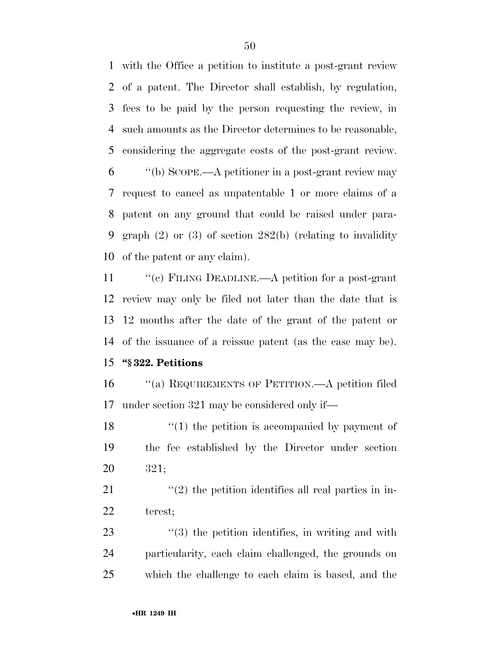with the Office a petition to institute a post-grant review of a patent. The Director shall establish, by regulation, fees to be paid by the person requesting the review, in such amounts as the Director determines to be reasonable, considering the aggregate costs of the post-grant review.

 ''(b) SCOPE.—A petitioner in a post-grant review may request to cancel as unpatentable 1 or more claims of a patent on any ground that could be raised under para- graph (2) or (3) of section 282(b) (relating to invalidity of the patent or any claim).

11 "(c) FILING DEADLINE.—A petition for a post-grant review may only be filed not later than the date that is 12 months after the date of the grant of the patent or of the issuance of a reissue patent (as the case may be).

# **''§ 322. Petitions**

16 "(a) REQUIREMENTS OF PETITION.—A petition filed under section 321 may be considered only if—

18 ''(1) the petition is accompanied by payment of the fee established by the Director under section 321;

 ''(2) the petition identifies all real parties in in-terest;

23  $\frac{1}{2}$  (3) the petition identifies, in writing and with particularity, each claim challenged, the grounds on which the challenge to each claim is based, and the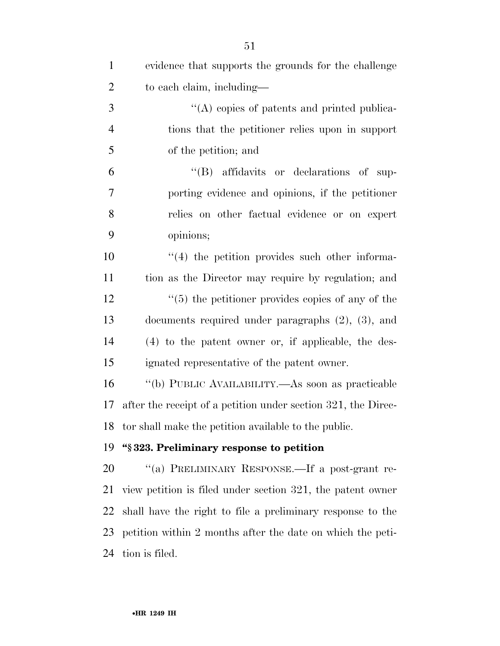| $\mathbf{1}$   | evidence that supports the grounds for the challenge          |
|----------------|---------------------------------------------------------------|
| $\overline{2}$ | to each claim, including—                                     |
| 3              | $\lq\lq$ copies of patents and printed publica-               |
| $\overline{4}$ | tions that the petitioner relies upon in support              |
| 5              | of the petition; and                                          |
| 6              | "(B) affidavits or declarations of sup-                       |
| 7              | porting evidence and opinions, if the petitioner              |
| 8              | relies on other factual evidence or on expert                 |
| 9              | opinions;                                                     |
| 10             | $\lq(4)$ the petition provides such other informa-            |
| 11             | tion as the Director may require by regulation; and           |
| 12             | $\cdot\cdot$ (5) the petitioner provides copies of any of the |
| 13             | documents required under paragraphs $(2)$ , $(3)$ , and       |
| 14             | $(4)$ to the patent owner or, if applicable, the des-         |
| 15             | ignated representative of the patent owner.                   |
| 16             | "(b) PUBLIC AVAILABILITY.—As soon as practicable              |
| 17             | after the receipt of a petition under section 321, the Direc- |
|                | 18 tor shall make the petition available to the public.       |
| 19             | "§323. Preliminary response to petition                       |
| 20             | "(a) PRELIMINARY RESPONSE.—If a post-grant re-                |
| 21             | view petition is filed under section 321, the patent owner    |
| 22             | shall have the right to file a preliminary response to the    |
| 23             | petition within 2 months after the date on which the peti-    |
| 24             | tion is filed.                                                |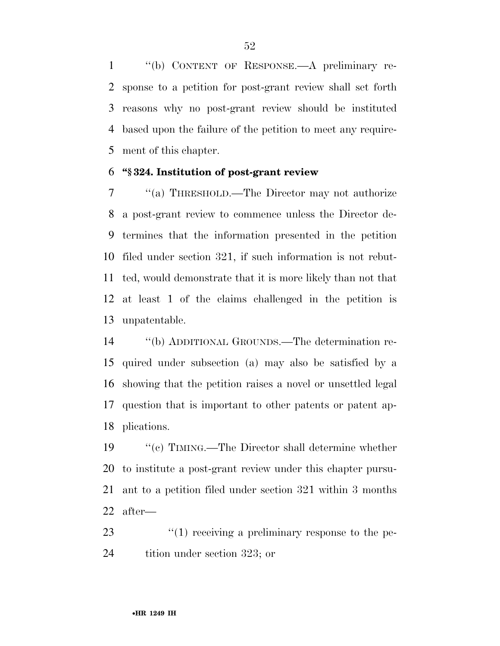''(b) CONTENT OF RESPONSE.—A preliminary re- sponse to a petition for post-grant review shall set forth reasons why no post-grant review should be instituted based upon the failure of the petition to meet any require-ment of this chapter.

## **''§ 324. Institution of post-grant review**

 ''(a) THRESHOLD.—The Director may not authorize a post-grant review to commence unless the Director de- termines that the information presented in the petition filed under section 321, if such information is not rebut- ted, would demonstrate that it is more likely than not that at least 1 of the claims challenged in the petition is unpatentable.

 ''(b) ADDITIONAL GROUNDS.—The determination re- quired under subsection (a) may also be satisfied by a showing that the petition raises a novel or unsettled legal question that is important to other patents or patent ap-plications.

 ''(c) TIMING.—The Director shall determine whether to institute a post-grant review under this chapter pursu- ant to a petition filed under section 321 within 3 months after—

23  $\frac{1}{2}$  (1) receiving a preliminary response to the pe-tition under section 323; or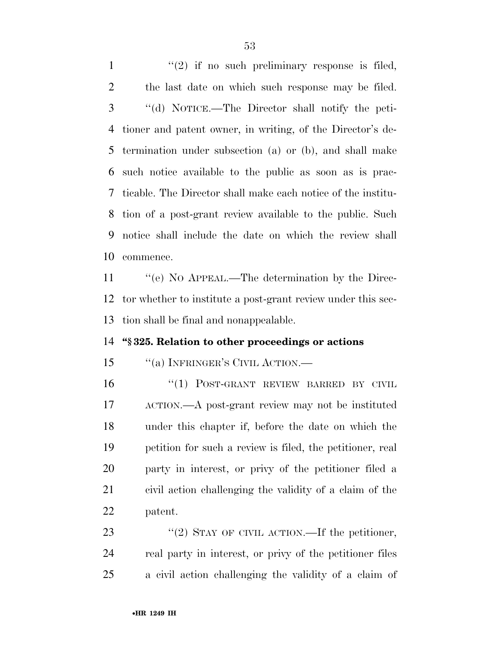$\frac{1}{2}$  if no such preliminary response is filed, the last date on which such response may be filed. ''(d) NOTICE.—The Director shall notify the peti- tioner and patent owner, in writing, of the Director's de- termination under subsection (a) or (b), and shall make such notice available to the public as soon as is prac- ticable. The Director shall make each notice of the institu- tion of a post-grant review available to the public. Such notice shall include the date on which the review shall commence. 11 "(e) No APPEAL.—The determination by the Direc-tor whether to institute a post-grant review under this sec-

tion shall be final and nonappealable.

# **''§ 325. Relation to other proceedings or actions**

# 15 "(a) INFRINGER'S CIVIL ACTION.—

16 "(1) POST-GRANT REVIEW BARRED BY CIVIL ACTION.—A post-grant review may not be instituted under this chapter if, before the date on which the petition for such a review is filed, the petitioner, real party in interest, or privy of the petitioner filed a civil action challenging the validity of a claim of the patent.

23 "(2) STAY OF CIVIL ACTION.—If the petitioner, real party in interest, or privy of the petitioner files a civil action challenging the validity of a claim of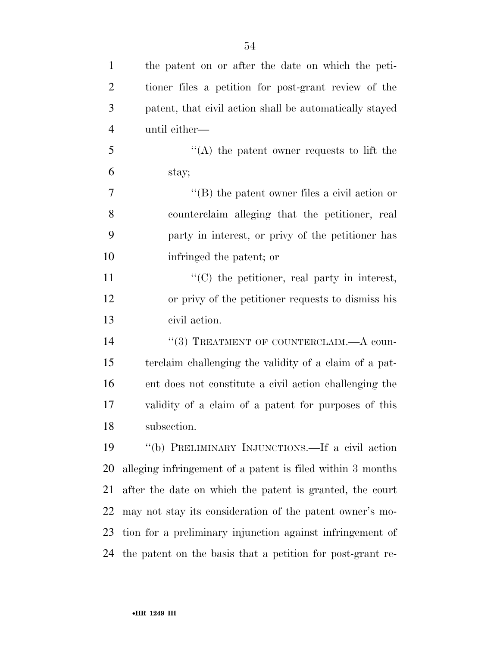| $\mathbf{1}$   | the patent on or after the date on which the peti-         |
|----------------|------------------------------------------------------------|
| $\overline{2}$ | tioner files a petition for post-grant review of the       |
| 3              | patent, that civil action shall be automatically stayed    |
| $\overline{4}$ | until either—                                              |
| 5              | $\lq\lq$ the patent owner requests to lift the             |
| 6              | stay;                                                      |
| 7              | $\lq\lq$ the patent owner files a civil action or          |
| 8              | counterclaim alleging that the petitioner, real            |
| 9              | party in interest, or privy of the petitioner has          |
| 10             | infringed the patent; or                                   |
| 11             | "(C) the petitioner, real party in interest,               |
| 12             | or privy of the petitioner requests to dismiss his         |
| 13             | civil action.                                              |
| 14             | "(3) TREATMENT OF COUNTERCLAIM.—A coun-                    |
| 15             | terclaim challenging the validity of a claim of a pat-     |
| 16             | ent does not constitute a civil action challenging the     |
| 17             | validity of a claim of a patent for purposes of this       |
| 18             | subsection.                                                |
| 19             | "(b) PRELIMINARY INJUNCTIONS.—If a civil action            |
| 20             | alleging infringement of a patent is filed within 3 months |
| 21             | after the date on which the patent is granted, the court   |
| 22             | may not stay its consideration of the patent owner's mo-   |
| 23             | tion for a preliminary injunction against infringement of  |
| 24             | the patent on the basis that a petition for post-grant re- |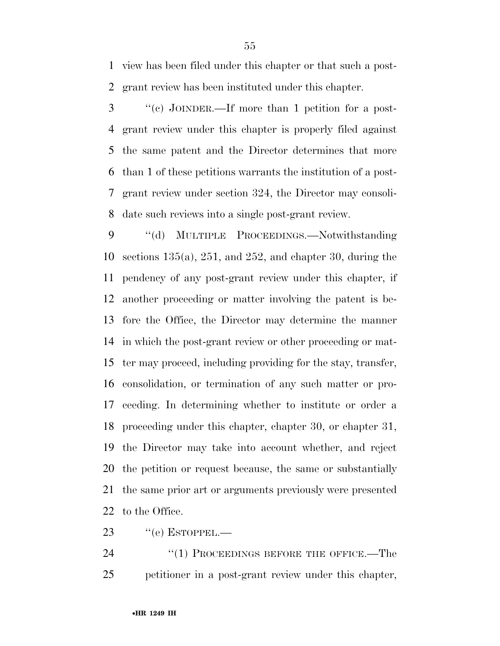view has been filed under this chapter or that such a post-grant review has been instituted under this chapter.

 ''(c) JOINDER.—If more than 1 petition for a post- grant review under this chapter is properly filed against the same patent and the Director determines that more than 1 of these petitions warrants the institution of a post- grant review under section 324, the Director may consoli-date such reviews into a single post-grant review.

 ''(d) MULTIPLE PROCEEDINGS.—Notwithstanding sections 135(a), 251, and 252, and chapter 30, during the pendency of any post-grant review under this chapter, if another proceeding or matter involving the patent is be- fore the Office, the Director may determine the manner in which the post-grant review or other proceeding or mat- ter may proceed, including providing for the stay, transfer, consolidation, or termination of any such matter or pro- ceeding. In determining whether to institute or order a proceeding under this chapter, chapter 30, or chapter 31, the Director may take into account whether, and reject the petition or request because, the same or substantially the same prior art or arguments previously were presented to the Office.

23  $"$ (e) ESTOPPEL.—

24 "(1) PROCEEDINGS BEFORE THE OFFICE.—The petitioner in a post-grant review under this chapter,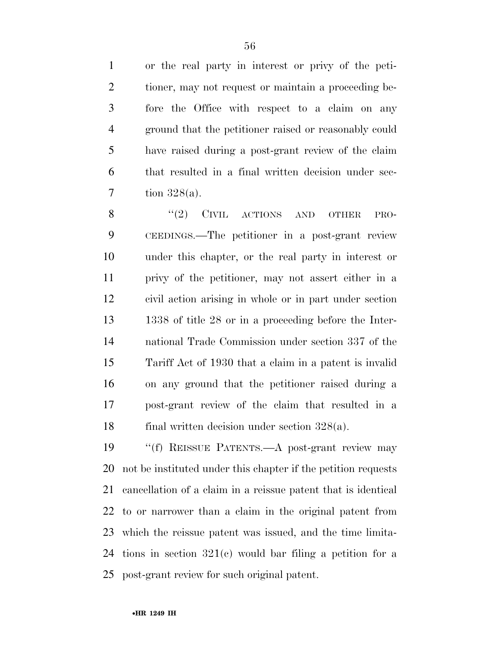or the real party in interest or privy of the peti- tioner, may not request or maintain a proceeding be- fore the Office with respect to a claim on any ground that the petitioner raised or reasonably could have raised during a post-grant review of the claim that resulted in a final written decision under sec-tion 328(a).

8 "(2) CIVIL ACTIONS AND OTHER PRO- CEEDINGS.—The petitioner in a post-grant review under this chapter, or the real party in interest or privy of the petitioner, may not assert either in a civil action arising in whole or in part under section 1338 of title 28 or in a proceeding before the Inter- national Trade Commission under section 337 of the Tariff Act of 1930 that a claim in a patent is invalid on any ground that the petitioner raised during a post-grant review of the claim that resulted in a final written decision under section 328(a).

19 "(f) REISSUE PATENTS.—A post-grant review may not be instituted under this chapter if the petition requests cancellation of a claim in a reissue patent that is identical to or narrower than a claim in the original patent from which the reissue patent was issued, and the time limita- tions in section 321(c) would bar filing a petition for a post-grant review for such original patent.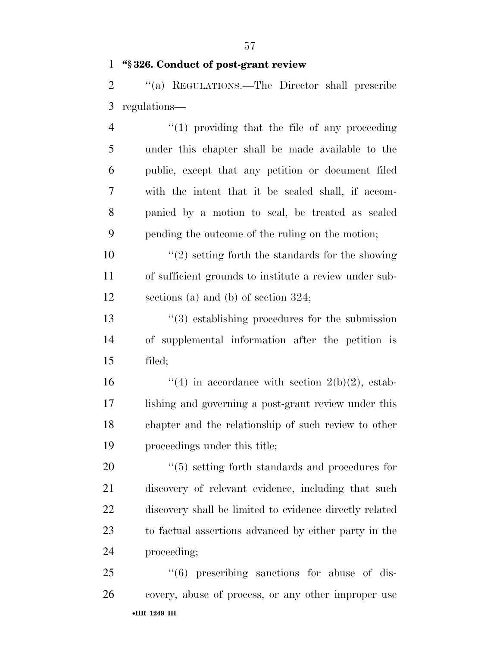### **''§ 326. Conduct of post-grant review**

 ''(a) REGULATIONS.—The Director shall prescribe regulations—

4 "(1) providing that the file of any proceeding under this chapter shall be made available to the public, except that any petition or document filed with the intent that it be sealed shall, if accom- panied by a motion to seal, be treated as sealed pending the outcome of the ruling on the motion;

 ''(2) setting forth the standards for the showing of sufficient grounds to institute a review under sub-sections (a) and (b) of section 324;

13 ''(3) establishing procedures for the submission of supplemental information after the petition is filed;

 $\frac{4}{10}$  in accordance with section 2(b)(2), estab- lishing and governing a post-grant review under this chapter and the relationship of such review to other proceedings under this title;

 $\frac{1}{20}$   $\frac{1}{5}$  setting forth standards and procedures for discovery of relevant evidence, including that such discovery shall be limited to evidence directly related to factual assertions advanced by either party in the proceeding;

•**HR 1249 IH** 25 "(6) prescribing sanctions for abuse of dis-covery, abuse of process, or any other improper use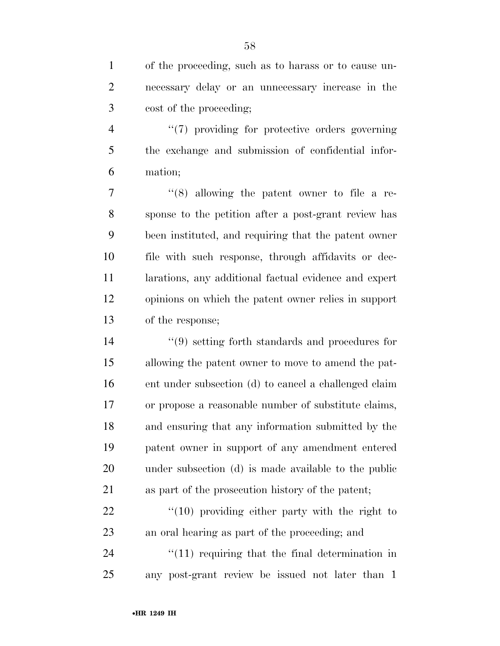of the proceeding, such as to harass or to cause un- necessary delay or an unnecessary increase in the cost of the proceeding;

4  $\frac{4}{7}$  providing for protective orders governing the exchange and submission of confidential infor-mation;

 ''(8) allowing the patent owner to file a re- sponse to the petition after a post-grant review has been instituted, and requiring that the patent owner file with such response, through affidavits or dec- larations, any additional factual evidence and expert opinions on which the patent owner relies in support of the response;

 ''(9) setting forth standards and procedures for allowing the patent owner to move to amend the pat- ent under subsection (d) to cancel a challenged claim or propose a reasonable number of substitute claims, and ensuring that any information submitted by the patent owner in support of any amendment entered under subsection (d) is made available to the public as part of the prosecution history of the patent;

22 "(10) providing either party with the right to an oral hearing as part of the proceeding; and

24  $\frac{1}{11}$  requiring that the final determination in any post-grant review be issued not later than 1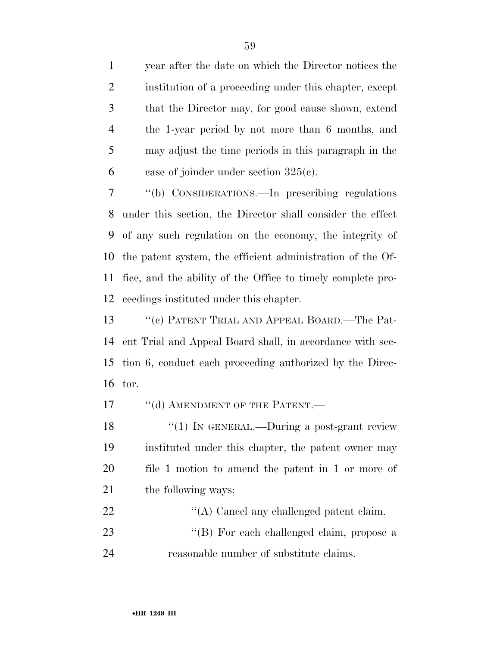year after the date on which the Director notices the institution of a proceeding under this chapter, except that the Director may, for good cause shown, extend the 1-year period by not more than 6 months, and may adjust the time periods in this paragraph in the 6 case of joinder under section  $325(c)$ .

 ''(b) CONSIDERATIONS.—In prescribing regulations under this section, the Director shall consider the effect of any such regulation on the economy, the integrity of the patent system, the efficient administration of the Of- fice, and the ability of the Office to timely complete pro-ceedings instituted under this chapter.

13 "(c) PATENT TRIAL AND APPEAL BOARD.—The Pat- ent Trial and Appeal Board shall, in accordance with sec- tion 6, conduct each proceeding authorized by the Direc-tor.

17 "(d) AMENDMENT OF THE PATENT.—

18 "(1) IN GENERAL.—During a post-grant review instituted under this chapter, the patent owner may file 1 motion to amend the patent in 1 or more of 21 the following ways:

22  $\langle (A) \rangle$  Cancel any challenged patent claim. 23 ''(B) For each challenged claim, propose a reasonable number of substitute claims.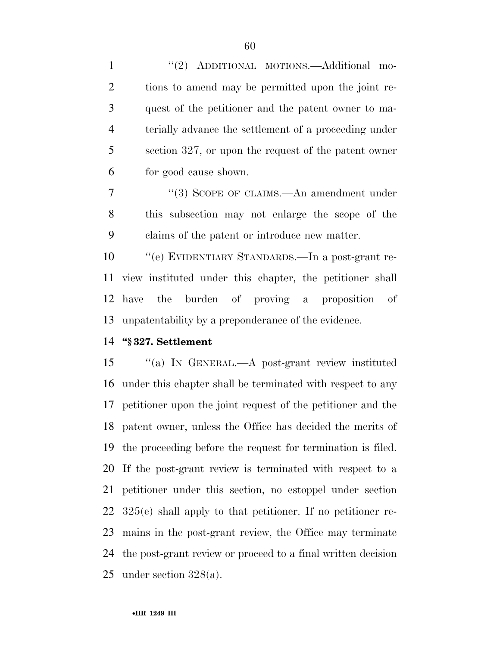1 "(2) ADDITIONAL MOTIONS.—Additional mo- tions to amend may be permitted upon the joint re- quest of the petitioner and the patent owner to ma- terially advance the settlement of a proceeding under section 327, or upon the request of the patent owner for good cause shown.

7 "(3) SCOPE OF CLAIMS.—An amendment under this subsection may not enlarge the scope of the claims of the patent or introduce new matter.

 ''(e) EVIDENTIARY STANDARDS.—In a post-grant re- view instituted under this chapter, the petitioner shall have the burden of proving a proposition of unpatentability by a preponderance of the evidence.

#### **''§ 327. Settlement**

 ''(a) IN GENERAL.—A post-grant review instituted under this chapter shall be terminated with respect to any petitioner upon the joint request of the petitioner and the patent owner, unless the Office has decided the merits of the proceeding before the request for termination is filed. If the post-grant review is terminated with respect to a petitioner under this section, no estoppel under section 325(e) shall apply to that petitioner. If no petitioner re- mains in the post-grant review, the Office may terminate the post-grant review or proceed to a final written decision under section 328(a).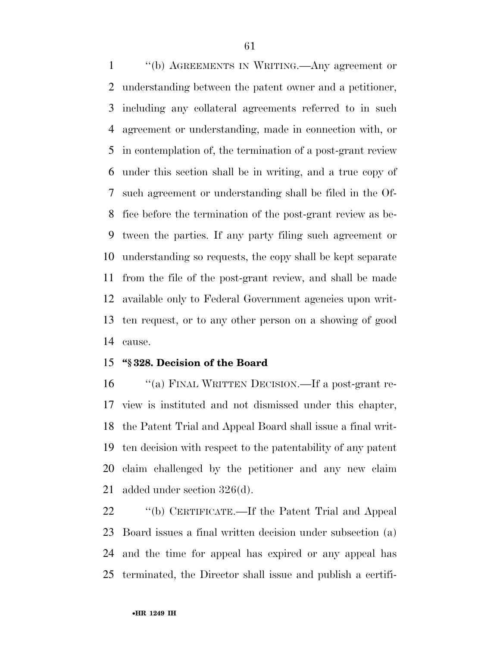''(b) AGREEMENTS IN WRITING.—Any agreement or understanding between the patent owner and a petitioner, including any collateral agreements referred to in such agreement or understanding, made in connection with, or in contemplation of, the termination of a post-grant review under this section shall be in writing, and a true copy of such agreement or understanding shall be filed in the Of- fice before the termination of the post-grant review as be- tween the parties. If any party filing such agreement or understanding so requests, the copy shall be kept separate from the file of the post-grant review, and shall be made available only to Federal Government agencies upon writ- ten request, or to any other person on a showing of good cause.

# **''§ 328. Decision of the Board**

 ''(a) FINAL WRITTEN DECISION.—If a post-grant re- view is instituted and not dismissed under this chapter, the Patent Trial and Appeal Board shall issue a final writ- ten decision with respect to the patentability of any patent claim challenged by the petitioner and any new claim added under section 326(d).

 ''(b) CERTIFICATE.—If the Patent Trial and Appeal Board issues a final written decision under subsection (a) and the time for appeal has expired or any appeal has terminated, the Director shall issue and publish a certifi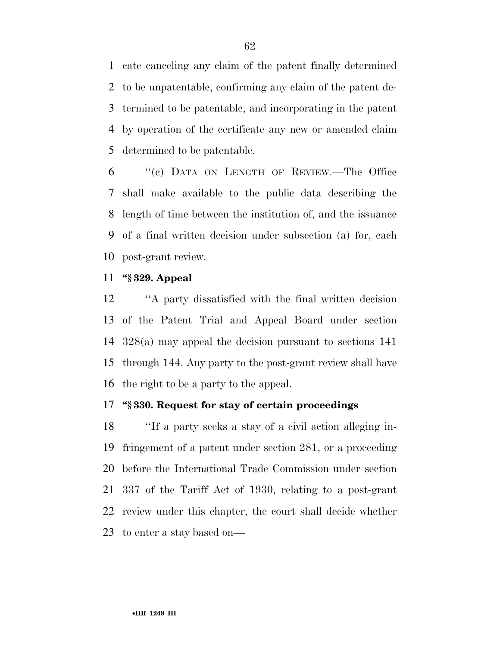cate canceling any claim of the patent finally determined to be unpatentable, confirming any claim of the patent de- termined to be patentable, and incorporating in the patent by operation of the certificate any new or amended claim determined to be patentable.

 ''(c) DATA ON LENGTH OF REVIEW.—The Office shall make available to the public data describing the length of time between the institution of, and the issuance of a final written decision under subsection (a) for, each post-grant review.

### **''§ 329. Appeal**

 ''A party dissatisfied with the final written decision of the Patent Trial and Appeal Board under section 328(a) may appeal the decision pursuant to sections 141 through 144. Any party to the post-grant review shall have the right to be a party to the appeal.

# **''§ 330. Request for stay of certain proceedings**

 ''If a party seeks a stay of a civil action alleging in- fringement of a patent under section 281, or a proceeding before the International Trade Commission under section 337 of the Tariff Act of 1930, relating to a post-grant review under this chapter, the court shall decide whether to enter a stay based on—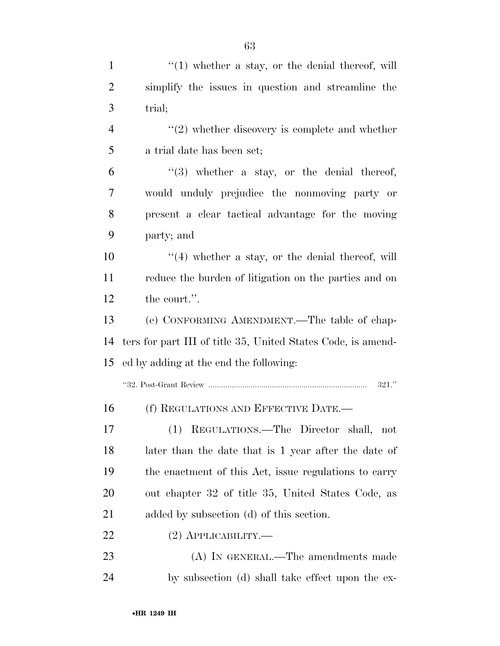| $\mathbf{1}$   | $f''(1)$ whether a stay, or the denial thereof, will         |
|----------------|--------------------------------------------------------------|
| $\overline{2}$ | simplify the issues in question and streamline the           |
| 3              | trial;                                                       |
| $\overline{4}$ | $\lq(2)$ whether discovery is complete and whether           |
| 5              | a trial date has been set;                                   |
| 6              | $\lq(3)$ whether a stay, or the denial thereof,              |
| $\overline{7}$ | would unduly prejudice the nonmoving party or                |
| 8              | present a clear tactical advantage for the moving            |
| 9              | party; and                                                   |
| 10             | $\lq(4)$ whether a stay, or the denial thereof, will         |
| 11             | reduce the burden of litigation on the parties and on        |
| 12             | the court.".                                                 |
| 13             | (e) CONFORMING AMENDMENT.—The table of chap-                 |
| 14             | ters for part III of title 35, United States Code, is amend- |
| 15             | ed by adding at the end the following:                       |
|                | 321."                                                        |
| 16             | (f) REGULATIONS AND EFFECTIVE DATE.-                         |
| 17             | (1) REGULATIONS.—The Director shall, not                     |
| 18             | later than the date that is 1 year after the date of         |
| 19             | the enactment of this Act, issue regulations to carry        |
| 20             | out chapter 32 of title 35, United States Code, as           |
| 21             | added by subsection (d) of this section.                     |
| 22             | $(2)$ APPLICABILITY.—                                        |
| 23             | (A) IN GENERAL.—The amendments made                          |
| 24             | by subsection (d) shall take effect upon the ex-             |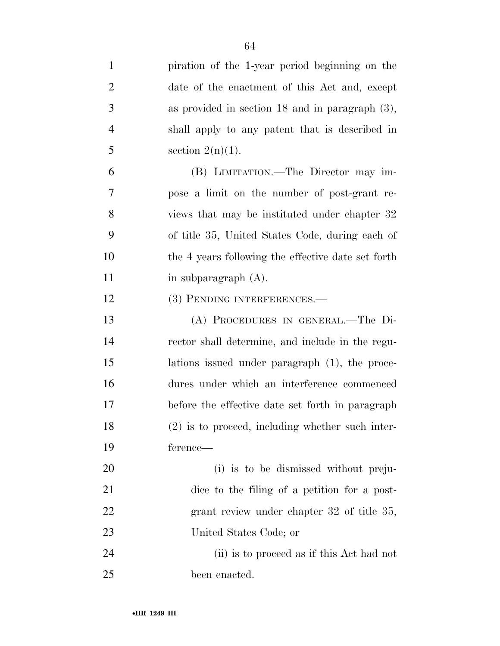| $\mathbf{1}$   | piration of the 1-year period beginning on the       |
|----------------|------------------------------------------------------|
| $\overline{2}$ | date of the enactment of this Act and, except        |
| 3              | as provided in section $18$ and in paragraph $(3)$ , |
| $\overline{4}$ | shall apply to any patent that is described in       |
| 5              | section $2(n)(1)$ .                                  |
| 6              | (B) LIMITATION.—The Director may im-                 |
| $\overline{7}$ | pose a limit on the number of post-grant re-         |
| 8              | views that may be instituted under chapter 32        |
| 9              | of title 35, United States Code, during each of      |
| 10             | the 4 years following the effective date set forth   |
| 11             | in subparagraph $(A)$ .                              |
| 12             | (3) PENDING INTERFERENCES.—                          |
| 13             | (A) PROCEDURES IN GENERAL.-The Di-                   |
| 14             | rector shall determine, and include in the regu-     |
| 15             | lations issued under paragraph (1), the proce-       |
| 16             | dures under which an interference commenced          |
| 17             | before the effective date set forth in paragraph     |
| 18             | $(2)$ is to proceed, including whether such inter-   |
| 19             | ference—                                             |
| 20             | (i) is to be dismissed without preju-                |
| 21             | dice to the filing of a petition for a post-         |
| 22             | grant review under chapter 32 of title 35,           |
| 23             | United States Code; or                               |
| 24             | (ii) is to proceed as if this Act had not            |
| 25             | been enacted.                                        |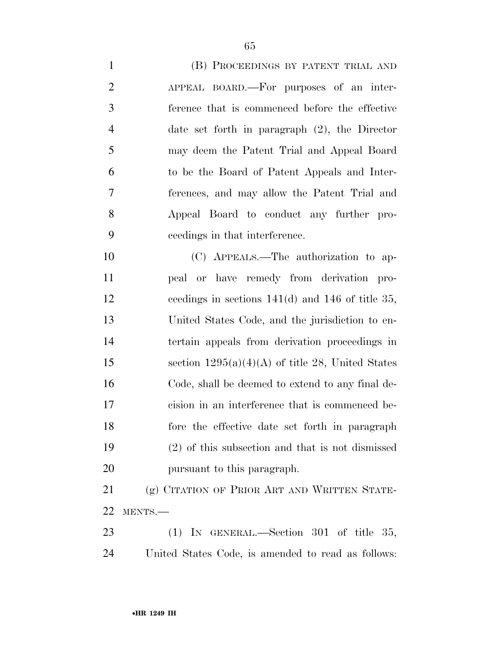| $\mathbf{1}$   | (B) PROCEEDINGS BY PATENT TRIAL AND                  |
|----------------|------------------------------------------------------|
| $\overline{2}$ | APPEAL BOARD.—For purposes of an inter-              |
| 3              | ference that is commenced before the effective       |
| $\overline{4}$ | date set forth in paragraph $(2)$ , the Director     |
| 5              | may deem the Patent Trial and Appeal Board           |
| 6              | to be the Board of Patent Appeals and Inter-         |
| 7              | ferences, and may allow the Patent Trial and         |
| 8              | Appeal Board to conduct any further pro-             |
| 9              | ceedings in that interference.                       |
| 10             | (C) APPEALS.—The authorization to ap-                |
| 11             | peal or have remedy from derivation pro-             |
| 12             | ceedings in sections $141(d)$ and $146$ of title 35, |
| 13             | United States Code, and the jurisdiction to en-      |
| 14             | tertain appeals from derivation proceedings in       |
| 15             | section $1295(a)(4)(A)$ of title 28, United States   |
| 16             | Code, shall be deemed to extend to any final de-     |
| 17             | cision in an interference that is commenced be-      |
| 18             | fore the effective date set forth in paragraph       |
| 19             | $(2)$ of this subsection and that is not dismissed   |
| 20             | pursuant to this paragraph.                          |
| 21             | (g) CITATION OF PRIOR ART AND WRITTEN STATE-         |
| 22             | MENTS.-                                              |
| 23             | (1) IN GENERAL.—Section $301$ of title $35$ ,        |
|                |                                                      |

United States Code, is amended to read as follows: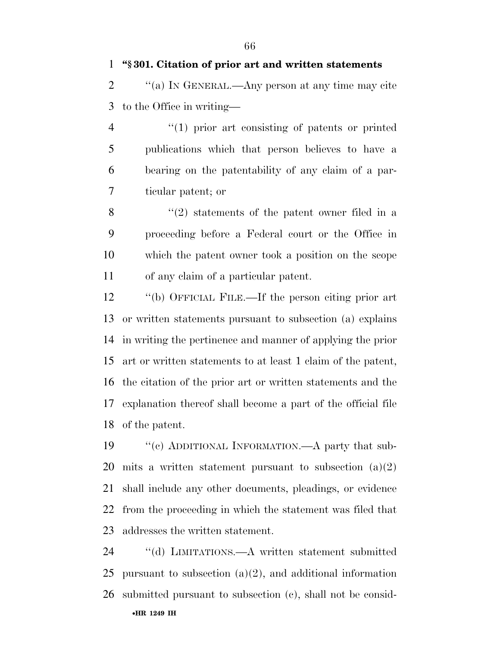**''§ 301. Citation of prior art and written statements** 

2  $\gamma$  (a) In GENERAL.—Any person at any time may cite to the Office in writing—

 $\frac{4}{1}$  prior art consisting of patents or printed publications which that person believes to have a bearing on the patentability of any claim of a par-ticular patent; or

 ''(2) statements of the patent owner filed in a proceeding before a Federal court or the Office in which the patent owner took a position on the scope of any claim of a particular patent.

 ''(b) OFFICIAL FILE.—If the person citing prior art or written statements pursuant to subsection (a) explains in writing the pertinence and manner of applying the prior art or written statements to at least 1 claim of the patent, the citation of the prior art or written statements and the explanation thereof shall become a part of the official file of the patent.

19 "(c) ADDITIONAL INFORMATION.—A party that sub- mits a written statement pursuant to subsection (a)(2) shall include any other documents, pleadings, or evidence from the proceeding in which the statement was filed that addresses the written statement.

•**HR 1249 IH** ''(d) LIMITATIONS.—A written statement submitted pursuant to subsection (a)(2), and additional information submitted pursuant to subsection (c), shall not be consid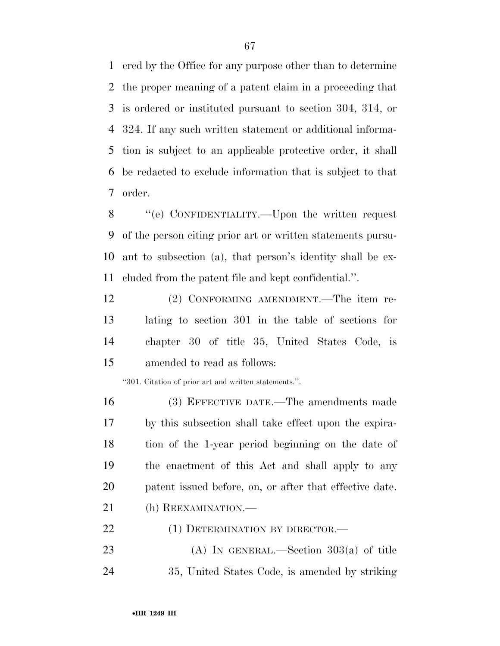ered by the Office for any purpose other than to determine the proper meaning of a patent claim in a proceeding that is ordered or instituted pursuant to section 304, 314, or 324. If any such written statement or additional informa- tion is subject to an applicable protective order, it shall be redacted to exclude information that is subject to that order.

 ''(e) CONFIDENTIALITY.—Upon the written request of the person citing prior art or written statements pursu- ant to subsection (a), that person's identity shall be ex-cluded from the patent file and kept confidential.''.

 (2) CONFORMING AMENDMENT.—The item re- lating to section 301 in the table of sections for chapter 30 of title 35, United States Code, is amended to read as follows:

''301. Citation of prior art and written statements.''.

 (3) EFFECTIVE DATE.—The amendments made by this subsection shall take effect upon the expira- tion of the 1-year period beginning on the date of the enactment of this Act and shall apply to any patent issued before, on, or after that effective date. 21 (h) REEXAMINATION.— 22 (1) DETERMINATION BY DIRECTOR.—

23 (A) IN GENERAL.—Section  $303(a)$  of title 35, United States Code, is amended by striking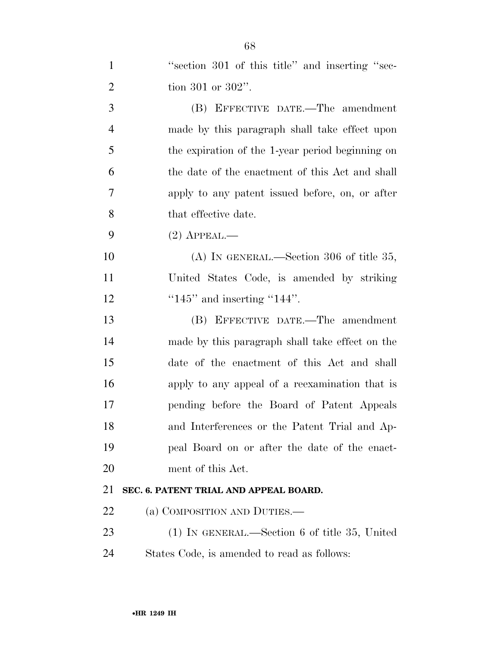| $\mathbf{1}$   | "section 301 of this title" and inserting "sec-  |
|----------------|--------------------------------------------------|
| $\overline{2}$ | tion 301 or $302$ ".                             |
| 3              | (B) EFFECTIVE DATE.—The amendment                |
| $\overline{4}$ | made by this paragraph shall take effect upon    |
| 5              | the expiration of the 1-year period beginning on |
| 6              | the date of the enactment of this Act and shall  |
| $\overline{7}$ | apply to any patent issued before, on, or after  |
| 8              | that effective date.                             |
| 9              | $(2)$ APPEAL.—                                   |
| 10             | $(A)$ IN GENERAL.—Section 306 of title 35,       |
| 11             | United States Code, is amended by striking       |
| 12             | " $145$ " and inserting " $144$ ".               |
| 13             | (B) EFFECTIVE DATE.—The amendment                |
| 14             | made by this paragraph shall take effect on the  |
| 15             | date of the enactment of this Act and shall      |
| 16             | apply to any appeal of a reexamination that is   |
| 17             | pending before the Board of Patent Appeals       |
| 18             | and Interferences or the Patent Trial and Ap-    |
| 19             | peal Board on or after the date of the enact-    |
| 20             | ment of this Act.                                |
| 21             | SEC. 6. PATENT TRIAL AND APPEAL BOARD.           |
| 22             | (a) COMPOSITION AND DUTIES.—                     |
| 23             | $(1)$ In GENERAL.—Section 6 of title 35, United  |
| 24             | States Code, is amended to read as follows:      |
|                |                                                  |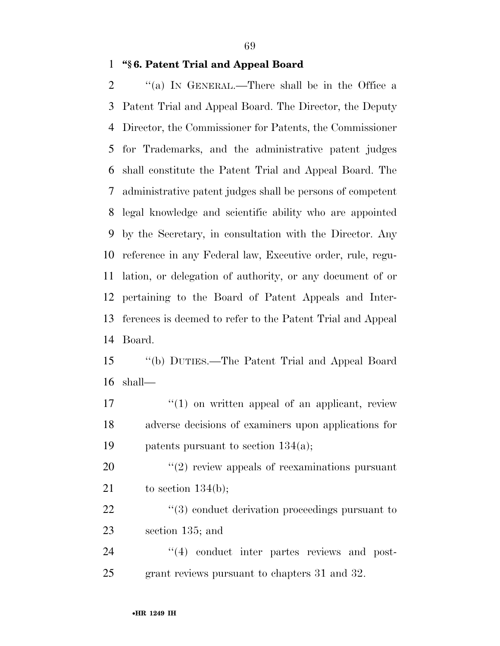# **''§ 6. Patent Trial and Appeal Board**

2 "(a) In GENERAL.—There shall be in the Office a Patent Trial and Appeal Board. The Director, the Deputy Director, the Commissioner for Patents, the Commissioner for Trademarks, and the administrative patent judges shall constitute the Patent Trial and Appeal Board. The administrative patent judges shall be persons of competent legal knowledge and scientific ability who are appointed by the Secretary, in consultation with the Director. Any reference in any Federal law, Executive order, rule, regu- lation, or delegation of authority, or any document of or pertaining to the Board of Patent Appeals and Inter- ferences is deemed to refer to the Patent Trial and Appeal Board.

 ''(b) DUTIES.—The Patent Trial and Appeal Board shall—

 ''(1) on written appeal of an applicant, review adverse decisions of examiners upon applications for patents pursuant to section 134(a);

20  $\frac{1}{2}$  (2) review appeals of reexaminations pursuant 21 to section  $134(b)$ ;

22 ''(3) conduct derivation proceedings pursuant to section 135; and

24  $\frac{1}{4}$  conduct inter partes reviews and post-grant reviews pursuant to chapters 31 and 32.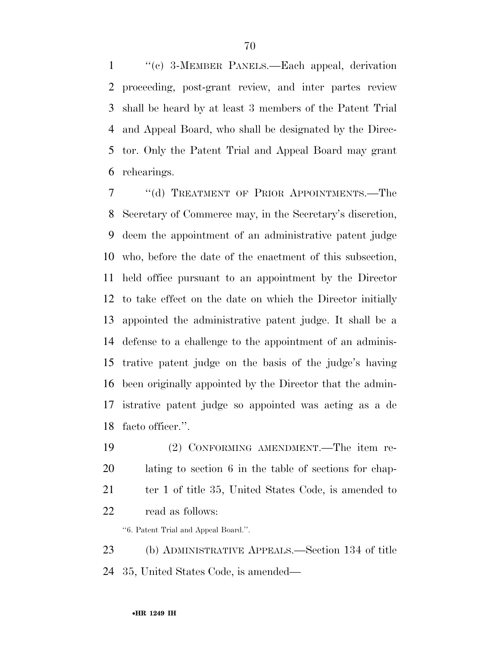''(c) 3-MEMBER PANELS.—Each appeal, derivation proceeding, post-grant review, and inter partes review shall be heard by at least 3 members of the Patent Trial and Appeal Board, who shall be designated by the Direc- tor. Only the Patent Trial and Appeal Board may grant rehearings.

7 "(d) TREATMENT OF PRIOR APPOINTMENTS.—The Secretary of Commerce may, in the Secretary's discretion, deem the appointment of an administrative patent judge who, before the date of the enactment of this subsection, held office pursuant to an appointment by the Director to take effect on the date on which the Director initially appointed the administrative patent judge. It shall be a defense to a challenge to the appointment of an adminis- trative patent judge on the basis of the judge's having been originally appointed by the Director that the admin- istrative patent judge so appointed was acting as a de facto officer.''.

 (2) CONFORMING AMENDMENT.—The item re- lating to section 6 in the table of sections for chap-21 ter 1 of title 35, United States Code, is amended to read as follows:

''6. Patent Trial and Appeal Board.''.

 (b) ADMINISTRATIVE APPEALS.—Section 134 of title 35, United States Code, is amended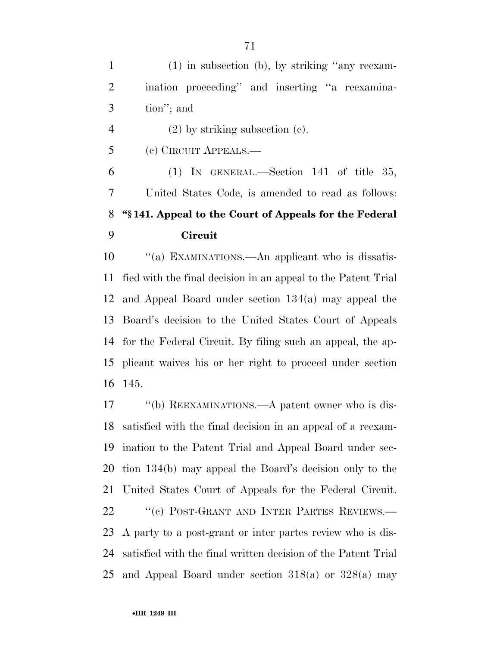(1) in subsection (b), by striking ''any reexam- ination proceeding'' and inserting ''a reexamina-tion''; and

(2) by striking subsection (c).

(c) CIRCUIT APPEALS.—

 (1) IN GENERAL.—Section 141 of title 35, United States Code, is amended to read as follows: **''§ 141. Appeal to the Court of Appeals for the Federal Circuit** 

 $\cdot$  "(a) EXAMINATIONS.—An applicant who is dissatis- fied with the final decision in an appeal to the Patent Trial and Appeal Board under section 134(a) may appeal the Board's decision to the United States Court of Appeals for the Federal Circuit. By filing such an appeal, the ap- plicant waives his or her right to proceed under section 145.

17 "(b) REEXAMINATIONS.—A patent owner who is dis- satisfied with the final decision in an appeal of a reexam- ination to the Patent Trial and Appeal Board under sec- tion 134(b) may appeal the Board's decision only to the United States Court of Appeals for the Federal Circuit. 22 "(c) POST-GRANT AND INTER PARTES REVIEWS.— A party to a post-grant or inter partes review who is dis- satisfied with the final written decision of the Patent Trial and Appeal Board under section 318(a) or 328(a) may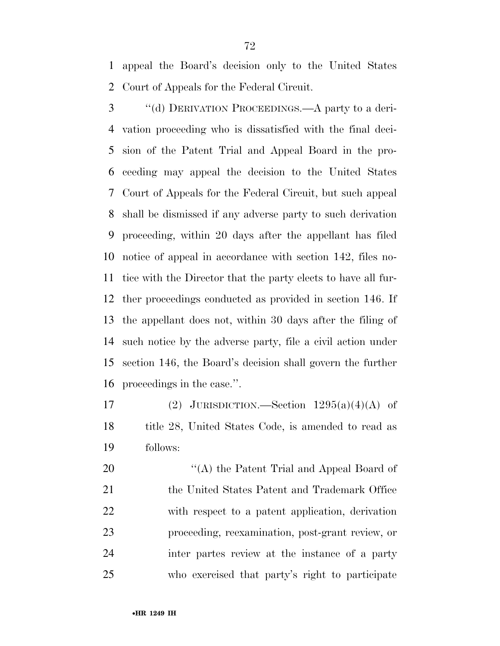appeal the Board's decision only to the United States Court of Appeals for the Federal Circuit.

 ''(d) DERIVATION PROCEEDINGS.—A party to a deri- vation proceeding who is dissatisfied with the final deci- sion of the Patent Trial and Appeal Board in the pro- ceeding may appeal the decision to the United States Court of Appeals for the Federal Circuit, but such appeal shall be dismissed if any adverse party to such derivation proceeding, within 20 days after the appellant has filed notice of appeal in accordance with section 142, files no- tice with the Director that the party elects to have all fur- ther proceedings conducted as provided in section 146. If the appellant does not, within 30 days after the filing of such notice by the adverse party, file a civil action under section 146, the Board's decision shall govern the further proceedings in the case.''.

17 (2) JURISDICTION.—Section  $1295(a)(4)(A)$  of 18 title 28, United States Code, is amended to read as follows:

20 "(A) the Patent Trial and Appeal Board of 21 the United States Patent and Trademark Office with respect to a patent application, derivation proceeding, reexamination, post-grant review, or inter partes review at the instance of a party who exercised that party's right to participate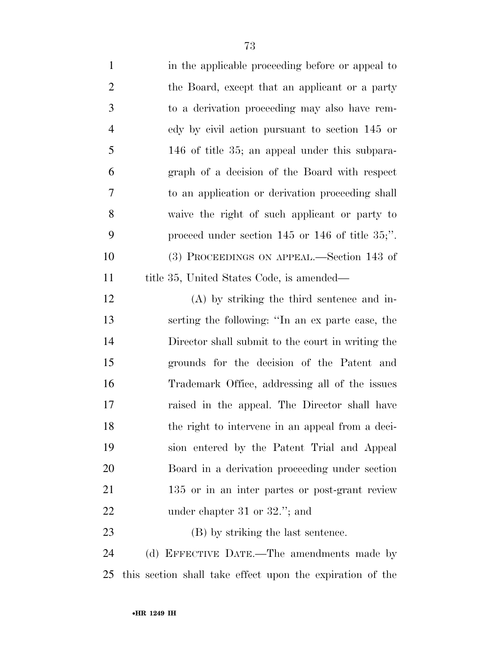| $\mathbf{1}$   | in the applicable proceeding before or appeal to          |
|----------------|-----------------------------------------------------------|
| $\overline{2}$ | the Board, except that an applicant or a party            |
| $\mathfrak{Z}$ | to a derivation proceeding may also have rem-             |
| $\overline{4}$ | edy by civil action pursuant to section 145 or            |
| 5              | 146 of title 35; an appeal under this subpara-            |
| 6              | graph of a decision of the Board with respect             |
| $\tau$         | to an application or derivation proceeding shall          |
| 8              | waive the right of such applicant or party to             |
| 9              | proceed under section $145$ or $146$ of title $35$ ;".    |
| 10             | (3) PROCEEDINGS ON APPEAL.—Section 143 of                 |
| 11             | title 35, United States Code, is amended—                 |
| 12             | $(A)$ by striking the third sentence and in-              |
| 13             | serting the following: "In an ex parte case, the          |
| 14             | Director shall submit to the court in writing the         |
| 15             | grounds for the decision of the Patent and                |
| 16             | Trademark Office, addressing all of the issues            |
| $17\,$         | raised in the appeal. The Director shall have             |
| 18             | the right to intervene in an appeal from a deci-          |
| 19             | sion entered by the Patent Trial and Appeal               |
| 20             | Board in a derivation proceeding under section            |
| 21             | 135 or in an inter partes or post-grant review            |
| 22             | under chapter 31 or $32$ ."; and                          |
| 23             | (B) by striking the last sentence.                        |
| 24             | (d) EFFECTIVE DATE.—The amendments made by                |
| 25             | this section shall take effect upon the expiration of the |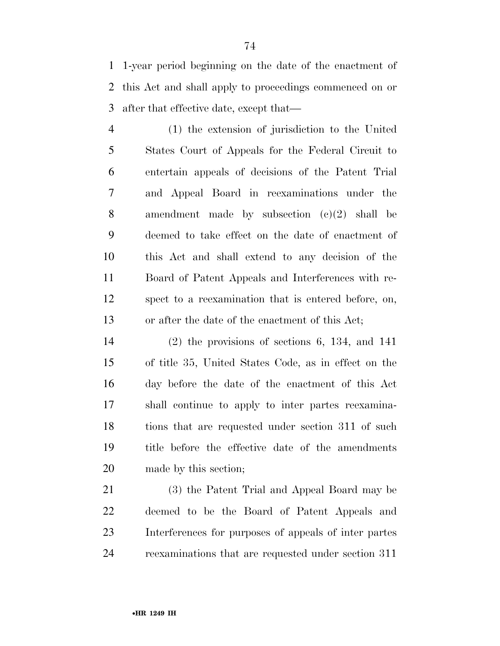1-year period beginning on the date of the enactment of this Act and shall apply to proceedings commenced on or after that effective date, except that—

 (1) the extension of jurisdiction to the United States Court of Appeals for the Federal Circuit to entertain appeals of decisions of the Patent Trial and Appeal Board in reexaminations under the amendment made by subsection (c)(2) shall be deemed to take effect on the date of enactment of this Act and shall extend to any decision of the Board of Patent Appeals and Interferences with re- spect to a reexamination that is entered before, on, or after the date of the enactment of this Act;

 (2) the provisions of sections 6, 134, and 141 of title 35, United States Code, as in effect on the day before the date of the enactment of this Act shall continue to apply to inter partes reexamina-18 tions that are requested under section 311 of such title before the effective date of the amendments made by this section;

 (3) the Patent Trial and Appeal Board may be deemed to be the Board of Patent Appeals and Interferences for purposes of appeals of inter partes reexaminations that are requested under section 311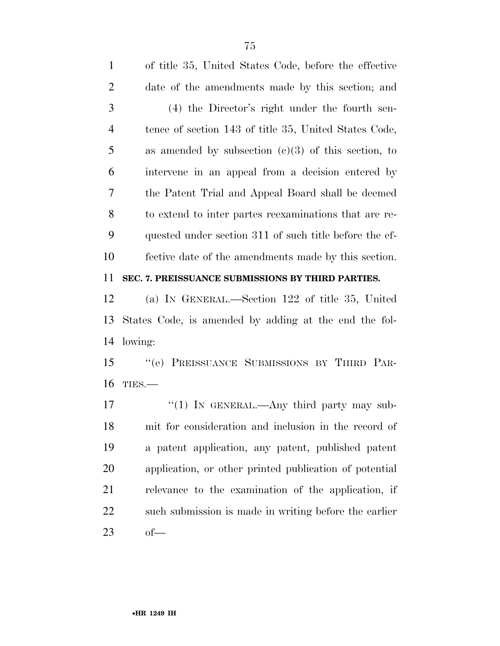| $\mathbf{1}$   | of title 35, United States Code, before the effective  |
|----------------|--------------------------------------------------------|
| $\overline{2}$ | date of the amendments made by this section; and       |
| 3              | (4) the Director's right under the fourth sen-         |
| $\overline{4}$ | tence of section 143 of title 35, United States Code,  |
| 5              | as amended by subsection $(c)(3)$ of this section, to  |
| 6              | intervene in an appeal from a decision entered by      |
| $\overline{7}$ | the Patent Trial and Appeal Board shall be deemed      |
| 8              | to extend to inter partes reexaminations that are re-  |
| 9              | quested under section 311 of such title before the ef- |
| 10             | fective date of the amendments made by this section.   |
| 11             | SEC. 7. PREISSUANCE SUBMISSIONS BY THIRD PARTIES.      |
| 12             | (a) IN GENERAL.—Section 122 of title 35, United        |
| 13             | States Code, is amended by adding at the end the fol-  |
| 14             | lowing:                                                |
| 15             | ``(e)<br>PREISSUANCE SUBMISSIONS BY THIRD PAR-         |
| 16             | TIES.-                                                 |
| 17             | "(1) IN GENERAL.—Any third party may sub-              |
| 18             | mit for consideration and inclusion in the record of   |
| 19             | a patent application, any patent, published patent     |
|                |                                                        |

application, or other printed publication of potential

relevance to the examination of the application, if

such submission is made in writing before the earlier

of—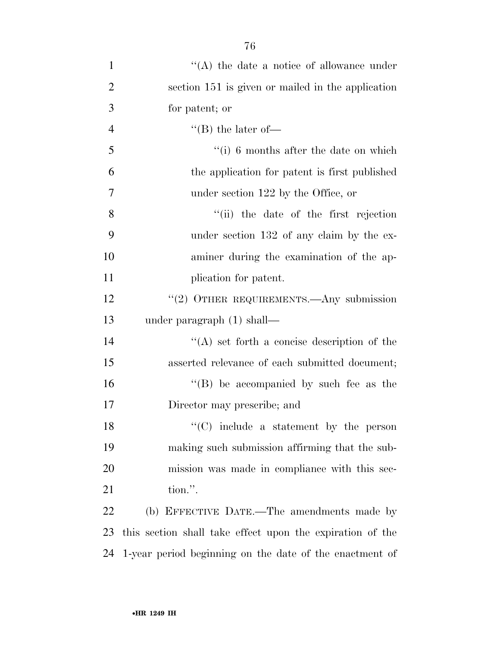| 1              | $\lq\lq$ the date a notice of allowance under             |
|----------------|-----------------------------------------------------------|
| $\overline{2}$ | section 151 is given or mailed in the application         |
| 3              | for patent; or                                            |
| $\overline{4}$ | $\lq\lq$ (B) the later of —                               |
| 5              | $\lq\lq$ (i) 6 months after the date on which             |
| 6              | the application for patent is first published             |
| 7              | under section 122 by the Office, or                       |
| 8              | "(ii) the date of the first rejection                     |
| 9              | under section 132 of any claim by the ex-                 |
| 10             | aminer during the examination of the ap-                  |
| 11             | plication for patent.                                     |
| 12             | $``(2)$ OTHER REQUIREMENTS.—Any submission                |
| 13             | under paragraph $(1)$ shall—                              |
| 14             | "(A) set forth a concise description of the               |
| 15             | asserted relevance of each submitted document;            |
| 16             | $\lq\lq$ be accompanied by such fee as the                |
| 17             | Director may prescribe; and                               |
| 18             | $\lq\lq$ include a statement by the person                |
| 19             | making such submission affirming that the sub-            |
| 20             | mission was made in compliance with this sec-             |
| 21             | tion.".                                                   |
| 22             | (b) EFFECTIVE DATE.—The amendments made by                |
| 23             | this section shall take effect upon the expiration of the |
| 24             | 1-year period beginning on the date of the enactment of   |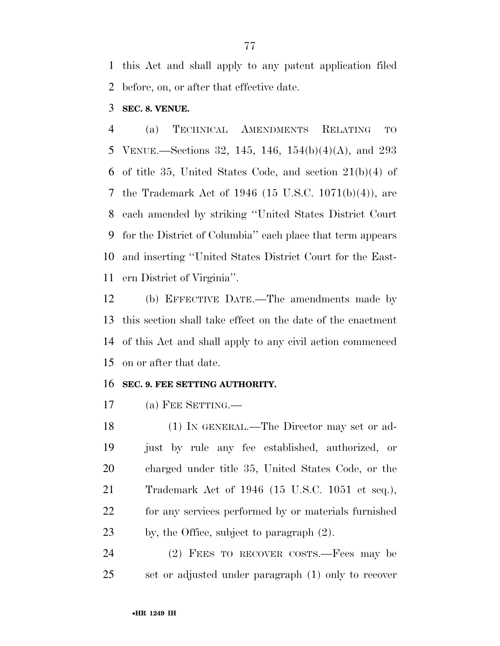this Act and shall apply to any patent application filed before, on, or after that effective date.

**SEC. 8. VENUE.** 

 (a) TECHNICAL AMENDMENTS RELATING TO VENUE.—Sections 32, 145, 146, 154(b)(4)(A), and 293 of title 35, United States Code, and section 21(b)(4) of the Trademark Act of 1946 (15 U.S.C. 1071(b)(4)), are each amended by striking ''United States District Court for the District of Columbia'' each place that term appears and inserting ''United States District Court for the East-ern District of Virginia''.

 (b) EFFECTIVE DATE.—The amendments made by this section shall take effect on the date of the enactment of this Act and shall apply to any civil action commenced on or after that date.

### **SEC. 9. FEE SETTING AUTHORITY.**

(a) FEE SETTING.—

 (1) IN GENERAL.—The Director may set or ad- just by rule any fee established, authorized, or charged under title 35, United States Code, or the Trademark Act of 1946 (15 U.S.C. 1051 et seq.), for any services performed by or materials furnished by, the Office, subject to paragraph (2).

 (2) FEES TO RECOVER COSTS.—Fees may be set or adjusted under paragraph (1) only to recover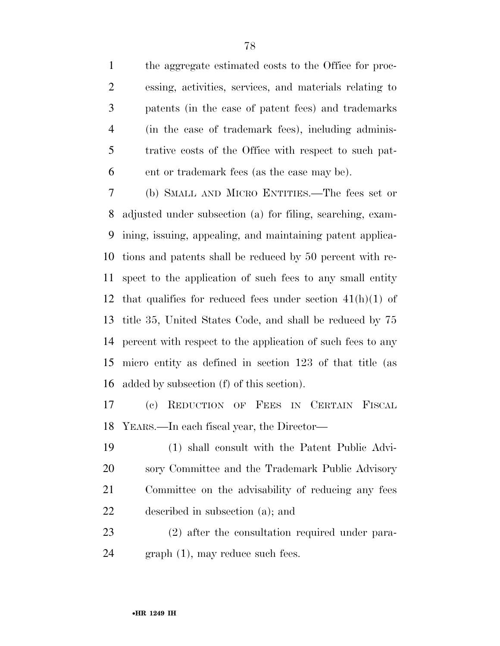the aggregate estimated costs to the Office for proc- essing, activities, services, and materials relating to patents (in the case of patent fees) and trademarks (in the case of trademark fees), including adminis- trative costs of the Office with respect to such pat-ent or trademark fees (as the case may be).

 (b) SMALL AND MICRO ENTITIES.—The fees set or adjusted under subsection (a) for filing, searching, exam- ining, issuing, appealing, and maintaining patent applica- tions and patents shall be reduced by 50 percent with re- spect to the application of such fees to any small entity 12 that qualifies for reduced fees under section  $41(h)(1)$  of title 35, United States Code, and shall be reduced by 75 percent with respect to the application of such fees to any micro entity as defined in section 123 of that title (as added by subsection (f) of this section).

 (c) REDUCTION OF FEES IN CERTAIN FISCAL YEARS.—In each fiscal year, the Director—

 (1) shall consult with the Patent Public Advi- sory Committee and the Trademark Public Advisory Committee on the advisability of reducing any fees described in subsection (a); and

 (2) after the consultation required under para-graph (1), may reduce such fees.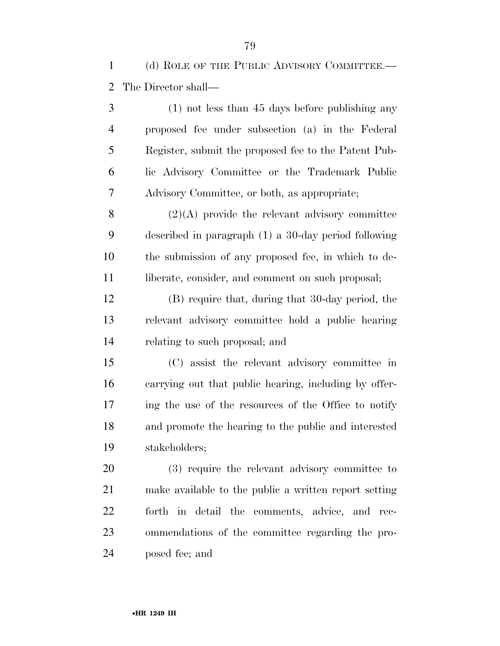(d) ROLE OF THE PUBLIC ADVISORY COMMITTEE.— The Director shall—

 (1) not less than 45 days before publishing any proposed fee under subsection (a) in the Federal Register, submit the proposed fee to the Patent Pub- lic Advisory Committee or the Trademark Public Advisory Committee, or both, as appropriate;

 (2)(A) provide the relevant advisory committee described in paragraph (1) a 30-day period following the submission of any proposed fee, in which to de-11 liberate, consider, and comment on such proposal;

 (B) require that, during that 30-day period, the relevant advisory committee hold a public hearing relating to such proposal; and

 (C) assist the relevant advisory committee in carrying out that public hearing, including by offer- ing the use of the resources of the Office to notify and promote the hearing to the public and interested stakeholders;

 (3) require the relevant advisory committee to make available to the public a written report setting forth in detail the comments, advice, and rec- ommendations of the committee regarding the pro-posed fee; and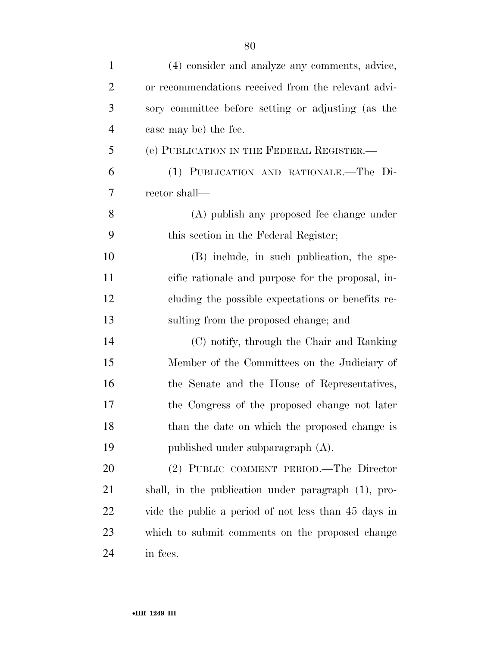| $\mathbf{1}$   | (4) consider and analyze any comments, advice,       |
|----------------|------------------------------------------------------|
| $\overline{2}$ | or recommendations received from the relevant advi-  |
| 3              | sory committee before setting or adjusting (as the   |
| $\overline{4}$ | case may be) the fee.                                |
| 5              | (e) PUBLICATION IN THE FEDERAL REGISTER.             |
| 6              | (1) PUBLICATION AND RATIONALE.—The Di-               |
| 7              | rector shall—                                        |
| 8              | (A) publish any proposed fee change under            |
| 9              | this section in the Federal Register;                |
| 10             | (B) include, in such publication, the spe-           |
| 11             | cific rationale and purpose for the proposal, in-    |
| 12             | cluding the possible expectations or benefits re-    |
| 13             | sulting from the proposed change; and                |
| 14             | (C) notify, through the Chair and Ranking            |
| 15             | Member of the Committees on the Judiciary of         |
| 16             | the Senate and the House of Representatives,         |
| 17             | the Congress of the proposed change not later        |
| 18             | than the date on which the proposed change is        |
| 19             | published under subparagraph (A).                    |
| 20             | (2) PUBLIC COMMENT PERIOD.—The Director              |
| 21             | shall, in the publication under paragraph (1), pro-  |
| 22             | vide the public a period of not less than 45 days in |
| 23             | which to submit comments on the proposed change      |
| 24             | in fees.                                             |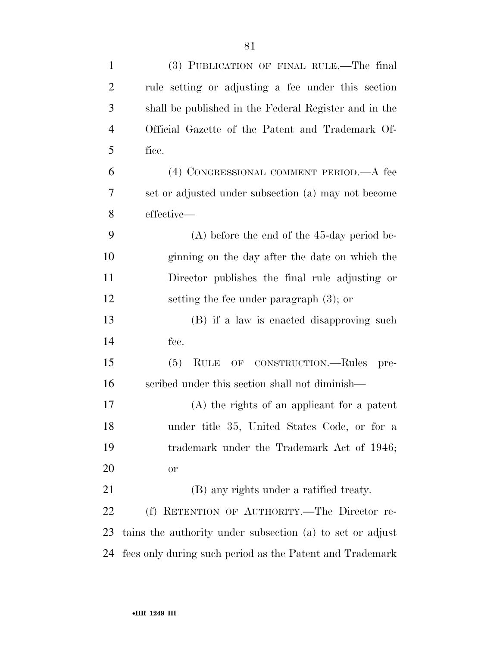| $\mathbf{1}$   | (3) PUBLICATION OF FINAL RULE.—The final                  |
|----------------|-----------------------------------------------------------|
| $\overline{2}$ | rule setting or adjusting a fee under this section        |
| 3              | shall be published in the Federal Register and in the     |
| $\overline{4}$ | Official Gazette of the Patent and Trademark Of-          |
| 5              | fice.                                                     |
| 6              | (4) CONGRESSIONAL COMMENT PERIOD.—A fee                   |
| 7              | set or adjusted under subsection (a) may not become       |
| 8              | effective—                                                |
| 9              | $(A)$ before the end of the 45-day period be-             |
| 10             | ginning on the day after the date on which the            |
| 11             | Director publishes the final rule adjusting or            |
| 12             | setting the fee under paragraph $(3)$ ; or                |
| 13             | (B) if a law is enacted disapproving such                 |
| 14             | fee.                                                      |
| 15             | (5)<br><b>RULE</b><br>OF CONSTRUCTION.—Rules<br>pre-      |
| 16             | scribed under this section shall not diminish—            |
| 17             | $(A)$ the rights of an applicant for a patent             |
| 18             | under title 35, United States Code, or for a              |
| 19             | trademark under the Trademark Act of 1946;                |
| 20             | <b>or</b>                                                 |
| 21             | (B) any rights under a ratified treaty.                   |
| 22             | (f) RETENTION OF AUTHORITY.—The Director re-              |
| 23             | tains the authority under subsection (a) to set or adjust |
| 24             | fees only during such period as the Patent and Trademark  |
|                |                                                           |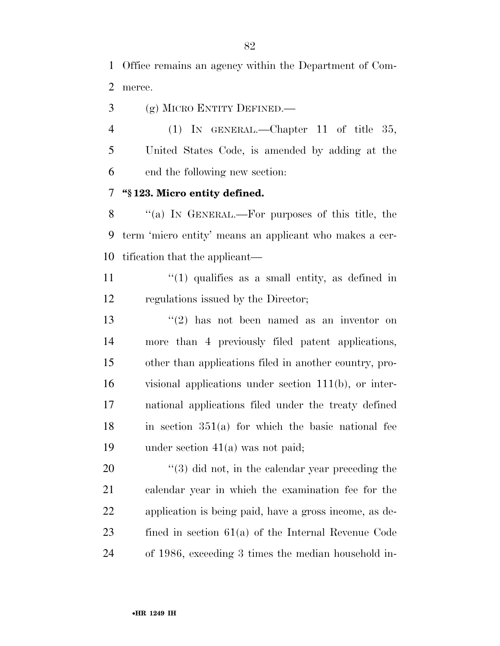Office remains an agency within the Department of Com-merce.

(g) MICRO ENTITY DEFINED.—

 (1) IN GENERAL.—Chapter 11 of title 35, United States Code, is amended by adding at the end the following new section:

### **''§ 123. Micro entity defined.**

8 "(a) IN GENERAL.—For purposes of this title, the term 'micro entity' means an applicant who makes a cer-tification that the applicant—

11 ''(1) qualifies as a small entity, as defined in regulations issued by the Director;

 $(2)$  has not been named as an inventor on more than 4 previously filed patent applications, other than applications filed in another country, pro- visional applications under section 111(b), or inter- national applications filed under the treaty defined in section  $351(a)$  for which the basic national fee under section 41(a) was not paid;

 $\frac{1}{20}$  (3) did not, in the calendar year preceding the calendar year in which the examination fee for the application is being paid, have a gross income, as de- fined in section 61(a) of the Internal Revenue Code of 1986, exceeding 3 times the median household in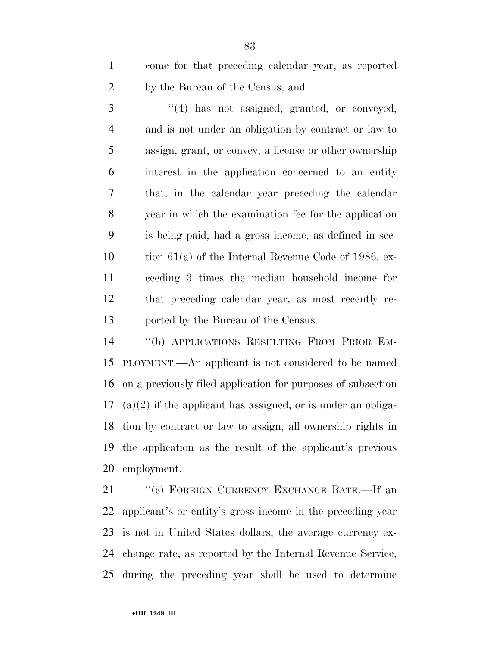come for that preceding calendar year, as reported by the Bureau of the Census; and

 ''(4) has not assigned, granted, or conveyed, and is not under an obligation by contract or law to assign, grant, or convey, a license or other ownership interest in the application concerned to an entity that, in the calendar year preceding the calendar year in which the examination fee for the application is being paid, had a gross income, as defined in sec- tion 61(a) of the Internal Revenue Code of 1986, ex- ceeding 3 times the median household income for that preceding calendar year, as most recently re-ported by the Bureau of the Census.

 ''(b) APPLICATIONS RESULTING FROM PRIOR EM- PLOYMENT.—An applicant is not considered to be named on a previously filed application for purposes of subsection (a)(2) if the applicant has assigned, or is under an obliga- tion by contract or law to assign, all ownership rights in the application as the result of the applicant's previous employment.

21 "(c) FOREIGN CURRENCY EXCHANGE RATE.—If an applicant's or entity's gross income in the preceding year is not in United States dollars, the average currency ex- change rate, as reported by the Internal Revenue Service, during the preceding year shall be used to determine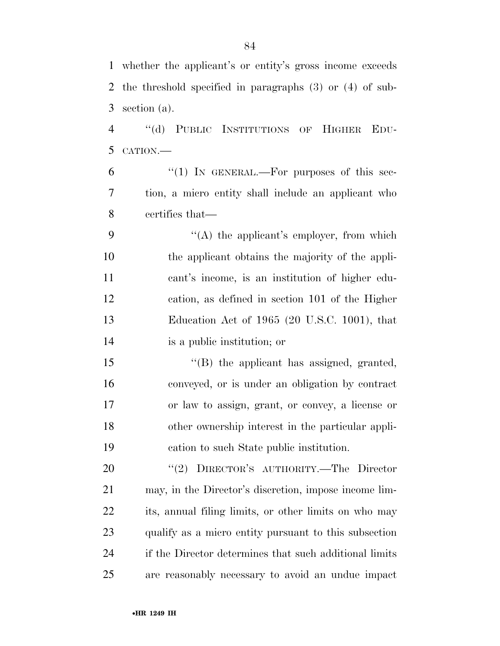| 5  | CATION.-                                               |
|----|--------------------------------------------------------|
| 6  | " $(1)$ IN GENERAL.—For purposes of this sec-          |
| 7  | tion, a micro entity shall include an applicant who    |
| 8  | certifies that—                                        |
| 9  | "(A) the applicant's employer, from which              |
| 10 | the applicant obtains the majority of the appli-       |
| 11 | cant's income, is an institution of higher edu-        |
| 12 | cation, as defined in section 101 of the Higher        |
| 13 | Education Act of 1965 (20 U.S.C. 1001), that           |
| 14 | is a public institution; or                            |
| 15 | "(B) the applicant has assigned, granted,              |
| 16 | conveyed, or is under an obligation by contract        |
| 17 | or law to assign, grant, or convey, a license or       |
| 18 | other ownership interest in the particular appli-      |
| 19 | cation to such State public institution.               |
| 20 | "(2) DIRECTOR'S AUTHORITY.—The Director                |
| 21 | may, in the Director's discretion, impose income lim-  |
| 22 | its, annual filing limits, or other limits on who may  |
| 23 | qualify as a micro entity pursuant to this subsection  |
| 24 | if the Director determines that such additional limits |
| 25 | are reasonably necessary to avoid an undue impact      |
|    | •HR 1249 IH                                            |

 whether the applicant's or entity's gross income exceeds the threshold specified in paragraphs (3) or (4) of sub-section (a).

''(d) PUBLIC INSTITUTIONS OF HIGHER EDU-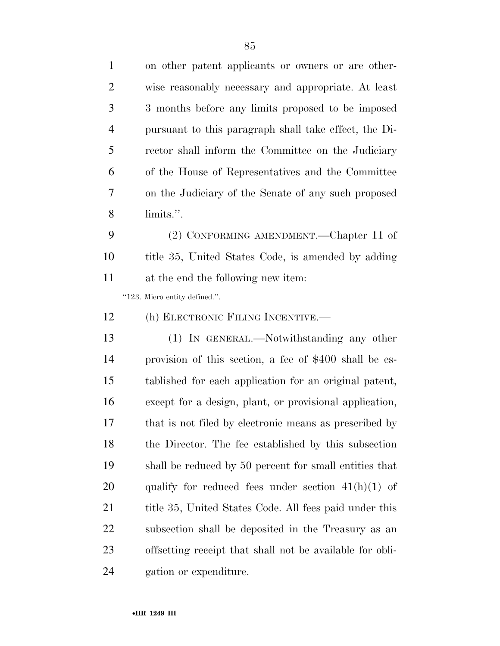| $\mathbf{1}$   | on other patent applicants or owners or are other-       |
|----------------|----------------------------------------------------------|
| $\overline{2}$ | wise reasonably necessary and appropriate. At least      |
| 3              | 3 months before any limits proposed to be imposed        |
| $\overline{4}$ | pursuant to this paragraph shall take effect, the Di-    |
| 5              | rector shall inform the Committee on the Judiciary       |
| 6              | of the House of Representatives and the Committee        |
| 7              | on the Judiciary of the Senate of any such proposed      |
| 8              | limits.".                                                |
| 9              | (2) CONFORMING AMENDMENT.—Chapter 11 of                  |
| 10             | title 35, United States Code, is amended by adding       |
| 11             | at the end the following new item:                       |
|                | "123. Micro entity defined.".                            |
| 12             | (h) ELECTRONIC FILING INCENTIVE.—                        |
| 13             | (1) IN GENERAL.—Notwithstanding any other                |
| 14             | provision of this section, a fee of \$400 shall be es-   |
| 15             | tablished for each application for an original patent,   |
| 16             | except for a design, plant, or provisional application,  |
| 17             | that is not filed by electronic means as prescribed by   |
| 18             | the Director. The fee established by this subsection     |
| 19             | shall be reduced by 50 percent for small entities that   |
| 20             | qualify for reduced fees under section $41(h)(1)$ of     |
| 21             | title 35, United States Code. All fees paid under this   |
| 22             | subsection shall be deposited in the Treasury as an      |
| 23             | offsetting receipt that shall not be available for obli- |
| 24             | gation or expenditure.                                   |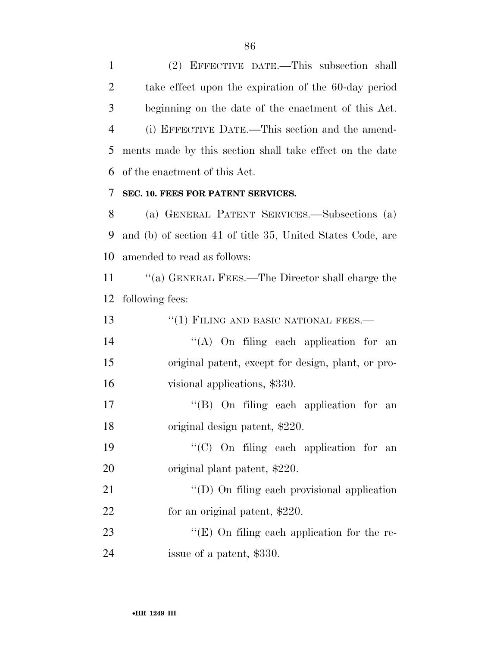(2) EFFECTIVE DATE.—This subsection shall take effect upon the expiration of the 60-day period beginning on the date of the enactment of this Act. (i) EFFECTIVE DATE.—This section and the amend- ments made by this section shall take effect on the date of the enactment of this Act.

## **SEC. 10. FEES FOR PATENT SERVICES.**

 (a) GENERAL PATENT SERVICES.—Subsections (a) and (b) of section 41 of title 35, United States Code, are amended to read as follows:

 ''(a) GENERAL FEES.—The Director shall charge the following fees:

| 13 | $``(1)$ FILING AND BASIC NATIONAL FEES.—           |
|----|----------------------------------------------------|
| 14 | "(A) On filing each application for an             |
| 15 | original patent, except for design, plant, or pro- |
| 16 | visional applications, \$330.                      |
| 17 | $\lq\lq$ (B) On filing each application for an     |
| 18 | original design patent, \$220.                     |
| 19 | "(C) On filing each application for an             |
| 20 | original plant patent, \$220.                      |
| 21 | "(D) On filing each provisional application        |
| 22 | for an original patent, \$220.                     |
| 23 | " $(E)$ On filing each application for the re-     |
| 24 | issue of a patent, \$330.                          |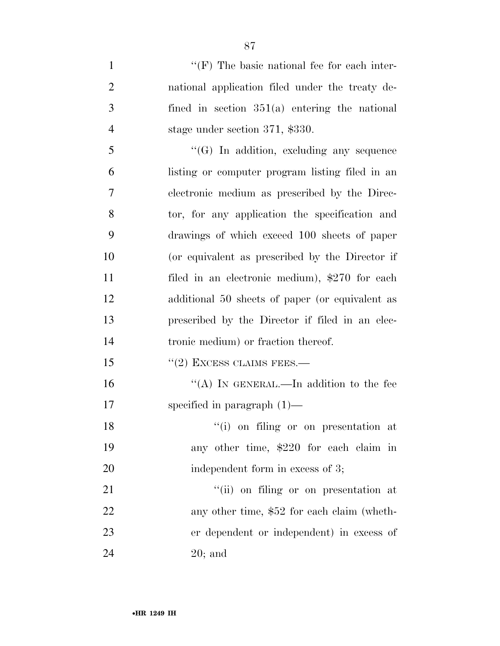| $\mathbf{1}$   | $\lq\lq(F)$ The basic national fee for each inter- |
|----------------|----------------------------------------------------|
| $\overline{2}$ | national application filed under the treaty de-    |
| 3              | fined in section $351(a)$ entering the national    |
| $\overline{4}$ | stage under section 371, \$330.                    |
| 5              | $\lq\lq(G)$ In addition, excluding any sequence    |
| 6              | listing or computer program listing filed in an    |
| 7              | electronic medium as prescribed by the Direc-      |
| 8              | tor, for any application the specification and     |
| 9              | drawings of which exceed 100 sheets of paper       |
| 10             | (or equivalent as prescribed by the Director if    |
| 11             | filed in an electronic medium), \$270 for each     |
| 12             | additional 50 sheets of paper (or equivalent as    |
| 13             | prescribed by the Director if filed in an elec-    |
| 14             | tronic medium) or fraction thereof.                |
| 15             | $"(2)$ EXCESS CLAIMS FEES.—                        |
| 16             | "(A) IN GENERAL.—In addition to the fee            |
| 17             | specified in paragraph $(1)$ —                     |
| 18             | "(i) on filing or on presentation at               |
| 19             | any other time, \$220 for each claim in            |
| 20             | independent form in excess of 3;                   |
| 21             | "(ii) on filing or on presentation at              |
| 22             | any other time, \$52 for each claim (wheth-        |
| 23             | er dependent or independent) in excess of          |
| 24             | $20;$ and                                          |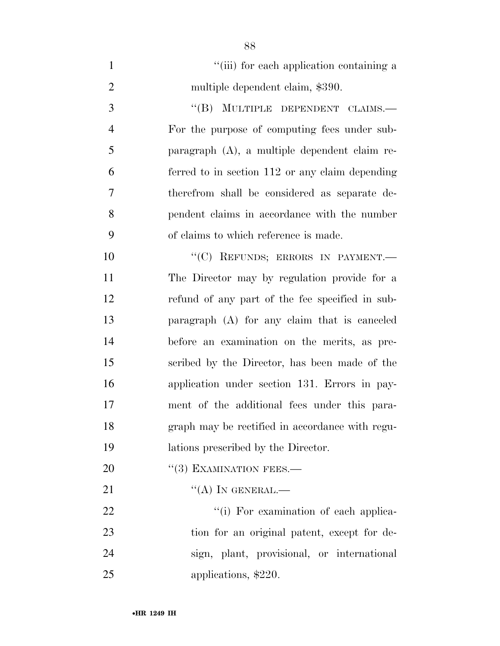| $\mathbf{1}$   | "(iii) for each application containing a        |
|----------------|-------------------------------------------------|
| $\overline{2}$ | multiple dependent claim, \$390.                |
| 3              | "(B) MULTIPLE DEPENDENT CLAIMS.-                |
| 4              | For the purpose of computing fees under sub-    |
| 5              | paragraph (A), a multiple dependent claim re-   |
| 6              | ferred to in section 112 or any claim depending |
| $\overline{7}$ | therefrom shall be considered as separate de-   |
| 8              | pendent claims in accordance with the number    |
| 9              | of claims to which reference is made.           |
| 10             | "(C) REFUNDS; ERRORS IN PAYMENT.-               |
| 11             | The Director may by regulation provide for a    |
| 12             | refund of any part of the fee specified in sub- |
| 13             | paragraph (A) for any claim that is canceled    |
| 14             | before an examination on the merits, as pre-    |
| 15             | scribed by the Director, has been made of the   |
| 16             | application under section 131. Errors in pay-   |
| 17             | ment of the additional fees under this para-    |
| 18             | graph may be rectified in accordance with regu- |
| 19             | lations prescribed by the Director.             |
| <b>20</b>      | $``(3)$ EXAMINATION FEES.—                      |
| 21             | $\lq\lq (A)$ In GENERAL.—                       |
| 22             | "(i) For examination of each applica-           |
| 23             | tion for an original patent, except for de-     |
|                |                                                 |

 sign, plant, provisional, or international applications, \$220.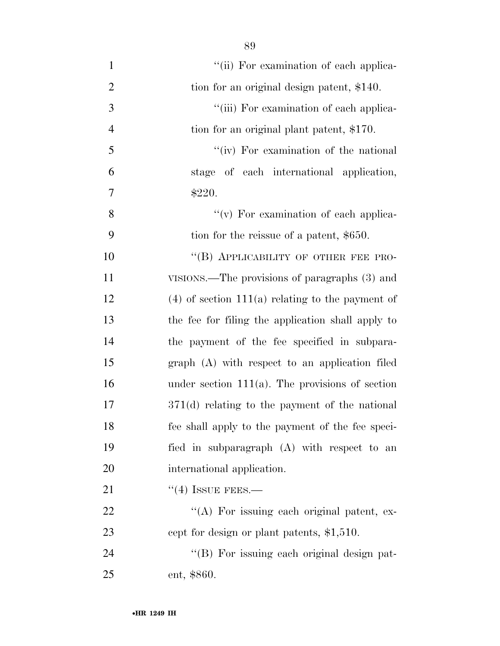| $\mathbf{1}$   | "(ii) For examination of each applica-             |
|----------------|----------------------------------------------------|
| $\overline{2}$ | tion for an original design patent, \$140.         |
| 3              | "(iii) For examination of each applica-            |
| $\overline{4}$ | tion for an original plant patent, \$170.          |
| 5              | "(iv) For examination of the national              |
| 6              | stage of each international application,           |
| $\tau$         | \$220.                                             |
| 8              | "(v) For examination of each applica-              |
| 9              | tion for the reissue of a patent, \$650.           |
| 10             | "(B) APPLICABILITY OF OTHER FEE PRO-               |
| 11             | VISIONS.—The provisions of paragraphs (3) and      |
| 12             | $(4)$ of section 111(a) relating to the payment of |
| 13             | the fee for filing the application shall apply to  |
| 14             | the payment of the fee specified in subpara-       |
| 15             | graph (A) with respect to an application filed     |
| 16             | under section $111(a)$ . The provisions of section |
| 17             | $371(d)$ relating to the payment of the national   |
| 18             | fee shall apply to the payment of the fee speci-   |
| 19             | fied in subparagraph (A) with respect to an        |
| 20             | international application.                         |
| 21             | $``(4)$ ISSUE FEES.—                               |
| 22             | $\lq\lq$ . For issuing each original patent, ex-   |
| 23             | cept for design or plant patents, \$1,510.         |
| 24             | "(B) For issuing each original design pat-         |
| 25             | ent, \$860.                                        |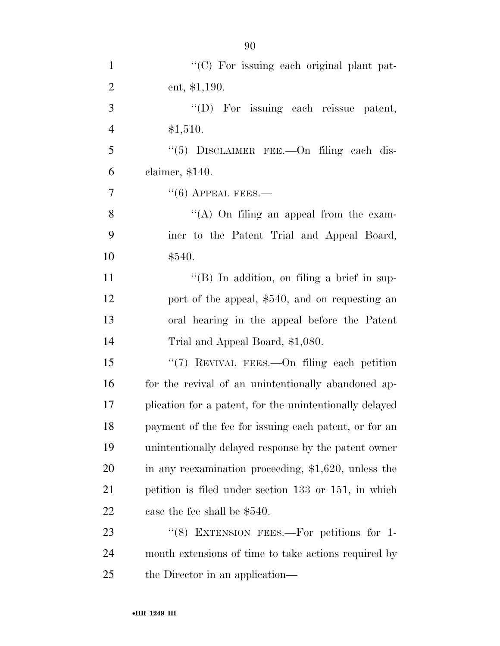| $\mathbf{1}$ | $\lq\lq$ (C) For issuing each original plant pat- |
|--------------|---------------------------------------------------|
| 2            | ent, $$1,190.$                                    |
| 3            | "(D) For issuing each reissue patent,             |
| 4            | \$1,510.                                          |
| 5            | "(5) DISCLAIMER FEE.—On filing each dis-          |

claimer, \$140.

 $\frac{7}{6}$   $\frac{1}{100}$  APPEAL FEES.

8 ''(A) On filing an appeal from the exam- iner to the Patent Trial and Appeal Board, \$540.

11 ''(B) In addition, on filing a brief in sup- port of the appeal, \$540, and on requesting an oral hearing in the appeal before the Patent Trial and Appeal Board, \$1,080.

15 "(7) REVIVAL FEES.—On filing each petition 16 for the revival of an unintentionally abandoned ap- plication for a patent, for the unintentionally delayed payment of the fee for issuing each patent, or for an unintentionally delayed response by the patent owner in any reexamination proceeding, \$1,620, unless the petition is filed under section 133 or 151, in which case the fee shall be \$540.

23 "(8) EXTENSION FEES.—For petitions for 1- month extensions of time to take actions required by the Director in an application—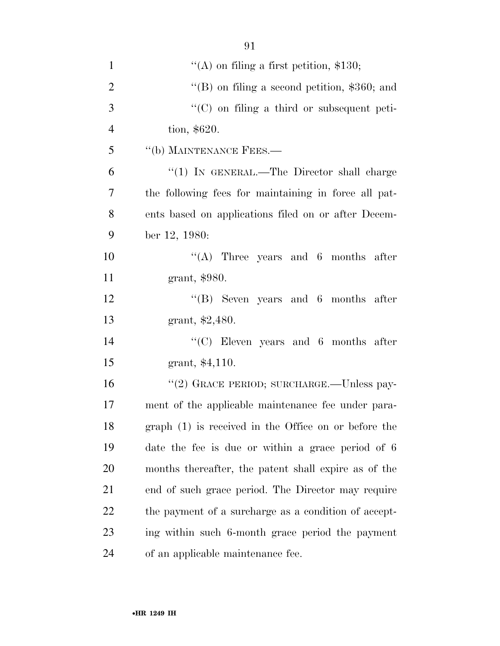| $\mathbf{1}$   | $\lq\lq$ on filing a first petition, \$130;          |
|----------------|------------------------------------------------------|
| $\overline{2}$ | "(B) on filing a second petition, $$360$ ; and       |
| 3              | "(C) on filing a third or subsequent peti-           |
| $\overline{4}$ | tion, \$620.                                         |
| 5              | "(b) MAINTENANCE FEES.-                              |
| 6              | "(1) IN GENERAL.—The Director shall charge           |
| $\tau$         | the following fees for maintaining in force all pat- |
| 8              | ents based on applications filed on or after Decem-  |
| 9              | ber 12, 1980:                                        |
| 10             | "(A) Three years and $6$ months after                |
| 11             | grant, \$980.                                        |
| 12             | $\lq\lq$ Seven years and 6 months after              |
| 13             | grant, $$2,480$ .                                    |
| 14             | $\lq\lq$ Eleven years and 6 months after             |
| 15             | grant, \$4,110.                                      |
| 16             | "(2) GRACE PERIOD; SURCHARGE.—Unless pay-            |
| 17             | ment of the applicable maintenance fee under para-   |
| 18             | graph (1) is received in the Office on or before the |
| 19             | date the fee is due or within a grace period of 6    |
| 20             | months thereafter, the patent shall expire as of the |
| 21             | end of such grace period. The Director may require   |
| 22             | the payment of a surcharge as a condition of accept- |
| 23             | ing within such 6-month grace period the payment     |
| 24             | of an applicable maintenance fee.                    |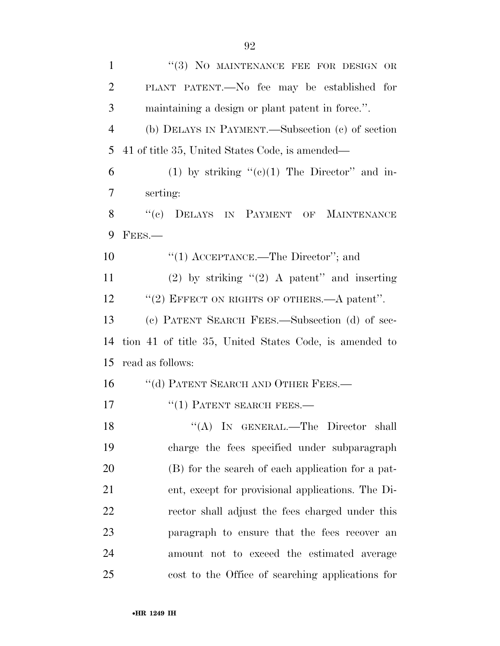| $\mathbf{1}$   | "(3) NO MAINTENANCE FEE FOR DESIGN OR                  |
|----------------|--------------------------------------------------------|
| $\overline{2}$ | PLANT PATENT.—No fee may be established for            |
| 3              | maintaining a design or plant patent in force.".       |
| $\overline{4}$ | (b) DELAYS IN PAYMENT.—Subsection (c) of section       |
| 5              | 41 of title 35, United States Code, is amended—        |
| 6              | (1) by striking " $(c)(1)$ The Director" and in-       |
| 7              | serting:                                               |
| 8              | ``(e)<br>DELAYS IN PAYMENT OF<br><b>MAINTENANCE</b>    |
| 9              | FEES.                                                  |
| 10             | "(1) $\text{ACCEPTANCE}$ . The Director"; and          |
| 11             | (2) by striking " $(2)$ A patent" and inserting        |
| 12             | "(2) EFFECT ON RIGHTS OF OTHERS.—A patent".            |
| 13             | (c) PATENT SEARCH FEES.—Subsection (d) of sec-         |
| 14             | tion 41 of title 35, United States Code, is amended to |
| 15             | read as follows:                                       |
| 16             | "(d) PATENT SEARCH AND OTHER FEES.-                    |
| 17             | $``(1)$ PATENT SEARCH FEES.—                           |
| 18             | "(A) IN GENERAL.—The Director shall                    |
| 19             | charge the fees specified under subparagraph           |
| <b>20</b>      | (B) for the search of each application for a pat-      |
| 21             | ent, except for provisional applications. The Di-      |
| 22             | rector shall adjust the fees charged under this        |
| 23             | paragraph to ensure that the fees recover an           |
| 24             | amount not to exceed the estimated average             |
| 25             | cost to the Office of searching applications for       |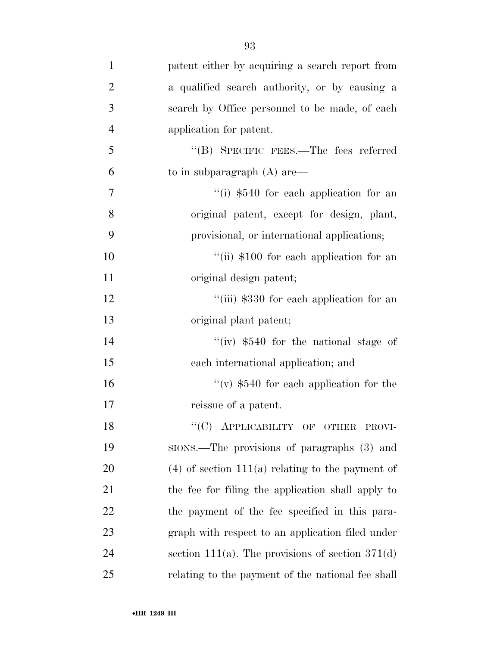| $\mathbf{1}$   | patent either by acquiring a search report from    |
|----------------|----------------------------------------------------|
| $\overline{2}$ | a qualified search authority, or by causing a      |
| 3              | search by Office personnel to be made, of each     |
| $\overline{4}$ | application for patent.                            |
| 5              | "(B) SPECIFIC FEES.—The fees referred              |
| 6              | to in subparagraph $(A)$ are —                     |
| 7              | "(i) \$540 for each application for an             |
| 8              | original patent, except for design, plant,         |
| 9              | provisional, or international applications;        |
| 10             | "(ii) \$100 for each application for an            |
| 11             | original design patent;                            |
| 12             | "(iii) \$330 for each application for an           |
| 13             | original plant patent;                             |
| 14             | "(iv) $$540$ for the national stage of             |
| 15             | each international application; and                |
| 16             | "(v) $$540$ for each application for the           |
| 17             | reissue of a patent.                               |
| 18             | "(C) APPLICABILITY OF OTHER PROVI-                 |
| 19             | sions.—The provisions of paragraphs (3) and        |
| 20             | $(4)$ of section 111(a) relating to the payment of |
| 21             | the fee for filing the application shall apply to  |
| 22             | the payment of the fee specified in this para-     |
| 23             | graph with respect to an application filed under   |
| 24             | section 111(a). The provisions of section $371(d)$ |
| 25             | relating to the payment of the national fee shall  |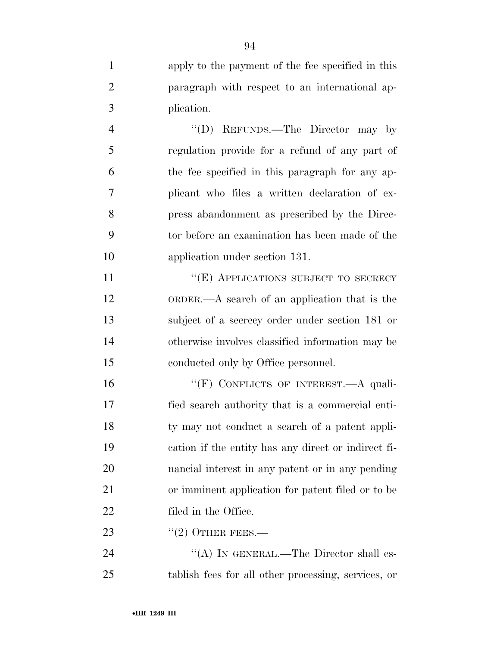| $\mathbf{1}$   | apply to the payment of the fee specified in this   |
|----------------|-----------------------------------------------------|
| $\overline{2}$ | paragraph with respect to an international ap-      |
| 3              | plication.                                          |
| $\overline{4}$ | "(D) REFUNDS.—The Director may by                   |
| 5              | regulation provide for a refund of any part of      |
| 6              | the fee specified in this paragraph for any ap-     |
| 7              | plicant who files a written declaration of ex-      |
| 8              | press abandonment as prescribed by the Direc-       |
| 9              | tor before an examination has been made of the      |
| 10             | application under section 131.                      |
| 11             | "(E) APPLICATIONS SUBJECT TO SECRECY                |
| 12             | ORDER.— $A$ search of an application that is the    |
| 13             | subject of a secrecy order under section 181 or     |
| 14             | otherwise involves classified information may be    |
| 15             | conducted only by Office personnel.                 |
| 16             | "(F) CONFLICTS OF INTEREST.—A quali-                |
| 17             | fied search authority that is a commercial enti-    |
| 18             | ty may not conduct a search of a patent appli-      |
| 19             | cation if the entity has any direct or indirect fi- |
| 20             | nancial interest in any patent or in any pending    |
| 21             | or imminent application for patent filed or to be   |
| 22             | filed in the Office.                                |
| 23             | $"(2)$ OTHER FEES.—                                 |
| 24             | "(A) IN GENERAL.—The Director shall es-             |
| 25             | tablish fees for all other processing, services, or |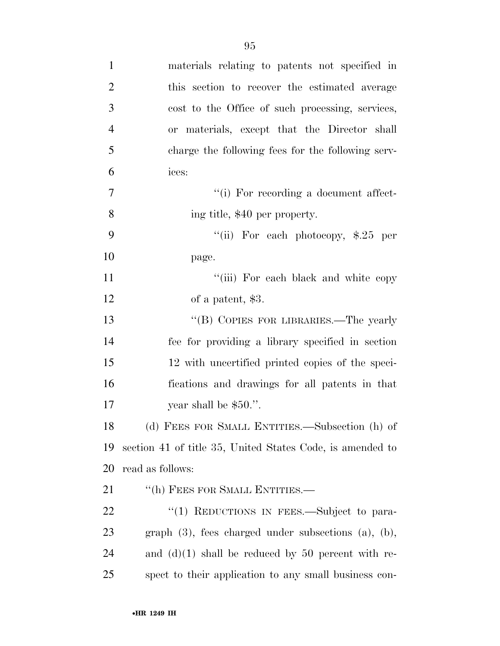| $\mathbf{1}$   | materials relating to patents not specified in               |
|----------------|--------------------------------------------------------------|
| $\overline{2}$ | this section to recover the estimated average                |
| 3              | cost to the Office of such processing, services,             |
| $\overline{4}$ | or materials, except that the Director shall                 |
| 5              | charge the following fees for the following serv-            |
| 6              | ices:                                                        |
| 7              | "(i) For recording a document affect-                        |
| 8              | ing title, \$40 per property.                                |
| 9              | "(ii) For each photocopy, $\$$ .25 per                       |
| 10             | page.                                                        |
| 11             | "(iii) For each black and white copy                         |
| 12             | of a patent, \$3.                                            |
| 13             | "(B) COPIES FOR LIBRARIES.—The yearly                        |
| 14             | fee for providing a library specified in section             |
| 15             | 12 with uncertified printed copies of the speci-             |
| 16             | fications and drawings for all patents in that               |
| 17             | year shall be $$50."$ .                                      |
| 18             | (d) FEES FOR SMALL ENTITIES.—Subsection (h) of               |
| 19             | section 41 of title 35, United States Code, is amended to    |
| 20             | read as follows:                                             |
| 21             | "(h) FEES FOR SMALL ENTITIES.-                               |
| <u>22</u>      | "(1) REDUCTIONS IN FEES.—Subject to para-                    |
| 23             | graph $(3)$ , fees charged under subsections $(a)$ , $(b)$ , |
| 24             | and $(d)(1)$ shall be reduced by 50 percent with re-         |
| 25             | spect to their application to any small business con-        |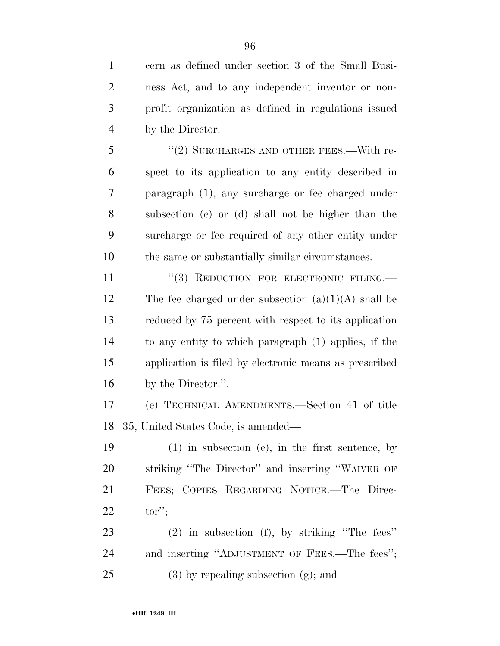cern as defined under section 3 of the Small Busi- ness Act, and to any independent inventor or non- profit organization as defined in regulations issued by the Director.

5 "(2) SURCHARGES AND OTHER FEES.—With re- spect to its application to any entity described in paragraph (1), any surcharge or fee charged under subsection (c) or (d) shall not be higher than the surcharge or fee required of any other entity under the same or substantially similar circumstances.

11 "(3) REDUCTION FOR ELECTRONIC FILING.— 12 The fee charged under subsection  $(a)(1)(A)$  shall be reduced by 75 percent with respect to its application to any entity to which paragraph (1) applies, if the application is filed by electronic means as prescribed by the Director.''.

 (e) TECHNICAL AMENDMENTS.—Section 41 of title 35, United States Code, is amended—

 (1) in subsection (e), in the first sentence, by striking ''The Director'' and inserting ''WAIVER OF FEES; COPIES REGARDING NOTICE.—The Direc-tor'';

 (2) in subsection (f), by striking ''The fees'' and inserting ''ADJUSTMENT OF FEES.—The fees''; 25 (3) by repealing subsection  $(g)$ ; and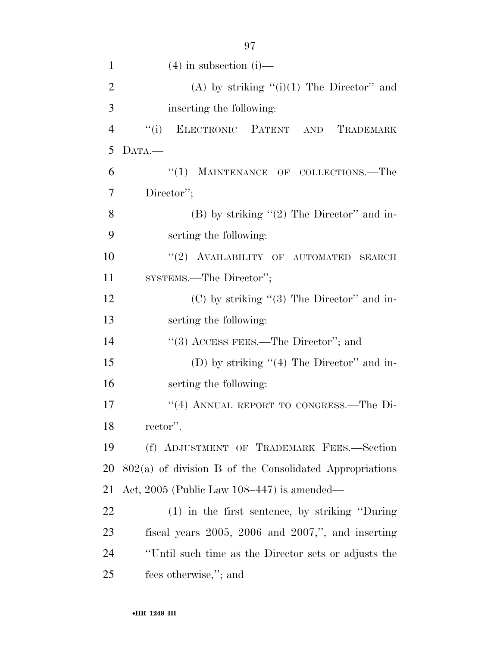| 1              | $(4)$ in subsection $(i)$ —                               |
|----------------|-----------------------------------------------------------|
| $\overline{2}$ | (A) by striking $"(i)(1)$ The Director" and               |
| 3              | inserting the following:                                  |
| $\overline{4}$ | ELECTRONIC PATENT AND TRADEMARK<br>``(i)                  |
| 5              | DATA.                                                     |
| 6              | "(1) MAINTENANCE OF COLLECTIONS.—The                      |
| 7              | Director";                                                |
| 8              | (B) by striking $"(2)$ The Director" and in-              |
| 9              | serting the following:                                    |
| 10             | "(2) AVAILABILITY OF AUTOMATED SEARCH                     |
| 11             | SYSTEMS.—The Director";                                   |
| 12             | $(C)$ by striking " $(3)$ The Director" and in-           |
| 13             | serting the following:                                    |
| 14             | "(3) ACCESS FEES.—The Director"; and                      |
| 15             | (D) by striking $(4)$ The Director" and in-               |
| 16             | serting the following:                                    |
| 17             | "(4) ANNUAL REPORT TO CONGRESS.—The Di-                   |
| 18             | rector".                                                  |
| 19             | (f) ADJUSTMENT OF TRADEMARK FEES.-Section                 |
| 20             | $802(a)$ of division B of the Consolidated Appropriations |
| 21             | Act, 2005 (Public Law $108-447$ ) is amended—             |
| 22             | $(1)$ in the first sentence, by striking "During"         |
| 23             | fiscal years $2005$ , $2006$ and $2007$ ,", and inserting |
| 24             | "Until such time as the Director sets or adjusts the      |
| 25             | fees otherwise,"; and                                     |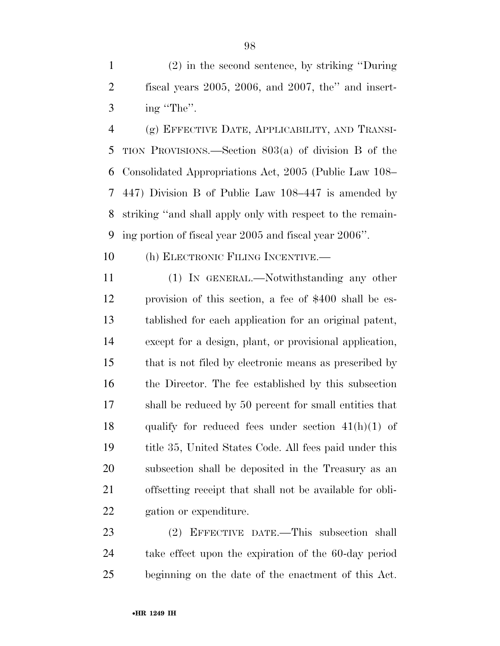(2) in the second sentence, by striking ''During fiscal years 2005, 2006, and 2007, the'' and insert- $3 \text{ ing "The".}$ 

 (g) EFFECTIVE DATE, APPLICABILITY, AND TRANSI- TION PROVISIONS.—Section 803(a) of division B of the Consolidated Appropriations Act, 2005 (Public Law 108– 447) Division B of Public Law 108–447 is amended by striking ''and shall apply only with respect to the remain-ing portion of fiscal year 2005 and fiscal year 2006''.

(h) ELECTRONIC FILING INCENTIVE.—

 (1) IN GENERAL.—Notwithstanding any other provision of this section, a fee of \$400 shall be es- tablished for each application for an original patent, except for a design, plant, or provisional application, that is not filed by electronic means as prescribed by the Director. The fee established by this subsection shall be reduced by 50 percent for small entities that 18 qualify for reduced fees under section  $41(h)(1)$  of title 35, United States Code. All fees paid under this subsection shall be deposited in the Treasury as an offsetting receipt that shall not be available for obli-gation or expenditure.

 (2) EFFECTIVE DATE.—This subsection shall take effect upon the expiration of the 60-day period beginning on the date of the enactment of this Act.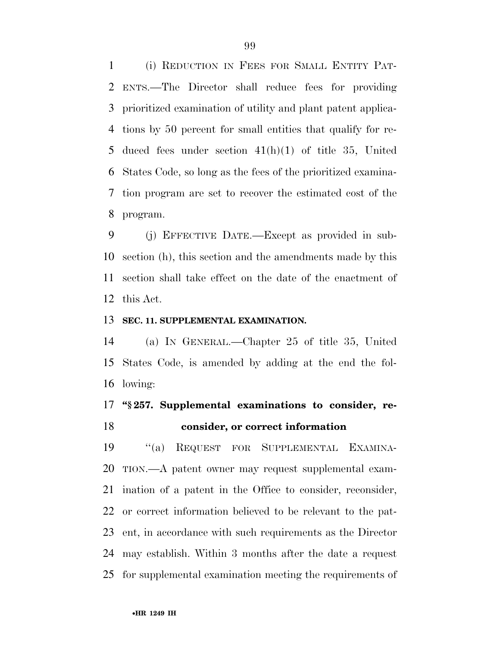(i) REDUCTION IN FEES FOR SMALL ENTITY PAT- ENTS.—The Director shall reduce fees for providing prioritized examination of utility and plant patent applica- tions by 50 percent for small entities that qualify for re- duced fees under section 41(h)(1) of title 35, United States Code, so long as the fees of the prioritized examina- tion program are set to recover the estimated cost of the program.

 (j) EFFECTIVE DATE.—Except as provided in sub- section (h), this section and the amendments made by this section shall take effect on the date of the enactment of this Act.

#### **SEC. 11. SUPPLEMENTAL EXAMINATION.**

 (a) IN GENERAL.—Chapter 25 of title 35, United States Code, is amended by adding at the end the fol-lowing:

# **''§ 257. Supplemental examinations to consider, re-consider, or correct information**

 ''(a) REQUEST FOR SUPPLEMENTAL EXAMINA- TION.—A patent owner may request supplemental exam- ination of a patent in the Office to consider, reconsider, or correct information believed to be relevant to the pat- ent, in accordance with such requirements as the Director may establish. Within 3 months after the date a request for supplemental examination meeting the requirements of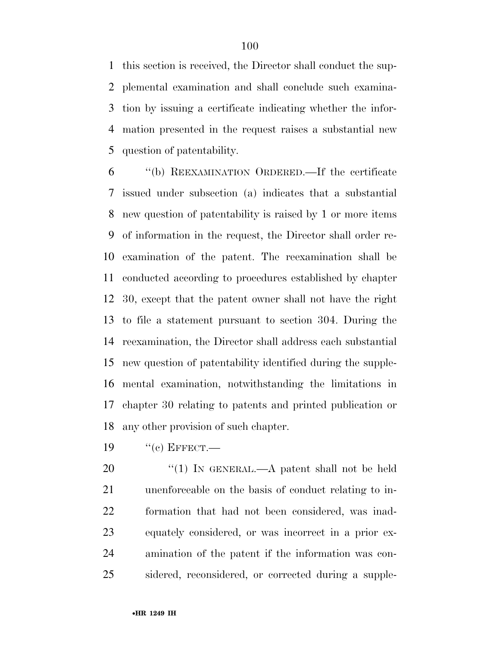this section is received, the Director shall conduct the sup- plemental examination and shall conclude such examina- tion by issuing a certificate indicating whether the infor- mation presented in the request raises a substantial new question of patentability.

 ''(b) REEXAMINATION ORDERED.—If the certificate issued under subsection (a) indicates that a substantial new question of patentability is raised by 1 or more items of information in the request, the Director shall order re- examination of the patent. The reexamination shall be conducted according to procedures established by chapter 30, except that the patent owner shall not have the right to file a statement pursuant to section 304. During the reexamination, the Director shall address each substantial new question of patentability identified during the supple- mental examination, notwithstanding the limitations in chapter 30 relating to patents and printed publication or any other provision of such chapter.

"(c) EFFECT.—

20 "(1) IN GENERAL.—A patent shall not be held unenforceable on the basis of conduct relating to in- formation that had not been considered, was inad- equately considered, or was incorrect in a prior ex- amination of the patent if the information was con-sidered, reconsidered, or corrected during a supple-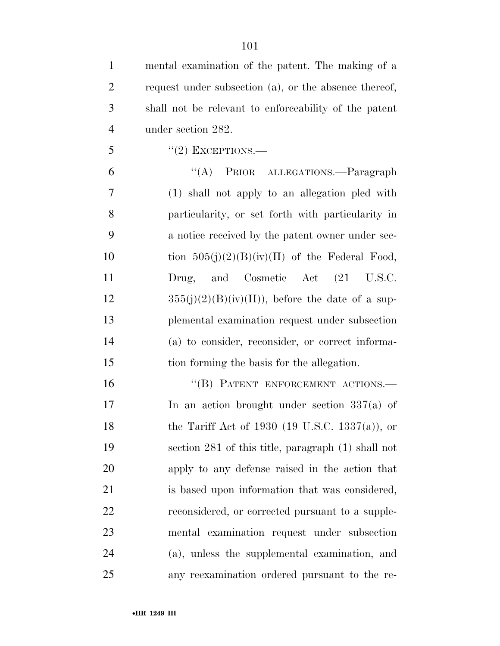| $\mathbf{1}$   | mental examination of the patent. The making of a     |
|----------------|-------------------------------------------------------|
| $\overline{2}$ | request under subsection (a), or the absence thereof, |
| 3              | shall not be relevant to enforceability of the patent |
| $\overline{4}$ | under section 282.                                    |
| 5              | $``(2)$ EXCEPTIONS.—                                  |
| 6              | "(A) PRIOR ALLEGATIONS.—Paragraph                     |
| 7              | (1) shall not apply to an allegation pled with        |
| 8              | particularity, or set forth with particularity in     |
| 9              | a notice received by the patent owner under sec-      |
| 10             | tion $505(j)(2)(B)(iv)(II)$ of the Federal Food,      |
| 11             | Drug, and Cosmetic Act (21 U.S.C.                     |
| 12             | $355(j)(2)(B)(iv)(II)$ , before the date of a sup-    |
| 13             | plemental examination request under subsection        |
| 14             | (a) to consider, reconsider, or correct informa-      |
| 15             | tion forming the basis for the allegation.            |
| 16             | "(B) PATENT ENFORCEMENT ACTIONS.-                     |
| 17             | In an action brought under section $337(a)$ of        |
| 18             | the Tariff Act of 1930 (19 U.S.C. 1337(a)), or        |
| 19             | section 281 of this title, paragraph (1) shall not    |
| 20             | apply to any defense raised in the action that        |
| 21             | is based upon information that was considered,        |
| 22             | reconsidered, or corrected pursuant to a supple-      |
| 23             | mental examination request under subsection           |
| 24             | (a), unless the supplemental examination, and         |
| 25             | any reexamination ordered pursuant to the re-         |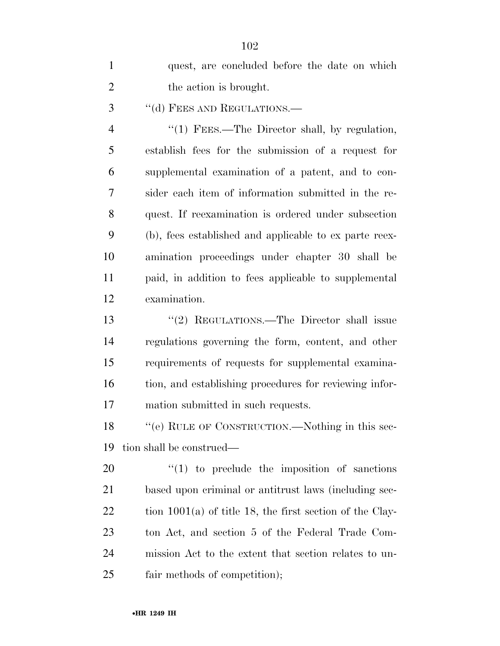| $\mathbf{1}$   | quest, are concluded before the date on which              |
|----------------|------------------------------------------------------------|
| $\overline{2}$ | the action is brought.                                     |
| 3              | "(d) FEES AND REGULATIONS.-                                |
| $\overline{4}$ | "(1) FEES.—The Director shall, by regulation,              |
| 5              | establish fees for the submission of a request for         |
| 6              | supplemental examination of a patent, and to con-          |
| 7              | sider each item of information submitted in the re-        |
| 8              | quest. If reexamination is ordered under subsection        |
| 9              | (b), fees established and applicable to ex parte reex-     |
| 10             | amination proceedings under chapter 30 shall be            |
| 11             | paid, in addition to fees applicable to supplemental       |
| 12             | examination.                                               |
| 13             | "(2) REGULATIONS.—The Director shall issue                 |
| 14             | regulations governing the form, content, and other         |
| 15             | requirements of requests for supplemental examina-         |
| 16             | tion, and establishing procedures for reviewing infor-     |
| 17             | mation submitted in such requests.                         |
| 18             | "(e) RULE OF CONSTRUCTION.—Nothing in this sec-            |
| 19             | tion shall be construed—                                   |
| 20             | $\lq(1)$ to preclude the imposition of sanctions           |
| 21             | based upon criminal or antitrust laws (including sec-      |
| 22             | tion $1001(a)$ of title 18, the first section of the Clay- |
| 23             | ton Act, and section 5 of the Federal Trade Com-           |
| 24             | mission Act to the extent that section relates to un-      |
| 25             | fair methods of competition);                              |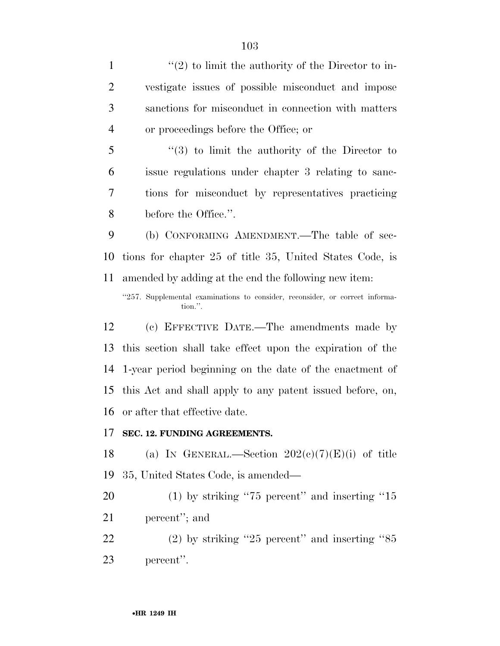$\langle (2) \rangle$  to limit the authority of the Director to in- vestigate issues of possible misconduct and impose sanctions for misconduct in connection with matters or proceedings before the Office; or ''(3) to limit the authority of the Director to issue regulations under chapter 3 relating to sanc- tions for misconduct by representatives practicing before the Office.''. (b) CONFORMING AMENDMENT.—The table of sec- tions for chapter 25 of title 35, United States Code, is amended by adding at the end the following new item: "257. Supplemental examinations to consider, reconsider, or correct information.''. (c) EFFECTIVE DATE.—The amendments made by this section shall take effect upon the expiration of the 1-year period beginning on the date of the enactment of this Act and shall apply to any patent issued before, on, or after that effective date. **SEC. 12. FUNDING AGREEMENTS.**  18 (a) IN GENERAL.—Section  $202(c)(7)(E)(i)$  of title 35, United States Code, is amended— 20 (1) by striking "75 percent" and inserting "15

percent''; and

 (2) by striking ''25 percent'' and inserting ''85 percent''.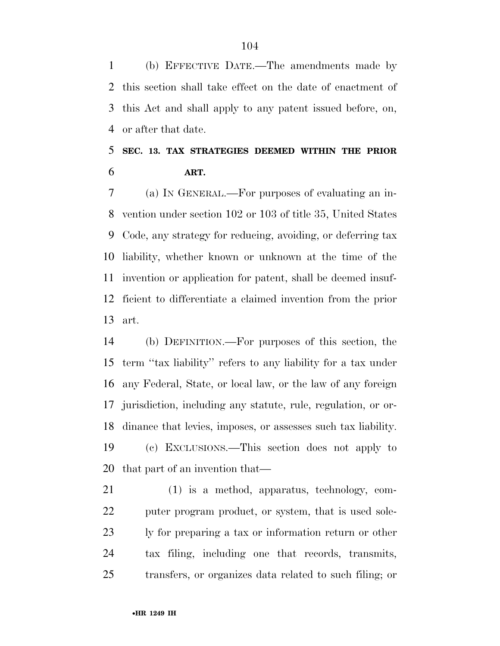(b) EFFECTIVE DATE.—The amendments made by this section shall take effect on the date of enactment of this Act and shall apply to any patent issued before, on, or after that date.

## **SEC. 13. TAX STRATEGIES DEEMED WITHIN THE PRIOR ART.**

 (a) IN GENERAL.—For purposes of evaluating an in- vention under section 102 or 103 of title 35, United States Code, any strategy for reducing, avoiding, or deferring tax liability, whether known or unknown at the time of the invention or application for patent, shall be deemed insuf- ficient to differentiate a claimed invention from the prior art.

 (b) DEFINITION.—For purposes of this section, the term ''tax liability'' refers to any liability for a tax under any Federal, State, or local law, or the law of any foreign jurisdiction, including any statute, rule, regulation, or or- dinance that levies, imposes, or assesses such tax liability. (c) EXCLUSIONS.—This section does not apply to that part of an invention that—

 (1) is a method, apparatus, technology, com-22 puter program product, or system, that is used sole- ly for preparing a tax or information return or other tax filing, including one that records, transmits, transfers, or organizes data related to such filing; or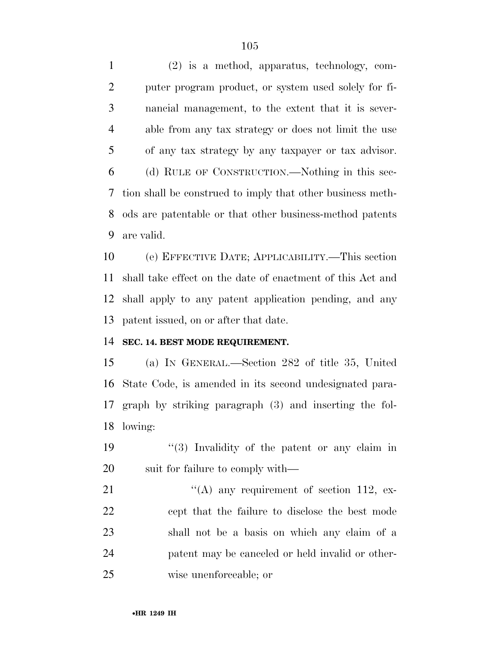(2) is a method, apparatus, technology, com- puter program product, or system used solely for fi- nancial management, to the extent that it is sever- able from any tax strategy or does not limit the use of any tax strategy by any taxpayer or tax advisor. (d) RULE OF CONSTRUCTION.—Nothing in this sec- tion shall be construed to imply that other business meth- ods are patentable or that other business-method patents are valid.

 (e) EFFECTIVE DATE; APPLICABILITY.—This section shall take effect on the date of enactment of this Act and shall apply to any patent application pending, and any patent issued, on or after that date.

## **SEC. 14. BEST MODE REQUIREMENT.**

 (a) IN GENERAL.—Section 282 of title 35, United State Code, is amended in its second undesignated para- graph by striking paragraph (3) and inserting the fol-lowing:

19  $\frac{1}{3}$  Invalidity of the patent or any claim in 20 suit for failure to comply with—

 $\langle (A)$  any requirement of section 112, ex- cept that the failure to disclose the best mode shall not be a basis on which any claim of a patent may be canceled or held invalid or other-wise unenforceable; or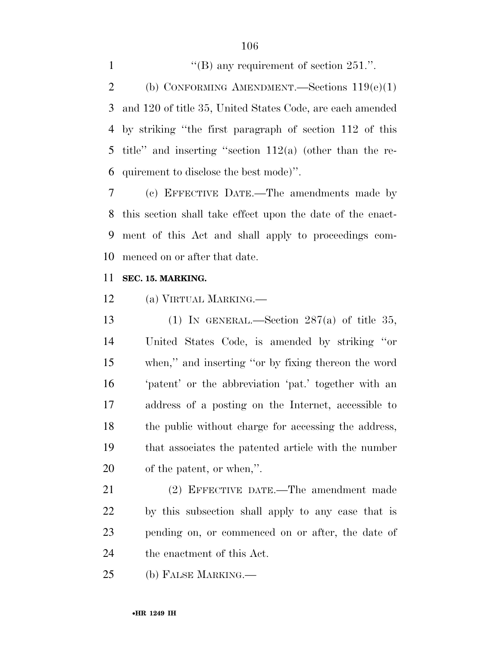$\langle$  "(B) any requirement of section 251.". 2 (b) CONFORMING AMENDMENT.—Sections  $119(e)(1)$  and 120 of title 35, United States Code, are each amended by striking ''the first paragraph of section 112 of this 5 title" and inserting "section  $112(a)$  (other than the re-quirement to disclose the best mode)''.

 (c) EFFECTIVE DATE.—The amendments made by this section shall take effect upon the date of the enact- ment of this Act and shall apply to proceedings com-menced on or after that date.

### **SEC. 15. MARKING.**

(a) VIRTUAL MARKING.—

13 (1) IN GENERAL.—Section  $287(a)$  of title 35, United States Code, is amended by striking ''or when,'' and inserting ''or by fixing thereon the word 'patent' or the abbreviation 'pat.' together with an address of a posting on the Internet, accessible to the public without charge for accessing the address, that associates the patented article with the number of the patent, or when,''.

 (2) EFFECTIVE DATE.—The amendment made by this subsection shall apply to any case that is pending on, or commenced on or after, the date of the enactment of this Act.

(b) FALSE MARKING.—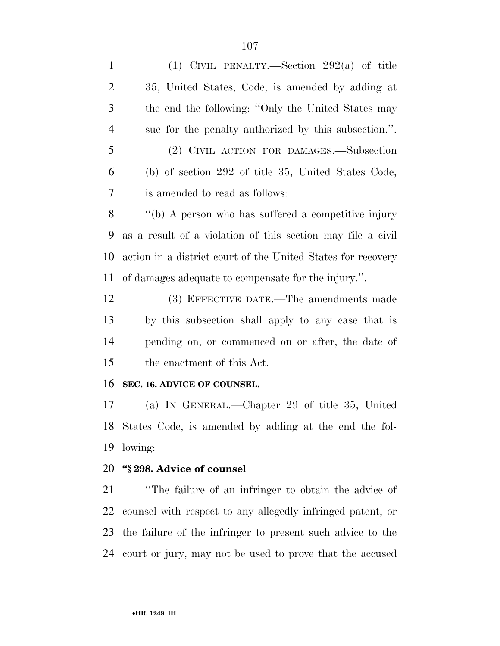| $\mathbf{1}$   | (1) CIVIL PENALTY.—Section $292(a)$ of title                 |
|----------------|--------------------------------------------------------------|
| $\overline{2}$ | 35, United States, Code, is amended by adding at             |
| 3              | the end the following: "Only the United States may           |
| $\overline{4}$ | sue for the penalty authorized by this subsection.".         |
| 5              | (2) CIVIL ACTION FOR DAMAGES.—Subsection                     |
| 6              | (b) of section 292 of title 35, United States Code,          |
| 7              | is amended to read as follows:                               |
| 8              | "(b) A person who has suffered a competitive injury          |
| 9              | as a result of a violation of this section may file a civil  |
| 10             | action in a district court of the United States for recovery |
| 11             | of damages adequate to compensate for the injury.".          |
| 12             | (3) EFFECTIVE DATE.—The amendments made                      |
| 13             | by this subsection shall apply to any case that is           |
| 14             | pending on, or commenced on or after, the date of            |
| 15             | the enactment of this Act.                                   |
| 16             | SEC. 16. ADVICE OF COUNSEL.                                  |
| 17             | (a) IN GENERAL.—Chapter 29 of title 35, United               |
| 18             | States Code, is amended by adding at the end the fol-        |
| 19             | lowing:                                                      |
| 20             | "§298. Advice of counsel                                     |
| 21             | "The failure of an infringer to obtain the advice of         |
| 22             | counsel with respect to any allegedly infringed patent, or   |
| 23             | the failure of the infringer to present such advice to the   |
| 24             | court or jury, may not be used to prove that the accused     |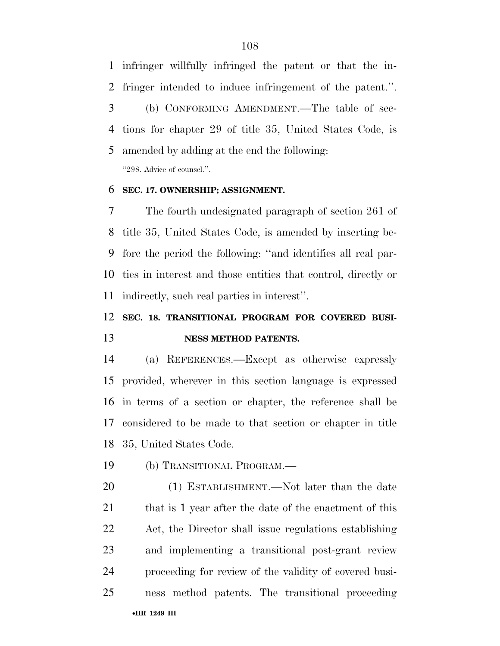infringer willfully infringed the patent or that the in- fringer intended to induce infringement of the patent.''. (b) CONFORMING AMENDMENT.—The table of sec- tions for chapter 29 of title 35, United States Code, is amended by adding at the end the following: ''298. Advice of counsel.''.

#### **SEC. 17. OWNERSHIP; ASSIGNMENT.**

 The fourth undesignated paragraph of section 261 of title 35, United States Code, is amended by inserting be- fore the period the following: ''and identifies all real par- ties in interest and those entities that control, directly or indirectly, such real parties in interest''.

## **SEC. 18. TRANSITIONAL PROGRAM FOR COVERED BUSI-NESS METHOD PATENTS.**

 (a) REFERENCES.—Except as otherwise expressly provided, wherever in this section language is expressed in terms of a section or chapter, the reference shall be considered to be made to that section or chapter in title 35, United States Code.

(b) TRANSITIONAL PROGRAM.—

•**HR 1249 IH** (1) ESTABLISHMENT.—Not later than the date 21 that is 1 year after the date of the enactment of this Act, the Director shall issue regulations establishing and implementing a transitional post-grant review proceeding for review of the validity of covered busi-ness method patents. The transitional proceeding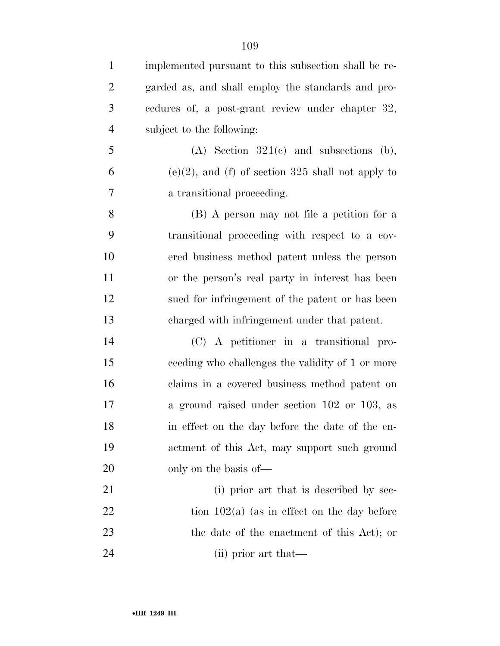| $\mathbf{1}$   | implemented pursuant to this subsection shall be re- |
|----------------|------------------------------------------------------|
| $\overline{2}$ | garded as, and shall employ the standards and pro-   |
| 3              | cedures of, a post-grant review under chapter 32,    |
| $\overline{4}$ | subject to the following:                            |
| 5              | $(A)$ Section 321 $(c)$ and subsections $(b)$ ,      |
| 6              | $(e)(2)$ , and (f) of section 325 shall not apply to |
| 7              | a transitional proceeding.                           |
| 8              | (B) A person may not file a petition for a           |
| 9              | transitional proceeding with respect to a cov-       |
| 10             | ered business method patent unless the person        |
| 11             | or the person's real party in interest has been      |
| 12             | sued for infringement of the patent or has been      |
| 13             | charged with infringement under that patent.         |
| 14             | (C) A petitioner in a transitional pro-              |
| 15             | ceeding who challenges the validity of 1 or more     |
| 16             | claims in a covered business method patent on        |
| 17             | a ground raised under section 102 or 103, as         |
| 18             | in effect on the day before the date of the en-      |
| 19             | actment of this Act, may support such ground         |
| 20             | only on the basis of—                                |
| 21             | (i) prior art that is described by sec-              |
| 22             | tion $102(a)$ (as in effect on the day before        |
| 23             | the date of the enactment of this Act); or           |
| 24             | (ii) prior art that—                                 |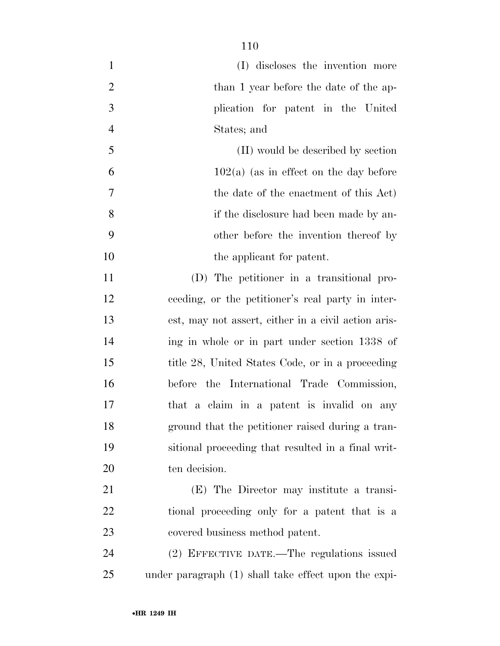| $\mathbf{1}$   | (I) discloses the invention more                     |
|----------------|------------------------------------------------------|
| $\overline{2}$ | than 1 year before the date of the ap-               |
| 3              | plication for patent in the United                   |
| $\overline{4}$ | States; and                                          |
| 5              | (II) would be described by section                   |
| 6              | $102(a)$ (as in effect on the day before             |
| 7              | the date of the enactment of this Act)               |
| 8              | if the disclosure had been made by an-               |
| 9              | other before the invention thereof by                |
| 10             | the applicant for patent.                            |
| 11             | (D) The petitioner in a transitional pro-            |
| 12             | ceeding, or the petitioner's real party in inter-    |
| 13             | est, may not assert, either in a civil action aris-  |
| 14             | ing in whole or in part under section 1338 of        |
| 15             | title 28, United States Code, or in a proceeding     |
| 16             | before the International Trade Commission,           |
| 17             | that a claim in a patent is invalid on any           |
| 18             | ground that the petitioner raised during a tran-     |
| 19             | sitional proceeding that resulted in a final writ-   |
| 20             | ten decision.                                        |
| 21             | (E) The Director may institute a transi-             |
| 22             | tional proceeding only for a patent that is a        |
| 23             | covered business method patent.                      |
| 24             | (2) EFFECTIVE DATE.—The regulations issued           |
| 25             | under paragraph (1) shall take effect upon the expi- |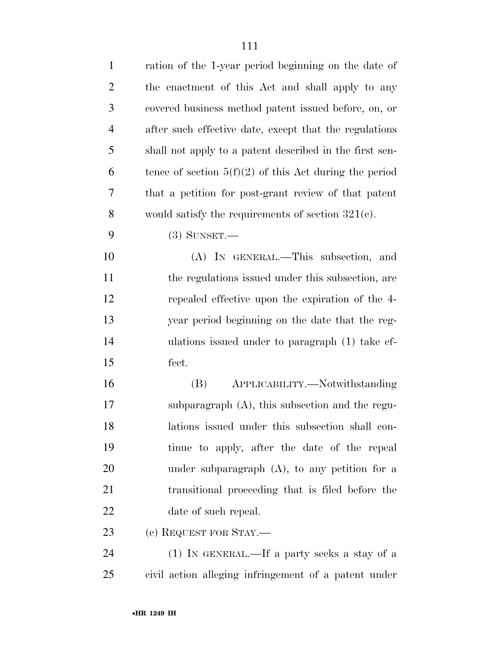| $\mathbf{1}$   | ration of the 1-year period beginning on the date of     |
|----------------|----------------------------------------------------------|
| $\overline{c}$ | the enactment of this Act and shall apply to any         |
| 3              | covered business method patent issued before, on, or     |
| $\overline{4}$ | after such effective date, except that the regulations   |
| 5              | shall not apply to a patent described in the first sen-  |
| 6              | tence of section $5(f)(2)$ of this Act during the period |
| 7              | that a petition for post-grant review of that patent     |
| 8              | would satisfy the requirements of section $321(e)$ .     |
| 9              | $(3)$ SUNSET.—                                           |
| 10             | (A) IN GENERAL.—This subsection, and                     |
| 11             | the regulations issued under this subsection, are        |
| 12             | repealed effective upon the expiration of the 4-         |
| 13             | year period beginning on the date that the reg-          |
| 14             | ulations issued under to paragraph (1) take ef-          |
| 15             | fect.                                                    |
| 16             | APPLICABILITY.—Notwithstanding<br>(B)                    |
| 17             | subparagraph $(A)$ , this subsection and the regu-       |
| 18             | lations issued under this subsection shall con-          |
| 19             | tinue to apply, after the date of the repeal             |
| 20             | under subparagraph $(A)$ , to any petition for a         |
| 21             | transitional proceeding that is filed before the         |
| 22             | date of such repeal.                                     |
| 23             | (c) REQUEST FOR STAY.-                                   |
| 24             | $(1)$ In GENERAL.—If a party seeks a stay of a           |
| 25             | civil action alleging infringement of a patent under     |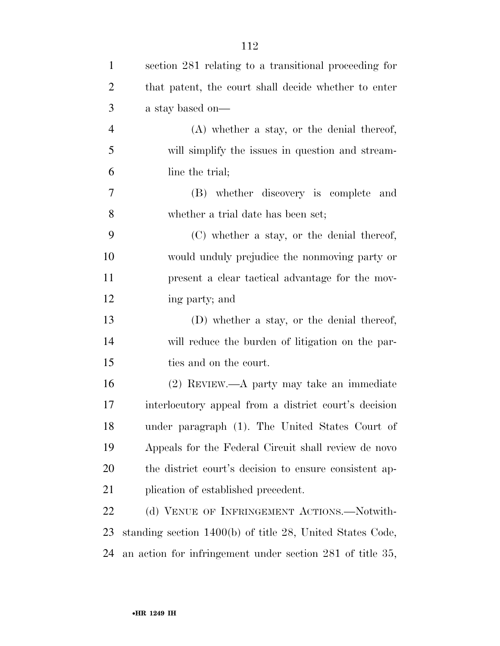| $\mathbf{1}$   | section 281 relating to a transitional proceeding for     |
|----------------|-----------------------------------------------------------|
| $\overline{2}$ | that patent, the court shall decide whether to enter      |
| 3              | a stay based on—                                          |
| $\overline{4}$ | $(A)$ whether a stay, or the denial thereof,              |
| 5              | will simplify the issues in question and stream-          |
| 6              | line the trial;                                           |
| 7              | (B) whether discovery is complete and                     |
| 8              | whether a trial date has been set;                        |
| 9              | (C) whether a stay, or the denial thereof,                |
| 10             | would unduly prejudice the nonmoving party or             |
| 11             | present a clear tactical advantage for the mov-           |
| 12             | ing party; and                                            |
| 13             | (D) whether a stay, or the denial thereof,                |
| 14             | will reduce the burden of litigation on the par-          |
| 15             | ties and on the court.                                    |
| 16             | (2) REVIEW.—A party may take an immediate                 |
| 17             | interlocutory appeal from a district court's decision     |
| 18             | under paragraph (1). The United States Court of           |
| 19             | Appeals for the Federal Circuit shall review de novo      |
| 20             | the district court's decision to ensure consistent ap-    |
| 21             | plication of established precedent.                       |
| 22             | (d) VENUE OF INFRINGEMENT ACTIONS.-Notwith-               |
| 23             | standing section 1400(b) of title 28, United States Code, |
| 24             | an action for infringement under section 281 of title 35, |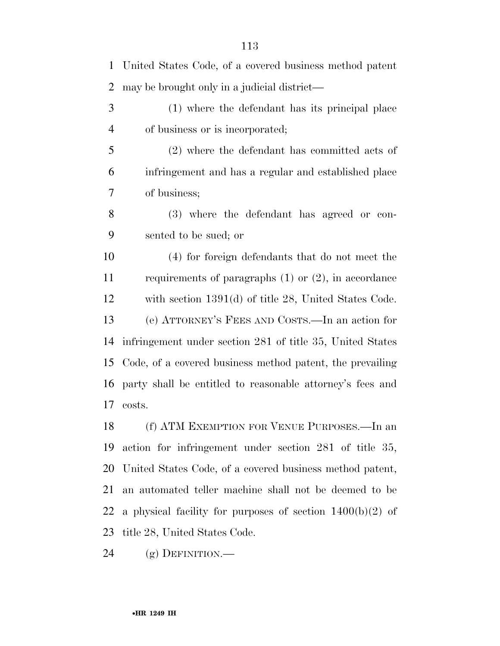| $\mathbf 1$    | United States Code, of a covered business method patent     |
|----------------|-------------------------------------------------------------|
| $\overline{2}$ | may be brought only in a judicial district—                 |
| 3              | (1) where the defendant has its principal place             |
| $\overline{4}$ | of business or is incorporated;                             |
| 5              | $(2)$ where the defendant has committed acts of             |
| 6              | infringement and has a regular and established place        |
| 7              | of business;                                                |
| 8              | (3) where the defendant has agreed or con-                  |
| 9              | sented to be sued; or                                       |
| 10             | (4) for foreign defendants that do not meet the             |
| 11             | requirements of paragraphs $(1)$ or $(2)$ , in accordance   |
| 12             | with section $1391(d)$ of title 28, United States Code.     |
| 13             | (e) ATTORNEY'S FEES AND COSTS.—In an action for             |
| 14             | infringement under section 281 of title 35, United States   |
| 15             | Code, of a covered business method patent, the prevailing   |
| 16             | party shall be entitled to reasonable attorney's fees and   |
| 17             | costs.                                                      |
| 18             | (f) ATM EXEMPTION FOR VENUE PURPOSES.—In an                 |
| 19             | action for infringement under section 281 of title 35,      |
| <b>20</b>      | United States Code, of a covered business method patent,    |
| 21             | an automated teller machine shall not be deemed to be       |
| 22             | a physical facility for purposes of section $1400(b)(2)$ of |
| 23             | title 28, United States Code.                               |

(g) DEFINITION.—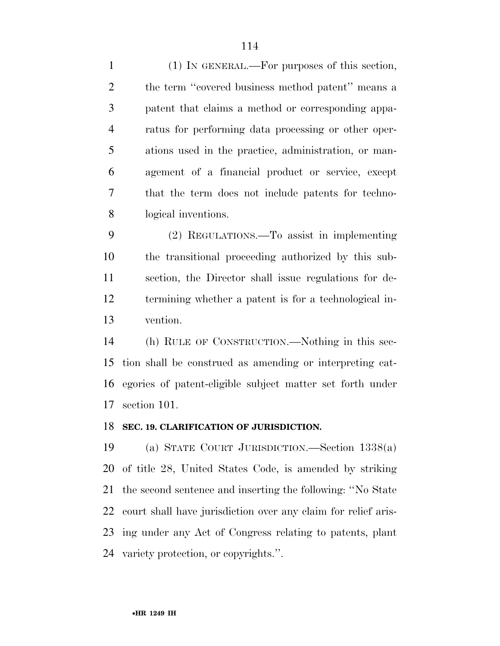(1) IN GENERAL.—For purposes of this section, 2 the term "covered business method patent" means a patent that claims a method or corresponding appa- ratus for performing data processing or other oper- ations used in the practice, administration, or man- agement of a financial product or service, except that the term does not include patents for techno-logical inventions.

 (2) REGULATIONS.—To assist in implementing the transitional proceeding authorized by this sub- section, the Director shall issue regulations for de- termining whether a patent is for a technological in-vention.

 (h) RULE OF CONSTRUCTION.—Nothing in this sec- tion shall be construed as amending or interpreting cat- egories of patent-eligible subject matter set forth under section 101.

#### **SEC. 19. CLARIFICATION OF JURISDICTION.**

 (a) STATE COURT JURISDICTION.—Section 1338(a) of title 28, United States Code, is amended by striking the second sentence and inserting the following: ''No State court shall have jurisdiction over any claim for relief aris- ing under any Act of Congress relating to patents, plant variety protection, or copyrights.''.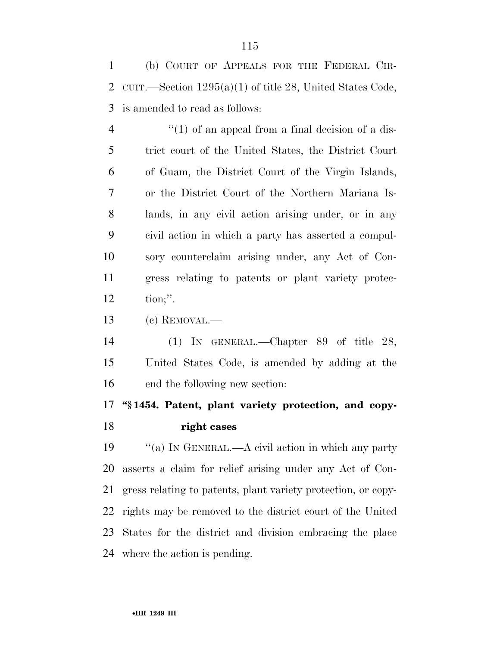(b) COURT OF APPEALS FOR THE FEDERAL CIR- CUIT.—Section 1295(a)(1) of title 28, United States Code, is amended to read as follows:

 $\frac{4}{1}$  ''(1) of an appeal from a final decision of a dis- trict court of the United States, the District Court of Guam, the District Court of the Virgin Islands, or the District Court of the Northern Mariana Is- lands, in any civil action arising under, or in any civil action in which a party has asserted a compul- sory counterclaim arising under, any Act of Con- gress relating to patents or plant variety protec-tion;''.

(c) REMOVAL.—

 (1) IN GENERAL.—Chapter 89 of title 28, United States Code, is amended by adding at the end the following new section:

# **''§ 1454. Patent, plant variety protection, and copy-right cases**

 ''(a) IN GENERAL.—A civil action in which any party asserts a claim for relief arising under any Act of Con- gress relating to patents, plant variety protection, or copy- rights may be removed to the district court of the United States for the district and division embracing the place where the action is pending.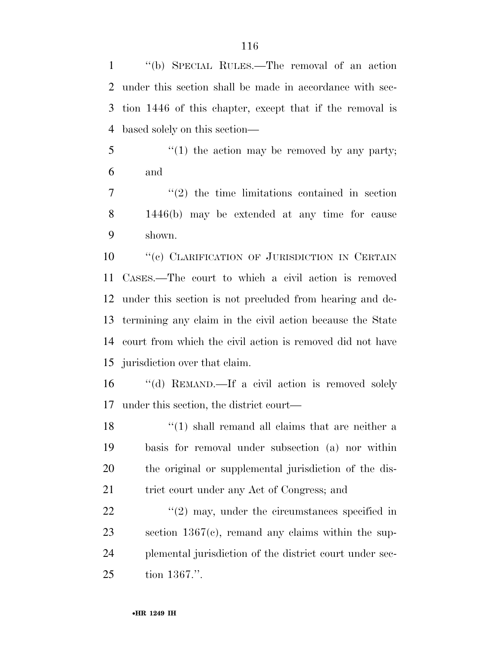''(b) SPECIAL RULES.—The removal of an action under this section shall be made in accordance with sec- tion 1446 of this chapter, except that if the removal is based solely on this section—

 ''(1) the action may be removed by any party; and

 ''(2) the time limitations contained in section 1446(b) may be extended at any time for cause shown.

10 "(c) CLARIFICATION OF JURISDICTION IN CERTAIN CASES.—The court to which a civil action is removed under this section is not precluded from hearing and de- termining any claim in the civil action because the State court from which the civil action is removed did not have jurisdiction over that claim.

 ''(d) REMAND.—If a civil action is removed solely under this section, the district court—

18 ''(1) shall remand all claims that are neither a basis for removal under subsection (a) nor within the original or supplemental jurisdiction of the dis-21 trict court under any Act of Congress; and

 $\frac{22}{22}$  ''(2) may, under the circumstances specified in section 1367(c), remand any claims within the sup- plemental jurisdiction of the district court under sec-tion 1367.''.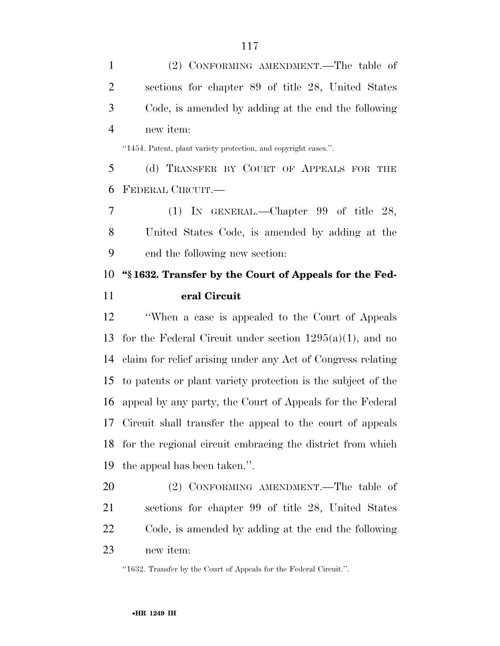(2) CONFORMING AMENDMENT.—The table of sections for chapter 89 of title 28, United States Code, is amended by adding at the end the following new item:

''1454. Patent, plant variety protection, and copyright cases.''.

 (d) TRANSFER BY COURT OF APPEALS FOR THE FEDERAL CIRCUIT.—

 (1) IN GENERAL.—Chapter 99 of title 28, United States Code, is amended by adding at the end the following new section:

# **''§ 1632. Transfer by the Court of Appeals for the Fed-eral Circuit**

 ''When a case is appealed to the Court of Appeals 13 for the Federal Circuit under section  $1295(a)(1)$ , and no claim for relief arising under any Act of Congress relating to patents or plant variety protection is the subject of the appeal by any party, the Court of Appeals for the Federal Circuit shall transfer the appeal to the court of appeals for the regional circuit embracing the district from which the appeal has been taken.''.

 (2) CONFORMING AMENDMENT.—The table of sections for chapter 99 of title 28, United States Code, is amended by adding at the end the following new item:

''1632. Transfer by the Court of Appeals for the Federal Circuit.''.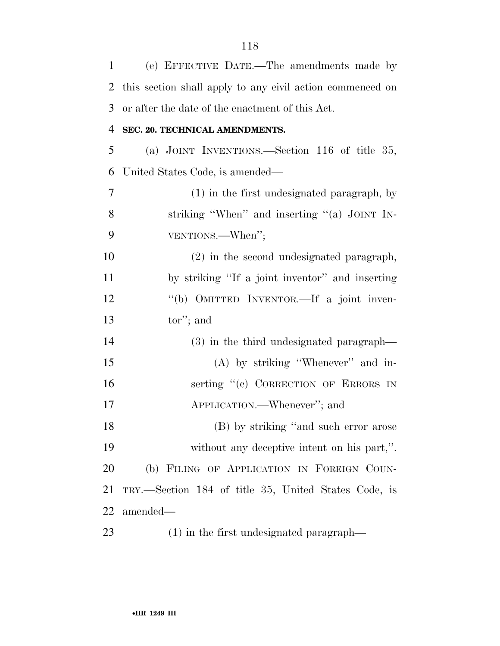| $\mathbf{1}$   | (e) EFFECTIVE DATE.—The amendments made by                |
|----------------|-----------------------------------------------------------|
| 2              | this section shall apply to any civil action commenced on |
| 3              | or after the date of the enactment of this Act.           |
| $\overline{4}$ | SEC. 20. TECHNICAL AMENDMENTS.                            |
| 5              | (a) JOINT INVENTIONS.—Section 116 of title $35$ ,         |
| 6              | United States Code, is amended—                           |
| 7              | (1) in the first undesignated paragraph, by               |
| 8              | striking "When" and inserting "(a) JOINT IN-              |
| 9              | VENTIONS.—When";                                          |
| 10             | (2) in the second undesignated paragraph,                 |
| 11             | by striking "If a joint inventor" and inserting           |
| 12             | "(b) OMITTED INVENTOR.—If a joint inven-                  |
| 13             | tor"; and                                                 |
| 14             | (3) in the third undesignated paragraph—                  |
| 15             | $(A)$ by striking "Whenever" and in-                      |
| 16             | serting "(c) CORRECTION OF ERRORS IN                      |
| 17             | APPLICATION.—Whenever"; and                               |
| 18             | (B) by striking "and such error arose                     |
| 19             | without any deceptive intent on his part,".               |
| 20             | (b) FILING OF APPLICATION IN FOREIGN COUN-                |
| 21             | TRY.—Section 184 of title 35, United States Code, is      |
| 22             | amended—                                                  |
| 23             | $(1)$ in the first undesignated paragraph—                |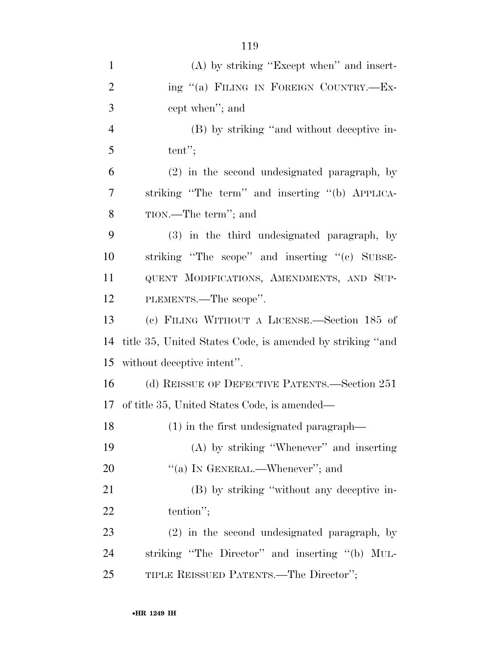| $\mathbf{1}$   | $(A)$ by striking "Except when" and insert-               |
|----------------|-----------------------------------------------------------|
| $\overline{2}$ | ing "(a) FILING IN FOREIGN COUNTRY.—Ex-                   |
| 3              | cept when"; and                                           |
| $\overline{4}$ | (B) by striking "and without deceptive in-                |
| 5              | tent";                                                    |
| 6              | (2) in the second undesignated paragraph, by              |
| 7              | striking "The term" and inserting "(b) APPLICA-           |
| 8              | TION.—The term"; and                                      |
| 9              | (3) in the third undesignated paragraph, by               |
| 10             | striking "The scope" and inserting "(c) SUBSE-            |
| 11             | QUENT MODIFICATIONS, AMENDMENTS, AND SUP-                 |
| 12             | PLEMENTS.—The scope".                                     |
| 13             | (c) FILING WITHOUT A LICENSE.—Section 185 of              |
| 14             | title 35, United States Code, is amended by striking "and |
| 15             | without deceptive intent".                                |
| 16             | (d) REISSUE OF DEFECTIVE PATENTS.—Section 251             |
|                | 17 of title 35, United States Code, is amended—           |
| 18             | $(1)$ in the first undesignated paragraph—                |
| 19             | $(A)$ by striking "Whenever" and inserting                |
| 20             | "(a) IN GENERAL.—Whenever"; and                           |
| 21             | (B) by striking "without any deceptive in-                |
| <u>22</u>      | tention";                                                 |
| 23             | (2) in the second undesignated paragraph, by              |
| 24             | striking "The Director" and inserting "(b) MUL-           |
| 25             | TIPLE REISSUED PATENTS.—The Director";                    |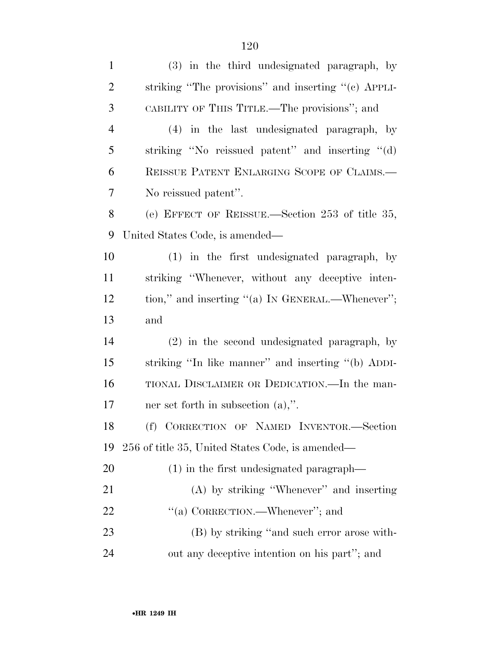| $\mathbf{1}$   | (3) in the third undesignated paragraph, by         |
|----------------|-----------------------------------------------------|
| $\overline{2}$ | striking "The provisions" and inserting "(c) APPLI- |
| 3              | CABILITY OF THIS TITLE.—The provisions"; and        |
| $\overline{4}$ | (4) in the last undesignated paragraph, by          |
| 5              | striking "No reissued patent" and inserting "(d)    |
| 6              | REISSUE PATENT ENLARGING SCOPE OF CLAIMS.           |
| 7              | No reissued patent".                                |
| 8              | (e) EFFECT OF REISSUE.—Section 253 of title 35,     |
| 9              | United States Code, is amended—                     |
| 10             | (1) in the first undesignated paragraph, by         |
| 11             | striking "Whenever, without any deceptive inten-    |
| 12             | tion," and inserting "(a) IN GENERAL.—Whenever";    |
| 13             | and                                                 |
| 14             | (2) in the second undesignated paragraph, by        |
| 15             | striking "In like manner" and inserting "(b) ADDI-  |
| 16             | TIONAL DISCLAIMER OR DEDICATION. In the man-        |
| 17             | ner set forth in subsection $(a)$ ,".               |
| 18             | (f) CORRECTION OF NAMED INVENTOR.-Section           |
| 19             | 256 of title 35, United States Code, is amended—    |
| 20             | $(1)$ in the first undesignated paragraph—          |
| 21             | $(A)$ by striking "Whenever" and inserting          |
| 22             | "(a) CORRECTION.—Whenever"; and                     |
| 23             | (B) by striking "and such error arose with-         |
| 24             | out any deceptive intention on his part"; and       |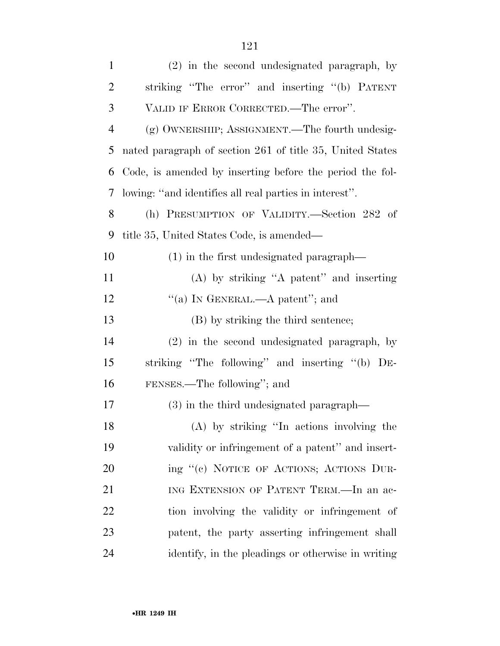| $\mathbf{1}$ | (2) in the second undesignated paragraph, by              |
|--------------|-----------------------------------------------------------|
| 2            | striking "The error" and inserting "(b) PATENT            |
| 3            | VALID IF ERROR CORRECTED.—The error".                     |
| 4            | (g) OWNERSHIP; ASSIGNMENT.—The fourth undesig-            |
| 5            | nated paragraph of section 261 of title 35, United States |
| 6            | Code, is amended by inserting before the period the fol-  |
| 7            | lowing: "and identifies all real parties in interest".    |
| 8            | (h) PRESUMPTION OF VALIDITY.-Section 282 of               |
| 9            | title 35, United States Code, is amended—                 |
| 10           | (1) in the first undesignated paragraph—                  |
| 11           | $(A)$ by striking "A patent" and inserting                |
| 12           | "(a) IN GENERAL.—A patent"; and                           |
| 13           | (B) by striking the third sentence;                       |
| 14           | (2) in the second undesignated paragraph, by              |
| 15           | striking "The following" and inserting "(b) DE-           |
| 16           | FENSES.—The following"; and                               |
| 17           | $(3)$ in the third undesignated paragraph—                |
| 18           | (A) by striking "In actions involving the                 |
| 19           | validity or infringement of a patent" and insert-         |
| 20           | ing "(c) NOTICE OF ACTIONS; ACTIONS DUR-                  |
| 21           | ING EXTENSION OF PATENT TERM.—In an ac-                   |
| 22           | tion involving the validity or infringement of            |
| 23           | patent, the party asserting infringement shall            |
| 24           | identify, in the pleadings or otherwise in writing        |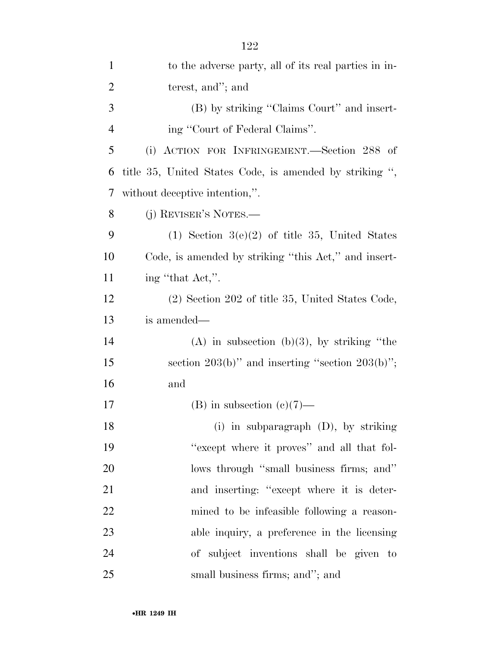| $\mathbf{1}$   | to the adverse party, all of its real parties in in-    |
|----------------|---------------------------------------------------------|
| $\overline{2}$ | terest, and"; and                                       |
| 3              | (B) by striking "Claims Court" and insert-              |
| $\overline{4}$ | ing "Court of Federal Claims".                          |
| 5              | (i) ACTION FOR INFRINGEMENT.—Section 288 of             |
| 6              | title 35, United States Code, is amended by striking ", |
| 7              | without deceptive intention,".                          |
| 8              | (j) REVISER'S NOTES.—                                   |
| 9              | $(1)$ Section 3(e)(2) of title 35, United States        |
| 10             | Code, is amended by striking "this Act," and insert-    |
| 11             | ing "that Act,".                                        |
| 12             | (2) Section 202 of title 35, United States Code,        |
| 13             | is amended—                                             |
| 14             | (A) in subsection (b)(3), by striking "the              |
| 15             | section $203(b)$ " and inserting "section $203(b)$ ";   |
| 16             | and                                                     |
| 17             | $(B)$ in subsection $(c)(7)$ —                          |
| 18             | (i) in subparagraph (D), by striking                    |
| 19             | "except where it proves" and all that fol-              |
| 20             | lows through "small business firms; and"                |
| 21             | and inserting: "except where it is deter-               |
| 22             | mined to be infeasible following a reason-              |
| 23             | able inquiry, a preference in the licensing             |
| 24             | of subject inventions shall be given to                 |
| 25             | small business firms; and"; and                         |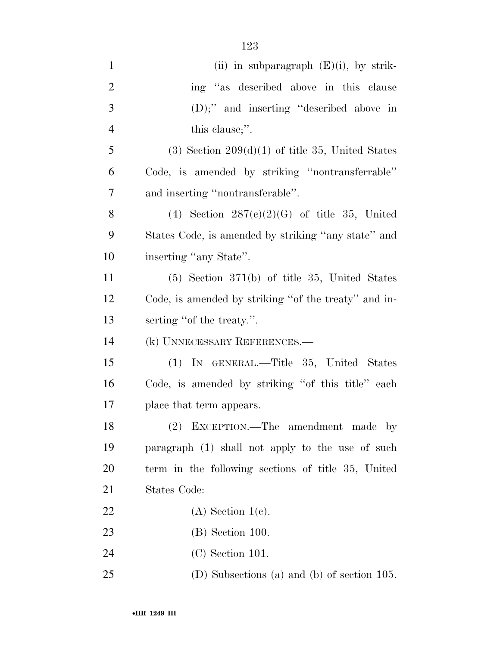| $\mathbf{1}$   | (ii) in subparagraph $(E)(i)$ , by strik-            |
|----------------|------------------------------------------------------|
| $\overline{2}$ | ing "as described above in this clause               |
| 3              | $(D)$ ;" and inserting "described above in           |
| $\overline{4}$ | this clause;".                                       |
| 5              | $(3)$ Section $209(d)(1)$ of title 35, United States |
| 6              | Code, is amended by striking "nontransferrable"      |
| $\tau$         | and inserting "nontransferable".                     |
| 8              | (4) Section $287(c)(2)(G)$ of title 35, United       |
| 9              | States Code, is amended by striking "any state" and  |
| 10             | inserting "any State".                               |
| 11             | $(5)$ Section 371(b) of title 35, United States      |
| 12             | Code, is amended by striking "of the treaty" and in- |
| 13             | serting "of the treaty.".                            |
| 14             | (k) UNNECESSARY REFERENCES.—                         |
| 15             | (1) IN GENERAL.—Title 35, United States              |
| 16             | Code, is amended by striking "of this title" each    |
| 17             | place that term appears.                             |
| 18             | (2) EXCEPTION.—The amendment made by                 |
| 19             | paragraph (1) shall not apply to the use of such     |
| 20             | term in the following sections of title 35, United   |
| 21             | States Code:                                         |
| 22             | $(A)$ Section 1(c).                                  |
| 23             | $(B)$ Section 100.                                   |
| 24             | $(C)$ Section 101.                                   |
| 25             | (D) Subsections (a) and (b) of section 105.          |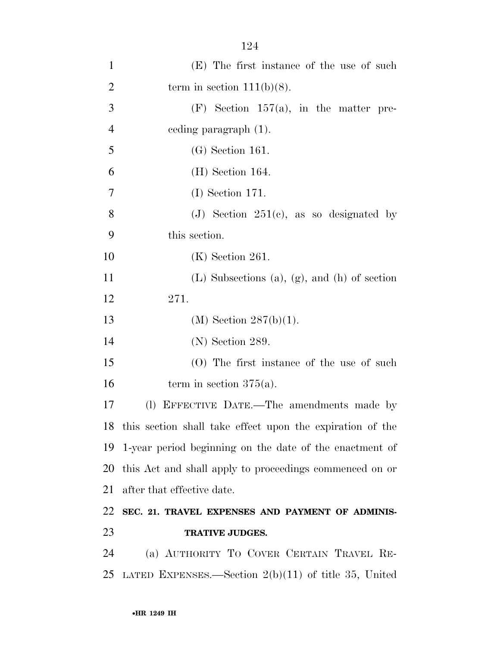| $\mathbf{1}$   | (E) The first instance of the use of such                    |
|----------------|--------------------------------------------------------------|
| $\overline{2}$ | term in section $111(b)(8)$ .                                |
| 3              | $(F)$ Section 157(a), in the matter pre-                     |
| $\overline{4}$ | eeding paragraph (1).                                        |
| 5              | $(G)$ Section 161.                                           |
| 6              | $(H)$ Section 164.                                           |
| 7              | $(I)$ Section 171.                                           |
| 8              | (J) Section $251(c)$ , as so designated by                   |
| 9              | this section.                                                |
| 10             | $(K)$ Section 261.                                           |
| 11             | (L) Subsections (a), (g), and (h) of section                 |
| 12             | 271.                                                         |
| 13             | (M) Section $287(b)(1)$ .                                    |
| 14             | $(N)$ Section 289.                                           |
| 15             | (O) The first instance of the use of such                    |
| 16             | term in section $375(a)$ .                                   |
| 17             | (1) EFFECTIVE DATE.—The amendments made by                   |
|                | 18 this section shall take effect upon the expiration of the |
|                | 19 1-year period beginning on the date of the enactment of   |
| 20             | this Act and shall apply to proceedings commenced on or      |
| 21             | after that effective date.                                   |
| 22             | SEC. 21. TRAVEL EXPENSES AND PAYMENT OF ADMINIS-             |
| 23             | <b>TRATIVE JUDGES.</b>                                       |
| 24             | (a) AUTHORITY TO COVER CERTAIN TRAVEL RE-                    |
| 25             | LATED EXPENSES.—Section $2(b)(11)$ of title 35, United       |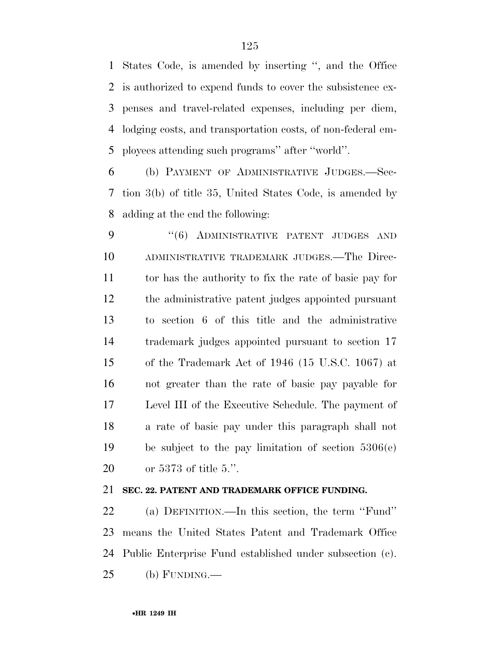States Code, is amended by inserting '', and the Office is authorized to expend funds to cover the subsistence ex- penses and travel-related expenses, including per diem, lodging costs, and transportation costs, of non-federal em-ployees attending such programs'' after ''world''.

 (b) PAYMENT OF ADMINISTRATIVE JUDGES.—Sec- tion 3(b) of title 35, United States Code, is amended by adding at the end the following:

9 "(6) ADMINISTRATIVE PATENT JUDGES AND ADMINISTRATIVE TRADEMARK JUDGES.—The Direc- tor has the authority to fix the rate of basic pay for the administrative patent judges appointed pursuant to section 6 of this title and the administrative trademark judges appointed pursuant to section 17 of the Trademark Act of 1946 (15 U.S.C. 1067) at not greater than the rate of basic pay payable for Level III of the Executive Schedule. The payment of a rate of basic pay under this paragraph shall not be subject to the pay limitation of section 5306(e) or 5373 of title 5.''.

# **SEC. 22. PATENT AND TRADEMARK OFFICE FUNDING.**

 (a) DEFINITION.—In this section, the term ''Fund'' means the United States Patent and Trademark Office Public Enterprise Fund established under subsection (c). (b) FUNDING.—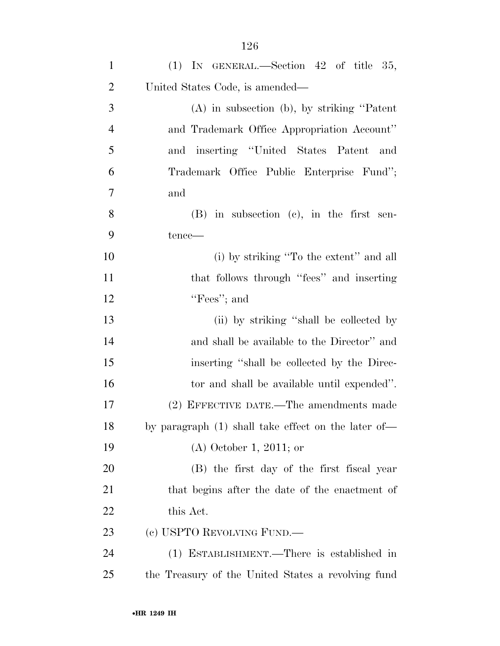| $\mathbf{1}$   | $(1)$ IN GENERAL.—Section 42 of title 35,           |
|----------------|-----------------------------------------------------|
| $\overline{2}$ | United States Code, is amended—                     |
| 3              | $(A)$ in subsection $(b)$ , by striking "Patent"    |
| $\overline{4}$ | and Trademark Office Appropriation Account"         |
| 5              | and inserting "United States Patent and             |
| 6              | Trademark Office Public Enterprise Fund";           |
| $\overline{7}$ | and                                                 |
| 8              | $(B)$ in subsection $(c)$ , in the first sen-       |
| 9              | tence—                                              |
| 10             | (i) by striking "To the extent" and all             |
| 11             | that follows through "fees" and inserting           |
| 12             | "Fees"; and                                         |
| 13             | (ii) by striking "shall be collected by             |
| 14             | and shall be available to the Director" and         |
| 15             | inserting "shall be collected by the Direc-         |
| 16             | tor and shall be available until expended".         |
| 17             | (2) EFFECTIVE DATE.—The amendments made             |
| 18             | by paragraph (1) shall take effect on the later of- |
| 19             | $(A)$ October 1, 2011; or                           |
| 20             | (B) the first day of the first fiscal year          |
| 21             | that begins after the date of the enactment of      |
| 22             | this Act.                                           |
| 23             | (c) USPTO REVOLVING FUND.—                          |
| 24             | (1) ESTABLISHMENT.—There is established in          |
| 25             | the Treasury of the United States a revolving fund  |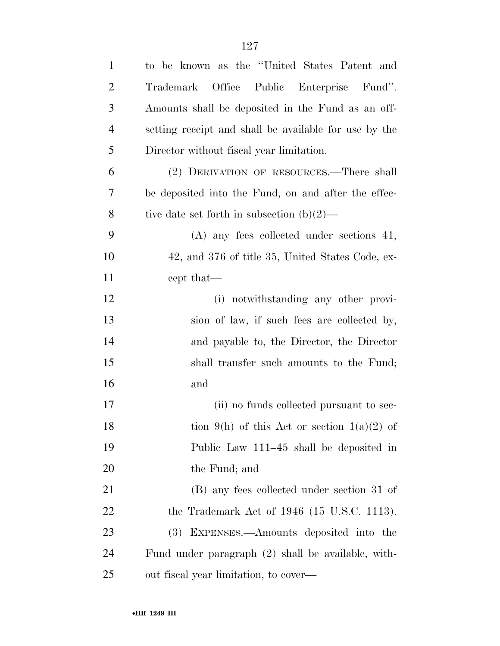| $\mathbf{1}$   | to be known as the "United States Patent and          |
|----------------|-------------------------------------------------------|
| $\overline{2}$ | Office<br>Public Enterprise Fund".<br>Trademark       |
| 3              | Amounts shall be deposited in the Fund as an off-     |
| $\overline{4}$ | setting receipt and shall be available for use by the |
| 5              | Director without fiscal year limitation.              |
| 6              | (2) DERIVATION OF RESOURCES.—There shall              |
| 7              | be deposited into the Fund, on and after the effec-   |
| 8              | tive date set forth in subsection $(b)(2)$ —          |
| 9              | $(A)$ any fees collected under sections 41,           |
| 10             | 42, and 376 of title 35, United States Code, ex-      |
| <sup>11</sup>  | cept that—                                            |
| 12             | (i) notwithstanding any other provi-                  |
| 13             | sion of law, if such fees are collected by,           |
| 14             | and payable to, the Director, the Director            |
| 15             | shall transfer such amounts to the Fund;              |
| 16             | and                                                   |
| 17             | (ii) no funds collected pursuant to sec-              |
| 18             | tion 9(h) of this Act or section 1(a)(2) of           |
| 19             | Public Law 111–45 shall be deposited in               |
| 20             | the Fund; and                                         |
| 21             | (B) any fees collected under section 31 of            |
| 22             | the Trademark Act of $1946$ (15 U.S.C. 1113).         |
| 23             | EXPENSES.—Amounts deposited into the<br>(3)           |
| 24             | Fund under paragraph (2) shall be available, with-    |
| 25             | out fiscal year limitation, to cover—                 |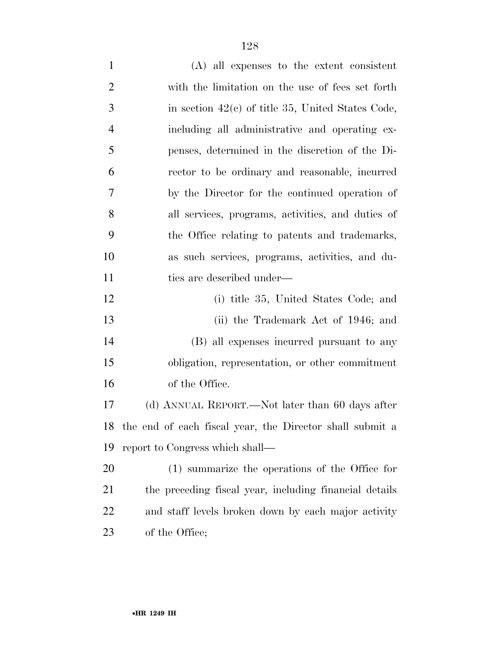| $\mathbf{1}$   | $(A)$ all expenses to the extent consistent         |
|----------------|-----------------------------------------------------|
| $\overline{2}$ | with the limitation on the use of fees set forth    |
| 3              | in section $42(c)$ of title 35, United States Code, |
| $\overline{4}$ | including all administrative and operating ex-      |
| 5              | penses, determined in the discretion of the Di-     |
| 6              | rector to be ordinary and reasonable, incurred      |
| 7              | by the Director for the continued operation of      |
| 8              | all services, programs, activities, and duties of   |
| 9              | the Office relating to patents and trademarks,      |
| 10             | as such services, programs, activities, and du-     |
| 11             | ties are described under—                           |
| 12             | (i) title 35, United States Code; and               |
| 13             | (ii) the Trademark Act of 1946; and                 |
| 14             | (B) all expenses incurred pursuant to any           |
| 15             | obligation, representation, or other commitment     |
| 16             | of the Office.                                      |

 (d) ANNUAL REPORT.—Not later than 60 days after the end of each fiscal year, the Director shall submit a report to Congress which shall—

 (1) summarize the operations of the Office for the preceding fiscal year, including financial details and staff levels broken down by each major activity 23 of the Office;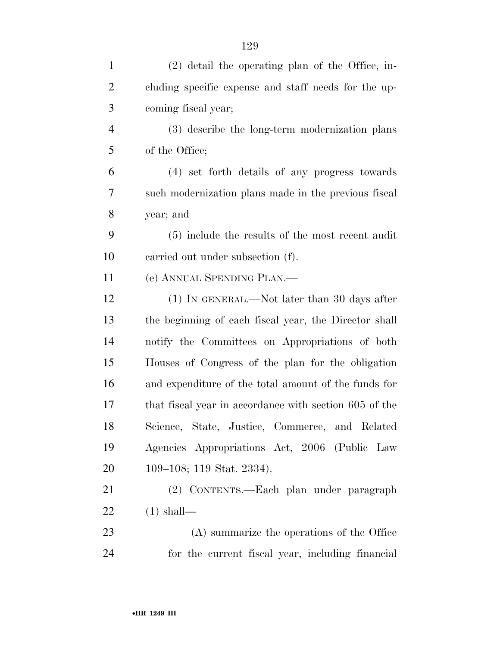| $\mathbf{1}$   | $(2)$ detail the operating plan of the Office, in-     |
|----------------|--------------------------------------------------------|
| $\overline{2}$ | cluding specific expense and staff needs for the up-   |
| 3              | coming fiscal year;                                    |
| $\overline{4}$ | (3) describe the long-term modernization plans         |
| 5              | of the Office;                                         |
| 6              | (4) set forth details of any progress towards          |
| 7              | such modernization plans made in the previous fiscal   |
| 8              | year; and                                              |
| 9              | (5) include the results of the most recent audit       |
| 10             | carried out under subsection (f).                      |
| 11             | (e) ANNUAL SPENDING PLAN.                              |
| 12             | $(1)$ In GENERAL.—Not later than 30 days after         |
| 13             | the beginning of each fiscal year, the Director shall  |
| 14             | notify the Committees on Appropriations of both        |
| 15             | Houses of Congress of the plan for the obligation      |
| 16             | and expenditure of the total amount of the funds for   |
| 17             | that fiscal year in accordance with section 605 of the |
| 18             | Science, State, Justice, Commerce, and Related         |
| 19             | Agencies Appropriations Act, 2006 (Public Law          |
| 20             | 109–108; 119 Stat. 2334).                              |
| 21             | (2) CONTENTS.—Each plan under paragraph                |
| 22             | $(1)$ shall—                                           |
| 23             | (A) summarize the operations of the Office             |
| 24             | for the current fiscal year, including financial       |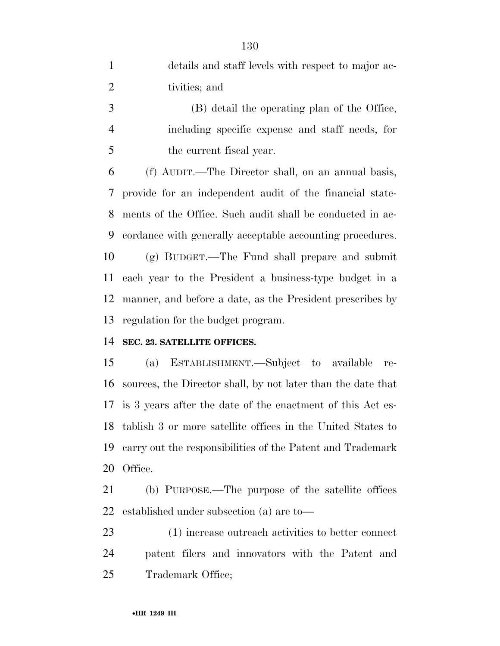| $\mathbf{1}$   | details and staff levels with respect to major ac-         |
|----------------|------------------------------------------------------------|
| 2              | tivities; and                                              |
| 3              | (B) detail the operating plan of the Office,               |
| $\overline{4}$ | including specific expense and staff needs, for            |
| 5              | the current fiscal year.                                   |
| 6              | (f) AUDIT.—The Director shall, on an annual basis,         |
|                | 7 provide for an independent audit of the financial state- |
| 8              | ments of the Office. Such audit shall be conducted in ac-  |
|                |                                                            |

 (g) BUDGET.—The Fund shall prepare and submit each year to the President a business-type budget in a manner, and before a date, as the President prescribes by regulation for the budget program.

cordance with generally acceptable accounting procedures.

## **SEC. 23. SATELLITE OFFICES.**

 (a) ESTABLISHMENT.—Subject to available re- sources, the Director shall, by not later than the date that is 3 years after the date of the enactment of this Act es- tablish 3 or more satellite offices in the United States to carry out the responsibilities of the Patent and Trademark Office.

 (b) PURPOSE.—The purpose of the satellite offices established under subsection (a) are to—

 (1) increase outreach activities to better connect patent filers and innovators with the Patent and Trademark Office;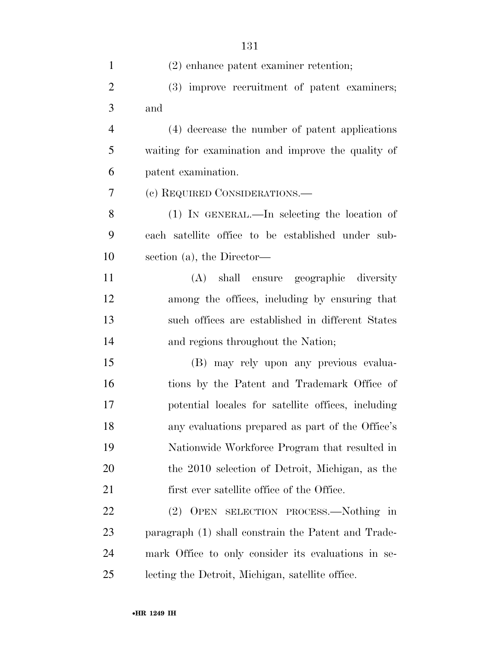| $\mathbf{1}$   | $(2)$ enhance patent examiner retention;            |
|----------------|-----------------------------------------------------|
| $\overline{2}$ | (3) improve recruitment of patent examiners;        |
| 3              | and                                                 |
| $\overline{4}$ | (4) decrease the number of patent applications      |
| 5              | waiting for examination and improve the quality of  |
| 6              | patent examination.                                 |
| 7              | (c) REQUIRED CONSIDERATIONS.—                       |
| 8              | $(1)$ In GENERAL.—In selecting the location of      |
| 9              | each satellite office to be established under sub-  |
| 10             | section (a), the Director-                          |
| 11             | (A) shall ensure geographic diversity               |
| 12             | among the offices, including by ensuring that       |
| 13             | such offices are established in different States    |
| 14             | and regions throughout the Nation;                  |
| 15             | (B) may rely upon any previous evalua-              |
| 16             | tions by the Patent and Trademark Office of         |
| 17             | potential locales for satellite offices, including  |
| 18             | any evaluations prepared as part of the Office's    |
| 19             | Nationwide Workforce Program that resulted in       |
| 20             | the 2010 selection of Detroit, Michigan, as the     |
| 21             | first ever satellite office of the Office.          |
| <u>22</u>      | OPEN SELECTION PROCESS.—Nothing in<br>(2)           |
| 23             | paragraph (1) shall constrain the Patent and Trade- |
| 24             | mark Office to only consider its evaluations in se- |
| 25             | lecting the Detroit, Michigan, satellite office.    |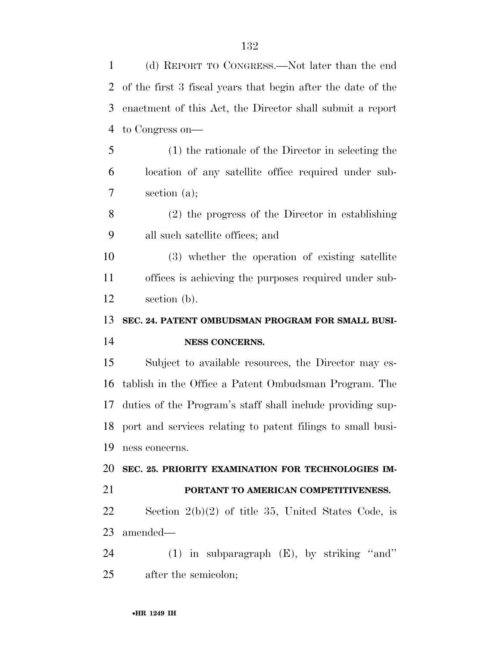(d) REPORT TO CONGRESS.—Not later than the end of the first 3 fiscal years that begin after the date of the enactment of this Act, the Director shall submit a report to Congress on— (1) the rationale of the Director in selecting the location of any satellite office required under sub- section (a); (2) the progress of the Director in establishing all such satellite offices; and (3) whether the operation of existing satellite offices is achieving the purposes required under sub- section (b). **SEC. 24. PATENT OMBUDSMAN PROGRAM FOR SMALL BUSI- NESS CONCERNS.**  Subject to available resources, the Director may es- tablish in the Office a Patent Ombudsman Program. The duties of the Program's staff shall include providing sup- port and services relating to patent filings to small busi- ness concerns. **SEC. 25. PRIORITY EXAMINATION FOR TECHNOLOGIES IM-**

#### **PORTANT TO AMERICAN COMPETITIVENESS.**

 Section 2(b)(2) of title 35, United States Code, is amended—

 (1) in subparagraph (E), by striking ''and'' after the semicolon;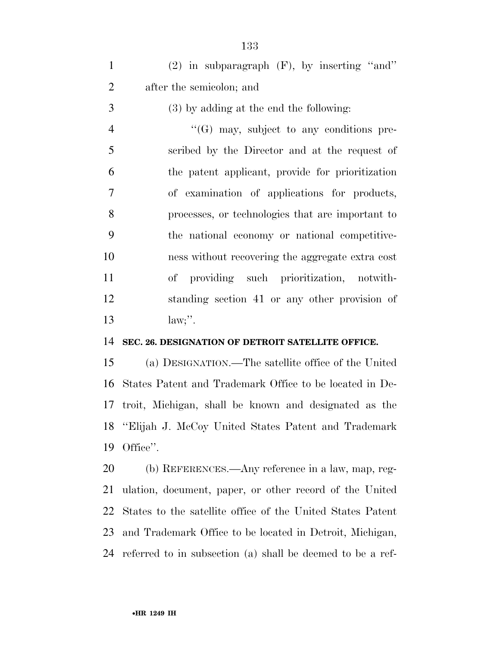(2) in subparagraph (F), by inserting ''and'' after the semicolon; and

(3) by adding at the end the following:

 ''(G) may, subject to any conditions pre- scribed by the Director and at the request of the patent applicant, provide for prioritization of examination of applications for products, processes, or technologies that are important to the national economy or national competitive- ness without recovering the aggregate extra cost of providing such prioritization, notwith- standing section 41 or any other provision of 13 law;".

### **SEC. 26. DESIGNATION OF DETROIT SATELLITE OFFICE.**

 (a) DESIGNATION.—The satellite office of the United States Patent and Trademark Office to be located in De- troit, Michigan, shall be known and designated as the ''Elijah J. McCoy United States Patent and Trademark Office''.

 (b) REFERENCES.—Any reference in a law, map, reg- ulation, document, paper, or other record of the United States to the satellite office of the United States Patent and Trademark Office to be located in Detroit, Michigan, referred to in subsection (a) shall be deemed to be a ref